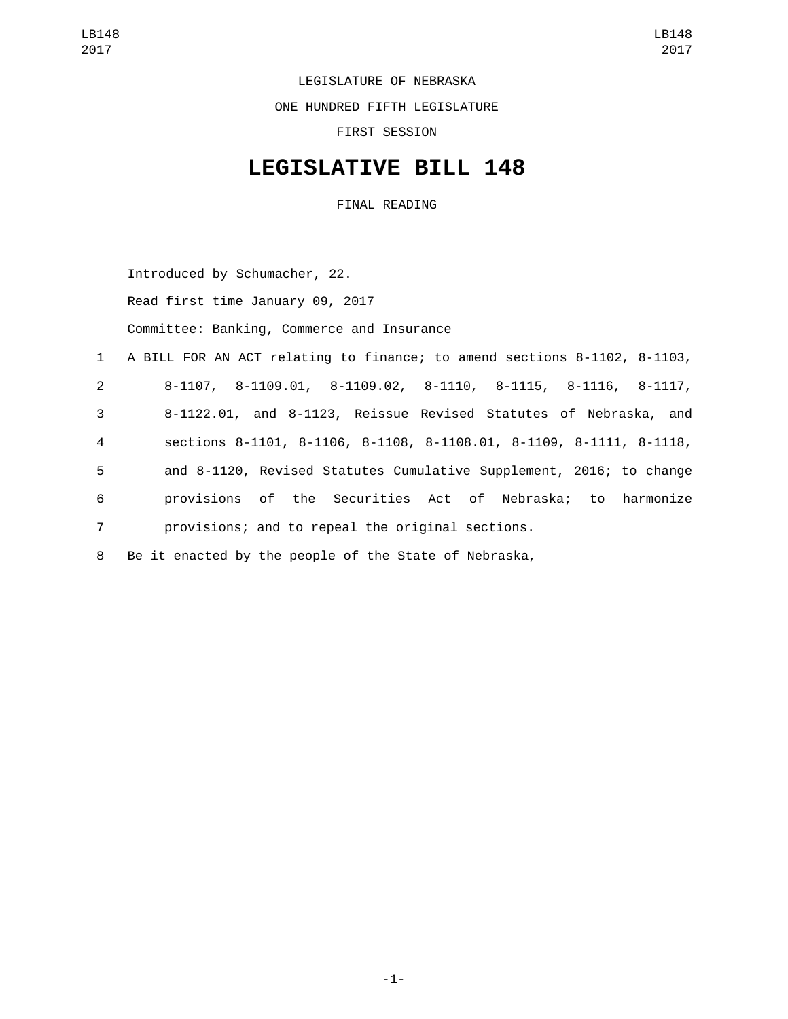LEGISLATURE OF NEBRASKA

ONE HUNDRED FIFTH LEGISLATURE

FIRST SESSION

## **LEGISLATIVE BILL 148**

FINAL READING

Introduced by Schumacher, 22.

Read first time January 09, 2017

Committee: Banking, Commerce and Insurance

 A BILL FOR AN ACT relating to finance; to amend sections 8-1102, 8-1103, 8-1107, 8-1109.01, 8-1109.02, 8-1110, 8-1115, 8-1116, 8-1117, 8-1122.01, and 8-1123, Reissue Revised Statutes of Nebraska, and sections 8-1101, 8-1106, 8-1108, 8-1108.01, 8-1109, 8-1111, 8-1118, and 8-1120, Revised Statutes Cumulative Supplement, 2016; to change provisions of the Securities Act of Nebraska; to harmonize provisions; and to repeal the original sections.

8 Be it enacted by the people of the State of Nebraska,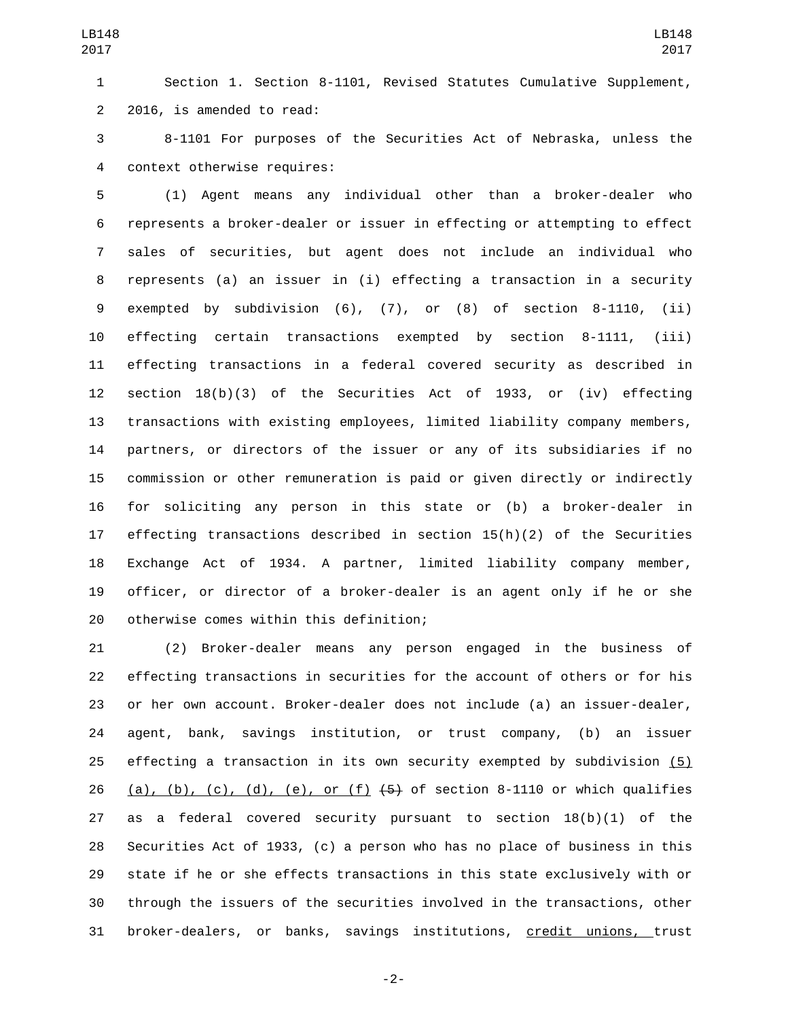Section 1. Section 8-1101, Revised Statutes Cumulative Supplement, 2 2016, is amended to read:

 8-1101 For purposes of the Securities Act of Nebraska, unless the 4 context otherwise requires:

 (1) Agent means any individual other than a broker-dealer who represents a broker-dealer or issuer in effecting or attempting to effect sales of securities, but agent does not include an individual who represents (a) an issuer in (i) effecting a transaction in a security exempted by subdivision (6), (7), or (8) of section 8-1110, (ii) effecting certain transactions exempted by section 8-1111, (iii) effecting transactions in a federal covered security as described in section 18(b)(3) of the Securities Act of 1933, or (iv) effecting transactions with existing employees, limited liability company members, partners, or directors of the issuer or any of its subsidiaries if no commission or other remuneration is paid or given directly or indirectly for soliciting any person in this state or (b) a broker-dealer in effecting transactions described in section 15(h)(2) of the Securities Exchange Act of 1934. A partner, limited liability company member, officer, or director of a broker-dealer is an agent only if he or she 20 otherwise comes within this definition;

 (2) Broker-dealer means any person engaged in the business of effecting transactions in securities for the account of others or for his or her own account. Broker-dealer does not include (a) an issuer-dealer, agent, bank, savings institution, or trust company, (b) an issuer effecting a transaction in its own security exempted by subdivision (5) 26 (a), (b), (c), (d), (e), or (f)  $(5)$  of section 8-1110 or which qualifies as a federal covered security pursuant to section 18(b)(1) of the Securities Act of 1933, (c) a person who has no place of business in this state if he or she effects transactions in this state exclusively with or through the issuers of the securities involved in the transactions, other broker-dealers, or banks, savings institutions, credit unions, trust

-2-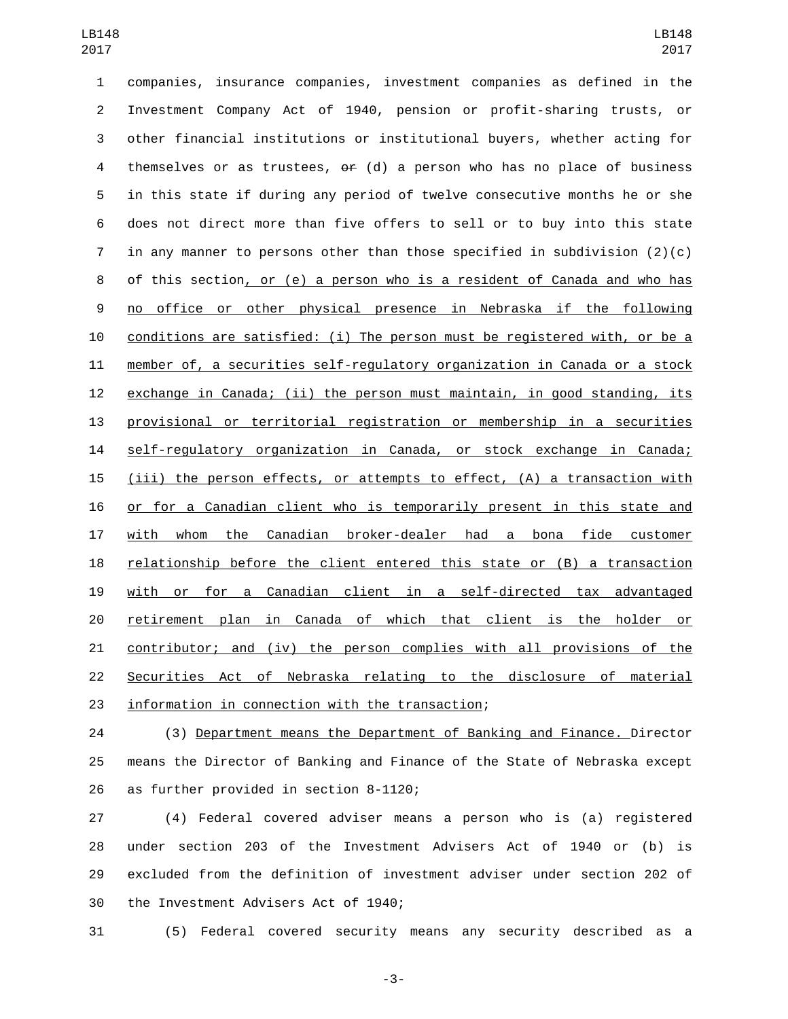companies, insurance companies, investment companies as defined in the Investment Company Act of 1940, pension or profit-sharing trusts, or other financial institutions or institutional buyers, whether acting for 4 themselves or as trustees,  $\theta$  (d) a person who has no place of business in this state if during any period of twelve consecutive months he or she does not direct more than five offers to sell or to buy into this state 7 in any manner to persons other than those specified in subdivision  $(2)(c)$  of this section, or (e) a person who is a resident of Canada and who has no office or other physical presence in Nebraska if the following conditions are satisfied: (i) The person must be registered with, or be a member of, a securities self-regulatory organization in Canada or a stock exchange in Canada; (ii) the person must maintain, in good standing, its provisional or territorial registration or membership in a securities self-regulatory organization in Canada, or stock exchange in Canada; (iii) the person effects, or attempts to effect, (A) a transaction with or for a Canadian client who is temporarily present in this state and with whom the Canadian broker-dealer had a bona fide customer relationship before the client entered this state or (B) a transaction with or for a Canadian client in a self-directed tax advantaged retirement plan in Canada of which that client is the holder or contributor; and (iv) the person complies with all provisions of the Securities Act of Nebraska relating to the disclosure of material 23 information in connection with the transaction;

 (3) Department means the Department of Banking and Finance. Director means the Director of Banking and Finance of the State of Nebraska except 26 as further provided in section 8-1120;

 (4) Federal covered adviser means a person who is (a) registered under section 203 of the Investment Advisers Act of 1940 or (b) is excluded from the definition of investment adviser under section 202 of 30 the Investment Advisers Act of 1940;

(5) Federal covered security means any security described as a

-3-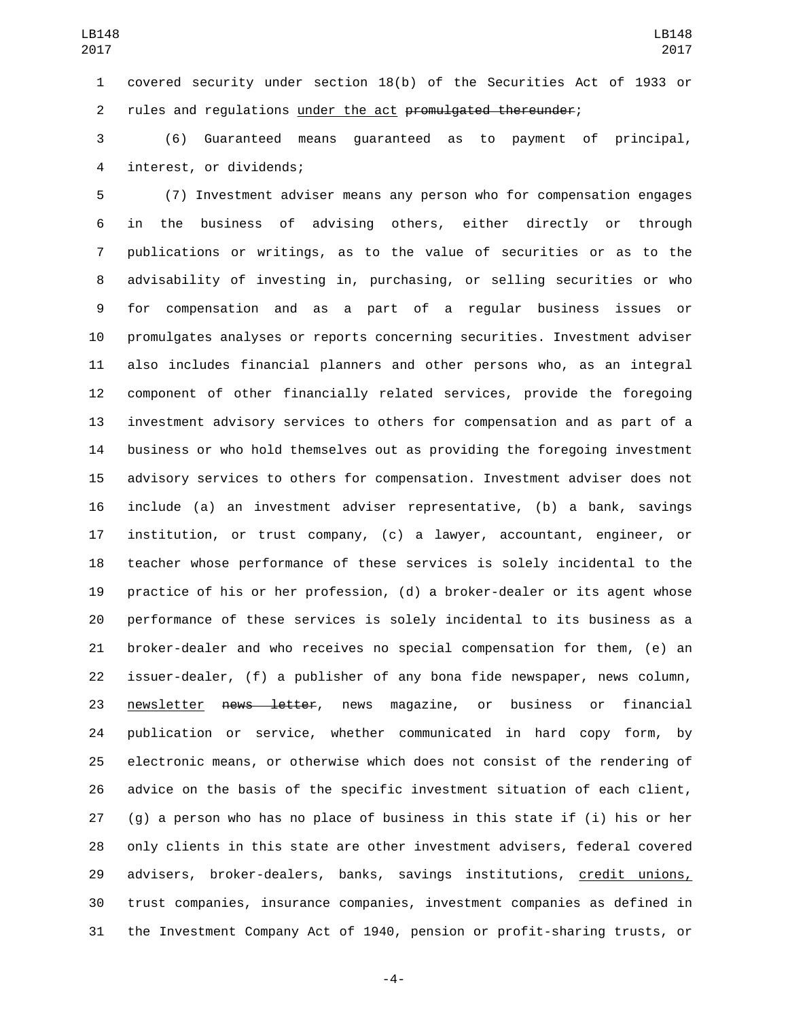covered security under section 18(b) of the Securities Act of 1933 or 2 rules and regulations under the act promulgated thereunder;

 (6) Guaranteed means guaranteed as to payment of principal, 4 interest, or dividends;

 (7) Investment adviser means any person who for compensation engages in the business of advising others, either directly or through publications or writings, as to the value of securities or as to the advisability of investing in, purchasing, or selling securities or who for compensation and as a part of a regular business issues or promulgates analyses or reports concerning securities. Investment adviser also includes financial planners and other persons who, as an integral component of other financially related services, provide the foregoing investment advisory services to others for compensation and as part of a business or who hold themselves out as providing the foregoing investment advisory services to others for compensation. Investment adviser does not include (a) an investment adviser representative, (b) a bank, savings institution, or trust company, (c) a lawyer, accountant, engineer, or teacher whose performance of these services is solely incidental to the practice of his or her profession, (d) a broker-dealer or its agent whose performance of these services is solely incidental to its business as a broker-dealer and who receives no special compensation for them, (e) an issuer-dealer, (f) a publisher of any bona fide newspaper, news column, 23 newsletter <del>news letter</del>, news magazine, or business or financial publication or service, whether communicated in hard copy form, by electronic means, or otherwise which does not consist of the rendering of advice on the basis of the specific investment situation of each client, (g) a person who has no place of business in this state if (i) his or her only clients in this state are other investment advisers, federal covered 29 advisers, broker-dealers, banks, savings institutions, credit unions, trust companies, insurance companies, investment companies as defined in the Investment Company Act of 1940, pension or profit-sharing trusts, or

-4-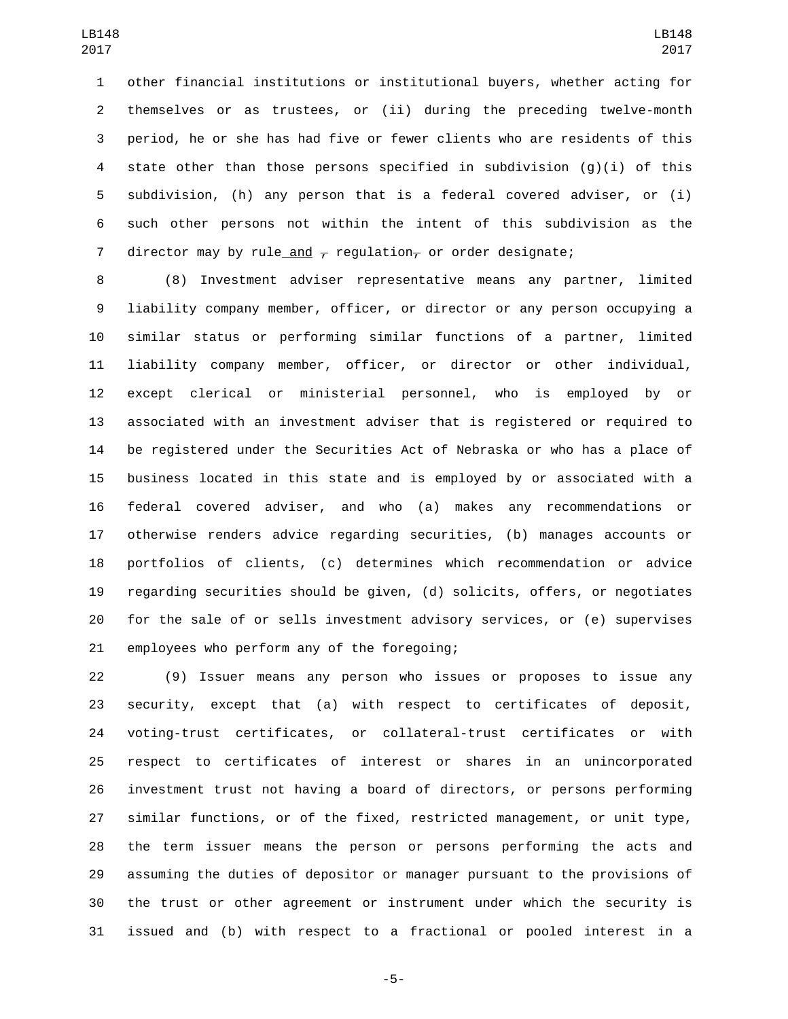other financial institutions or institutional buyers, whether acting for themselves or as trustees, or (ii) during the preceding twelve-month period, he or she has had five or fewer clients who are residents of this 4 state other than those persons specified in subdivision  $(g)(i)$  of this subdivision, (h) any person that is a federal covered adviser, or (i) such other persons not within the intent of this subdivision as the 7 director may by rule and  $\tau$  regulation $\tau$  or order designate;

 (8) Investment adviser representative means any partner, limited liability company member, officer, or director or any person occupying a similar status or performing similar functions of a partner, limited liability company member, officer, or director or other individual, except clerical or ministerial personnel, who is employed by or associated with an investment adviser that is registered or required to be registered under the Securities Act of Nebraska or who has a place of business located in this state and is employed by or associated with a federal covered adviser, and who (a) makes any recommendations or otherwise renders advice regarding securities, (b) manages accounts or portfolios of clients, (c) determines which recommendation or advice regarding securities should be given, (d) solicits, offers, or negotiates for the sale of or sells investment advisory services, or (e) supervises 21 employees who perform any of the foregoing;

 (9) Issuer means any person who issues or proposes to issue any security, except that (a) with respect to certificates of deposit, voting-trust certificates, or collateral-trust certificates or with respect to certificates of interest or shares in an unincorporated investment trust not having a board of directors, or persons performing similar functions, or of the fixed, restricted management, or unit type, the term issuer means the person or persons performing the acts and assuming the duties of depositor or manager pursuant to the provisions of the trust or other agreement or instrument under which the security is issued and (b) with respect to a fractional or pooled interest in a

-5-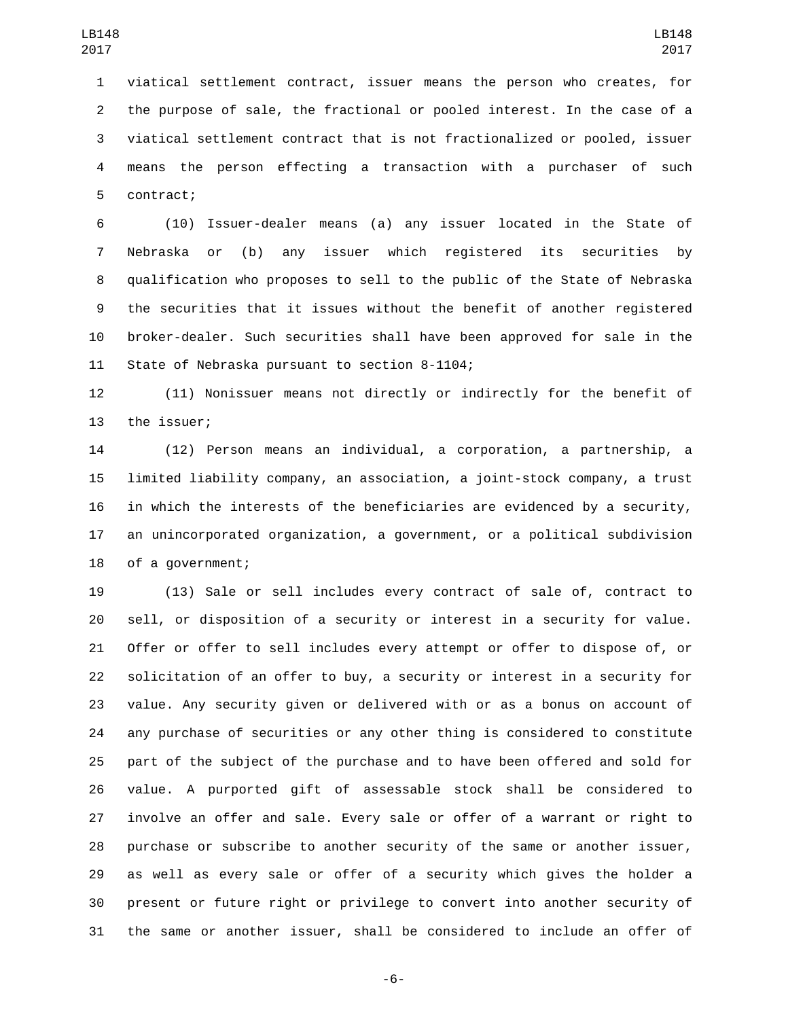viatical settlement contract, issuer means the person who creates, for the purpose of sale, the fractional or pooled interest. In the case of a viatical settlement contract that is not fractionalized or pooled, issuer means the person effecting a transaction with a purchaser of such 5 contract;

 (10) Issuer-dealer means (a) any issuer located in the State of Nebraska or (b) any issuer which registered its securities by qualification who proposes to sell to the public of the State of Nebraska the securities that it issues without the benefit of another registered broker-dealer. Such securities shall have been approved for sale in the 11 State of Nebraska pursuant to section 8-1104;

 (11) Nonissuer means not directly or indirectly for the benefit of 13 the issuer;

 (12) Person means an individual, a corporation, a partnership, a limited liability company, an association, a joint-stock company, a trust in which the interests of the beneficiaries are evidenced by a security, an unincorporated organization, a government, or a political subdivision 18 of a government;

 (13) Sale or sell includes every contract of sale of, contract to sell, or disposition of a security or interest in a security for value. Offer or offer to sell includes every attempt or offer to dispose of, or solicitation of an offer to buy, a security or interest in a security for value. Any security given or delivered with or as a bonus on account of any purchase of securities or any other thing is considered to constitute part of the subject of the purchase and to have been offered and sold for value. A purported gift of assessable stock shall be considered to involve an offer and sale. Every sale or offer of a warrant or right to purchase or subscribe to another security of the same or another issuer, as well as every sale or offer of a security which gives the holder a present or future right or privilege to convert into another security of the same or another issuer, shall be considered to include an offer of

-6-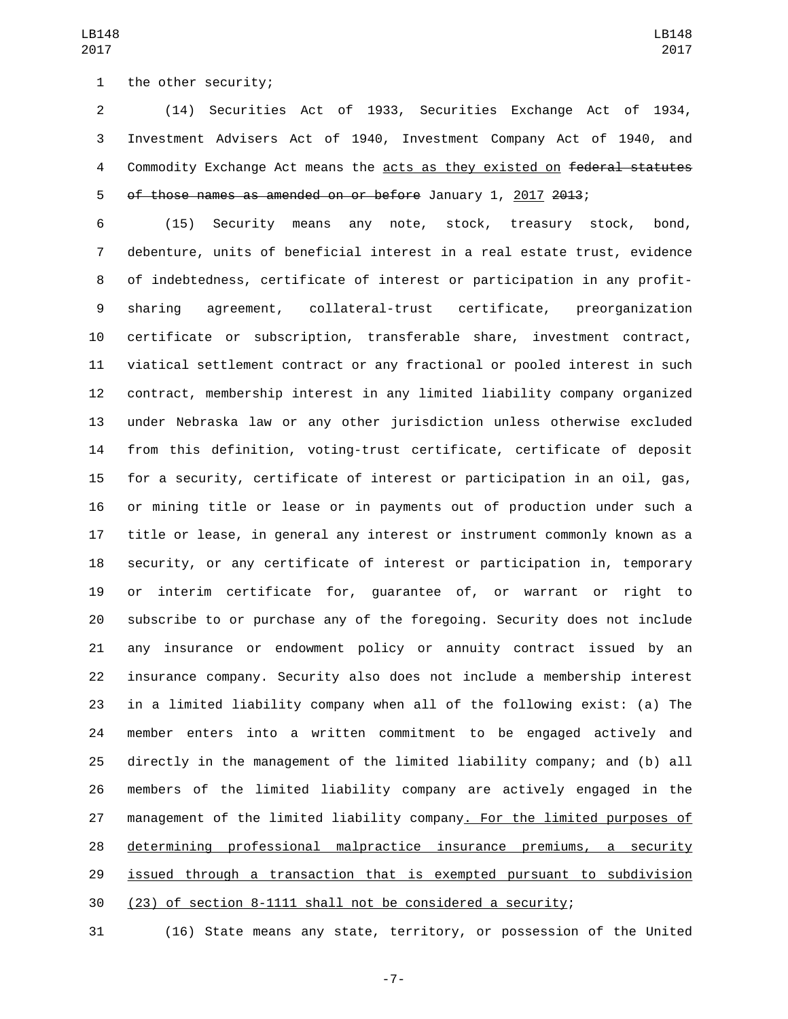1 the other security;

 (14) Securities Act of 1933, Securities Exchange Act of 1934, Investment Advisers Act of 1940, Investment Company Act of 1940, and 4 Commodity Exchange Act means the acts as they existed on federal statutes of those names as amended on or before January 1, 2017 2013;

 (15) Security means any note, stock, treasury stock, bond, debenture, units of beneficial interest in a real estate trust, evidence of indebtedness, certificate of interest or participation in any profit- sharing agreement, collateral-trust certificate, preorganization certificate or subscription, transferable share, investment contract, viatical settlement contract or any fractional or pooled interest in such contract, membership interest in any limited liability company organized under Nebraska law or any other jurisdiction unless otherwise excluded from this definition, voting-trust certificate, certificate of deposit for a security, certificate of interest or participation in an oil, gas, or mining title or lease or in payments out of production under such a title or lease, in general any interest or instrument commonly known as a security, or any certificate of interest or participation in, temporary or interim certificate for, guarantee of, or warrant or right to subscribe to or purchase any of the foregoing. Security does not include any insurance or endowment policy or annuity contract issued by an insurance company. Security also does not include a membership interest in a limited liability company when all of the following exist: (a) The member enters into a written commitment to be engaged actively and directly in the management of the limited liability company; and (b) all members of the limited liability company are actively engaged in the 27 management of the limited liability company. For the limited purposes of determining professional malpractice insurance premiums, a security issued through a transaction that is exempted pursuant to subdivision (23) of section 8-1111 shall not be considered a security;

(16) State means any state, territory, or possession of the United

LB148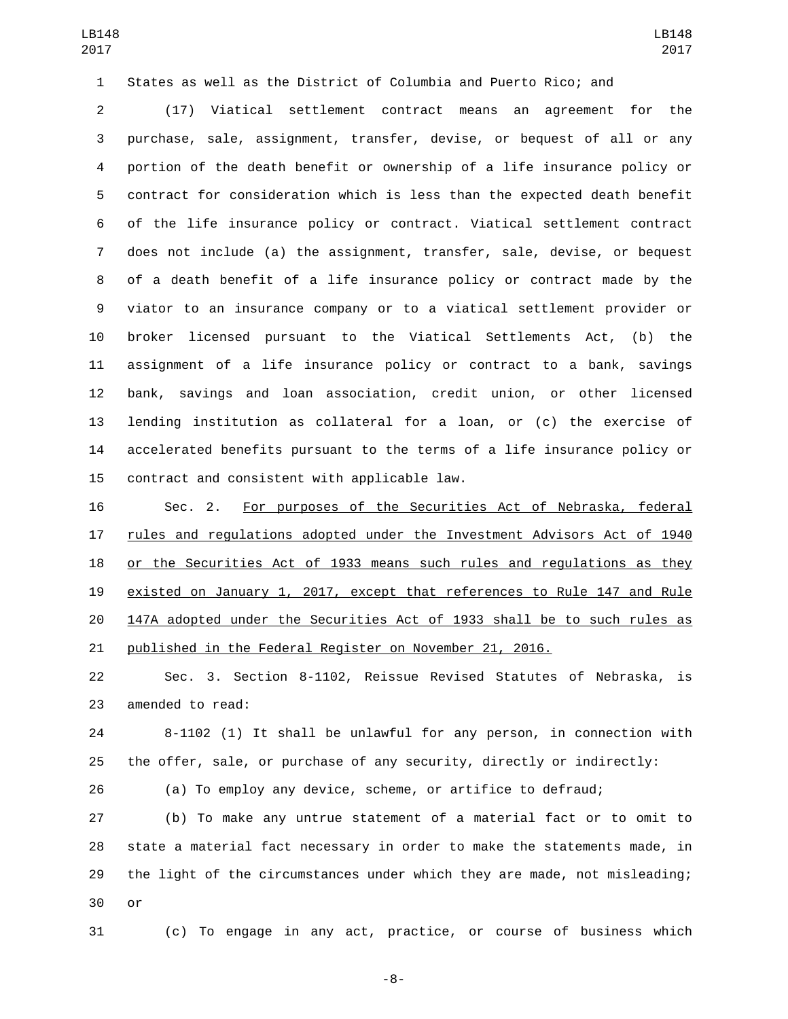States as well as the District of Columbia and Puerto Rico; and

 (17) Viatical settlement contract means an agreement for the purchase, sale, assignment, transfer, devise, or bequest of all or any portion of the death benefit or ownership of a life insurance policy or contract for consideration which is less than the expected death benefit of the life insurance policy or contract. Viatical settlement contract does not include (a) the assignment, transfer, sale, devise, or bequest of a death benefit of a life insurance policy or contract made by the viator to an insurance company or to a viatical settlement provider or broker licensed pursuant to the Viatical Settlements Act, (b) the assignment of a life insurance policy or contract to a bank, savings bank, savings and loan association, credit union, or other licensed lending institution as collateral for a loan, or (c) the exercise of accelerated benefits pursuant to the terms of a life insurance policy or 15 contract and consistent with applicable law.

 Sec. 2. For purposes of the Securities Act of Nebraska, federal rules and regulations adopted under the Investment Advisors Act of 1940 18 or the Securities Act of 1933 means such rules and regulations as they existed on January 1, 2017, except that references to Rule 147 and Rule 147A adopted under the Securities Act of 1933 shall be to such rules as published in the Federal Register on November 21, 2016.

 Sec. 3. Section 8-1102, Reissue Revised Statutes of Nebraska, is 23 amended to read:

 8-1102 (1) It shall be unlawful for any person, in connection with the offer, sale, or purchase of any security, directly or indirectly:

(a) To employ any device, scheme, or artifice to defraud;

 (b) To make any untrue statement of a material fact or to omit to state a material fact necessary in order to make the statements made, in the light of the circumstances under which they are made, not misleading; 30 or

(c) To engage in any act, practice, or course of business which

-8-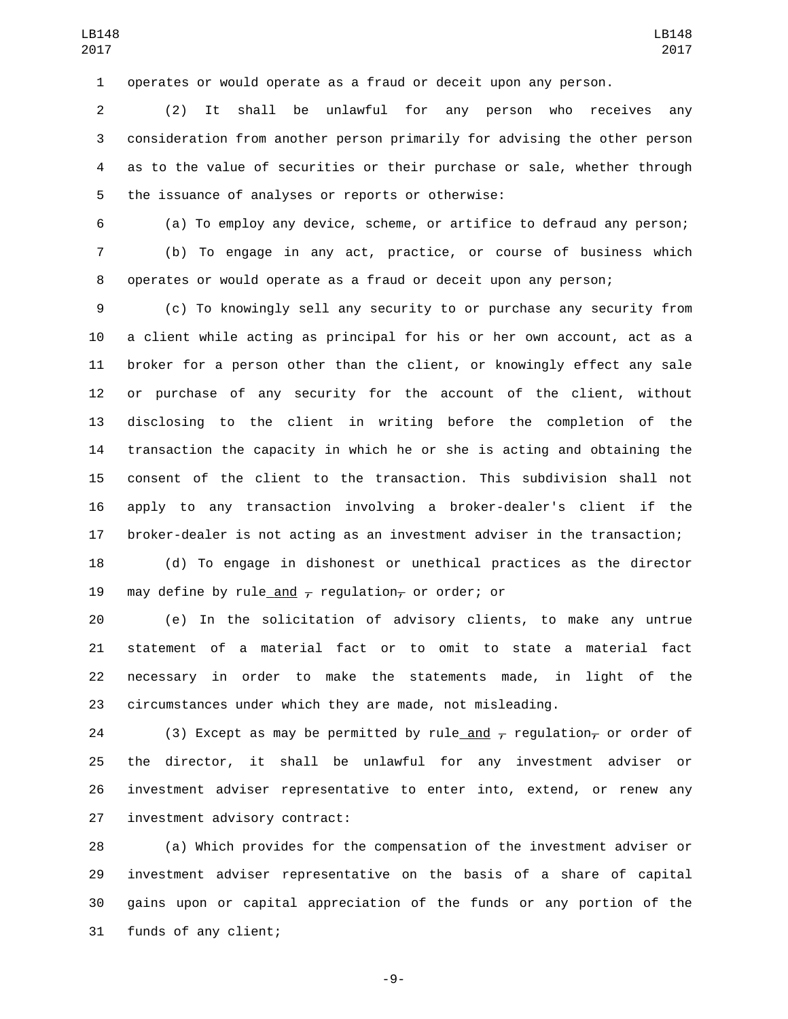operates or would operate as a fraud or deceit upon any person.

 (2) It shall be unlawful for any person who receives any consideration from another person primarily for advising the other person as to the value of securities or their purchase or sale, whether through 5 the issuance of analyses or reports or otherwise:

(a) To employ any device, scheme, or artifice to defraud any person;

 (b) To engage in any act, practice, or course of business which operates or would operate as a fraud or deceit upon any person;

 (c) To knowingly sell any security to or purchase any security from a client while acting as principal for his or her own account, act as a broker for a person other than the client, or knowingly effect any sale or purchase of any security for the account of the client, without disclosing to the client in writing before the completion of the transaction the capacity in which he or she is acting and obtaining the consent of the client to the transaction. This subdivision shall not apply to any transaction involving a broker-dealer's client if the broker-dealer is not acting as an investment adviser in the transaction;

 (d) To engage in dishonest or unethical practices as the director 19 may define by rule and  $\tau$  regulation $\tau$  or order; or

 (e) In the solicitation of advisory clients, to make any untrue statement of a material fact or to omit to state a material fact necessary in order to make the statements made, in light of the circumstances under which they are made, not misleading.

24 (3) Except as may be permitted by rule and  $\tau$  regulation $\tau$  or order of the director, it shall be unlawful for any investment adviser or investment adviser representative to enter into, extend, or renew any 27 investment advisory contract:

 (a) Which provides for the compensation of the investment adviser or investment adviser representative on the basis of a share of capital gains upon or capital appreciation of the funds or any portion of the 31 funds of any client;

-9-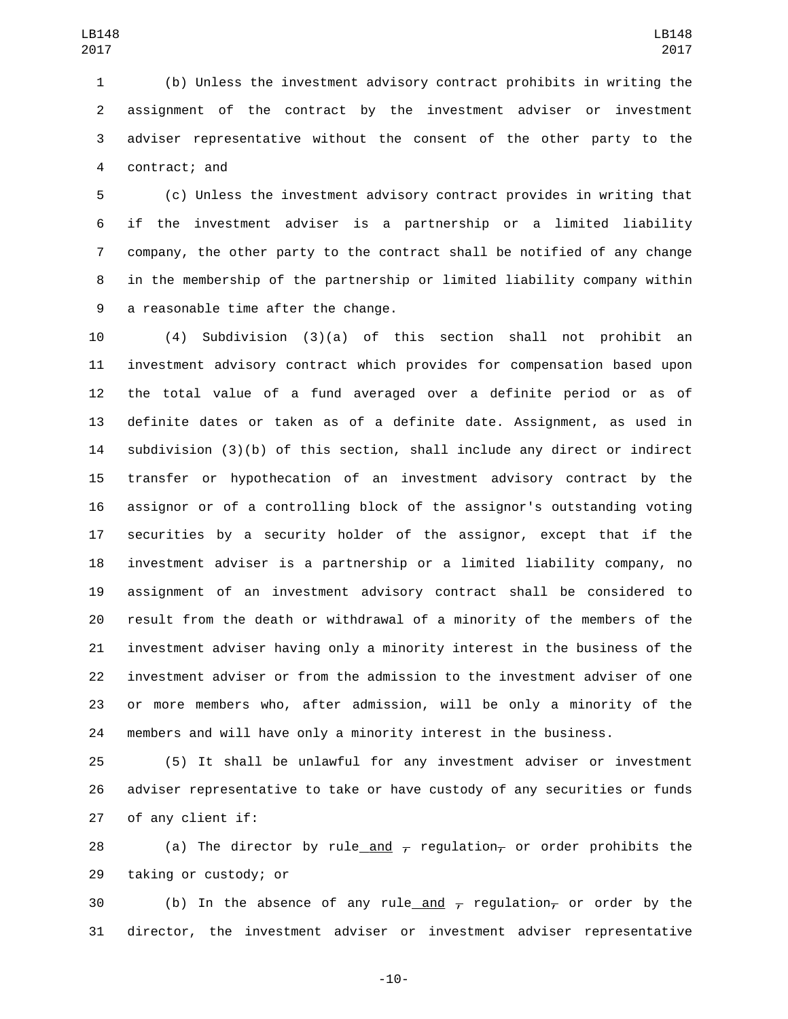(b) Unless the investment advisory contract prohibits in writing the assignment of the contract by the investment adviser or investment adviser representative without the consent of the other party to the 4 contract; and

 (c) Unless the investment advisory contract provides in writing that if the investment adviser is a partnership or a limited liability company, the other party to the contract shall be notified of any change in the membership of the partnership or limited liability company within 9 a reasonable time after the change.

 (4) Subdivision (3)(a) of this section shall not prohibit an investment advisory contract which provides for compensation based upon the total value of a fund averaged over a definite period or as of definite dates or taken as of a definite date. Assignment, as used in subdivision (3)(b) of this section, shall include any direct or indirect transfer or hypothecation of an investment advisory contract by the assignor or of a controlling block of the assignor's outstanding voting securities by a security holder of the assignor, except that if the investment adviser is a partnership or a limited liability company, no assignment of an investment advisory contract shall be considered to result from the death or withdrawal of a minority of the members of the investment adviser having only a minority interest in the business of the investment adviser or from the admission to the investment adviser of one or more members who, after admission, will be only a minority of the members and will have only a minority interest in the business.

 (5) It shall be unlawful for any investment adviser or investment adviser representative to take or have custody of any securities or funds 27 of any client if:

28 (a) The director by rule and  $\tau$  regulation $\tau$  or order prohibits the 29 taking or custody; or

30 (b) In the absence of any rule and  $\tau$  regulation $\tau$  or order by the director, the investment adviser or investment adviser representative

-10-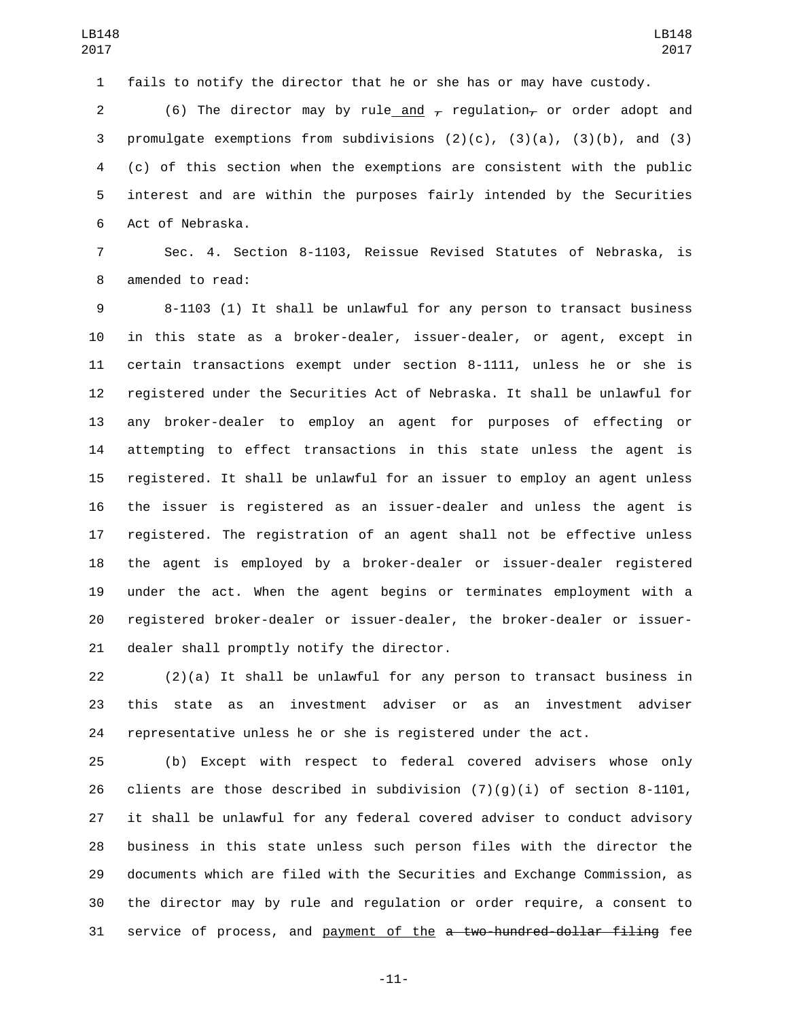fails to notify the director that he or she has or may have custody.

2 (6) The director may by rule and  $\tau$  regulation $\tau$  or order adopt and 3 promulgate exemptions from subdivisions  $(2)(c)$ ,  $(3)(a)$ ,  $(3)(b)$ , and  $(3)$  (c) of this section when the exemptions are consistent with the public interest and are within the purposes fairly intended by the Securities 6 Act of Nebraska.

 Sec. 4. Section 8-1103, Reissue Revised Statutes of Nebraska, is 8 amended to read:

 8-1103 (1) It shall be unlawful for any person to transact business in this state as a broker-dealer, issuer-dealer, or agent, except in certain transactions exempt under section 8-1111, unless he or she is registered under the Securities Act of Nebraska. It shall be unlawful for any broker-dealer to employ an agent for purposes of effecting or attempting to effect transactions in this state unless the agent is registered. It shall be unlawful for an issuer to employ an agent unless the issuer is registered as an issuer-dealer and unless the agent is registered. The registration of an agent shall not be effective unless the agent is employed by a broker-dealer or issuer-dealer registered under the act. When the agent begins or terminates employment with a registered broker-dealer or issuer-dealer, the broker-dealer or issuer-21 dealer shall promptly notify the director.

 (2)(a) It shall be unlawful for any person to transact business in this state as an investment adviser or as an investment adviser representative unless he or she is registered under the act.

 (b) Except with respect to federal covered advisers whose only 26 clients are those described in subdivision  $(7)(q)(i)$  of section 8-1101, it shall be unlawful for any federal covered adviser to conduct advisory business in this state unless such person files with the director the documents which are filed with the Securities and Exchange Commission, as the director may by rule and regulation or order require, a consent to 31 service of process, and payment of the a two-hundred-dollar filing fee

-11-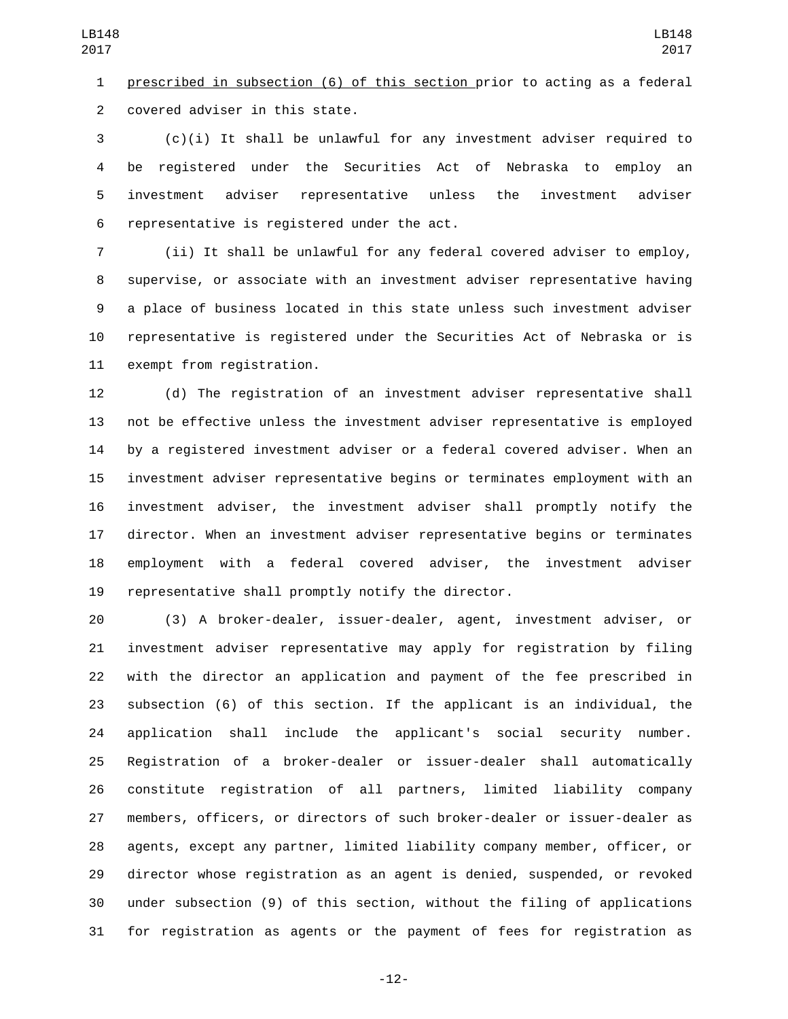prescribed in subsection (6) of this section prior to acting as a federal 2 covered adviser in this state.

 (c)(i) It shall be unlawful for any investment adviser required to be registered under the Securities Act of Nebraska to employ an investment adviser representative unless the investment adviser 6 representative is registered under the act.

 (ii) It shall be unlawful for any federal covered adviser to employ, supervise, or associate with an investment adviser representative having a place of business located in this state unless such investment adviser representative is registered under the Securities Act of Nebraska or is 11 exempt from registration.

 (d) The registration of an investment adviser representative shall not be effective unless the investment adviser representative is employed by a registered investment adviser or a federal covered adviser. When an investment adviser representative begins or terminates employment with an investment adviser, the investment adviser shall promptly notify the director. When an investment adviser representative begins or terminates employment with a federal covered adviser, the investment adviser representative shall promptly notify the director.

 (3) A broker-dealer, issuer-dealer, agent, investment adviser, or investment adviser representative may apply for registration by filing with the director an application and payment of the fee prescribed in subsection (6) of this section. If the applicant is an individual, the application shall include the applicant's social security number. Registration of a broker-dealer or issuer-dealer shall automatically constitute registration of all partners, limited liability company members, officers, or directors of such broker-dealer or issuer-dealer as agents, except any partner, limited liability company member, officer, or director whose registration as an agent is denied, suspended, or revoked under subsection (9) of this section, without the filing of applications for registration as agents or the payment of fees for registration as

-12-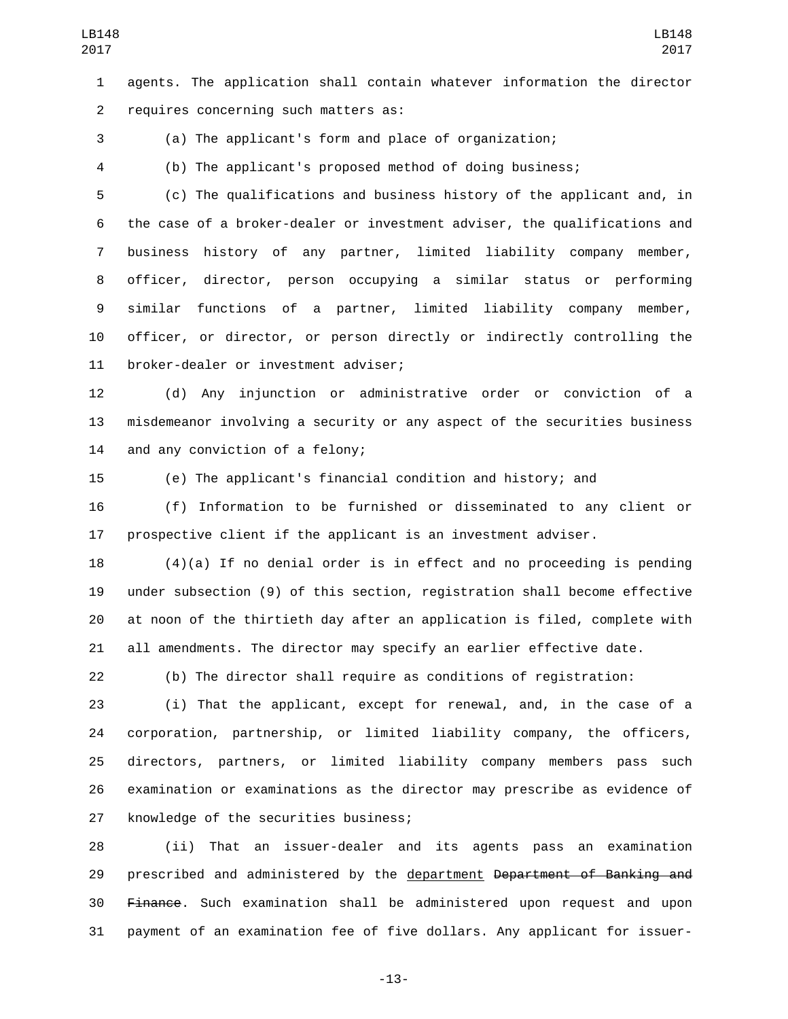agents. The application shall contain whatever information the director 2 requires concerning such matters as:

(a) The applicant's form and place of organization;

(b) The applicant's proposed method of doing business;

 (c) The qualifications and business history of the applicant and, in the case of a broker-dealer or investment adviser, the qualifications and business history of any partner, limited liability company member, officer, director, person occupying a similar status or performing similar functions of a partner, limited liability company member, officer, or director, or person directly or indirectly controlling the 11 broker-dealer or investment adviser;

 (d) Any injunction or administrative order or conviction of a misdemeanor involving a security or any aspect of the securities business 14 and any conviction of a felony;

(e) The applicant's financial condition and history; and

 (f) Information to be furnished or disseminated to any client or prospective client if the applicant is an investment adviser.

 (4)(a) If no denial order is in effect and no proceeding is pending under subsection (9) of this section, registration shall become effective at noon of the thirtieth day after an application is filed, complete with all amendments. The director may specify an earlier effective date.

(b) The director shall require as conditions of registration:

 (i) That the applicant, except for renewal, and, in the case of a corporation, partnership, or limited liability company, the officers, directors, partners, or limited liability company members pass such examination or examinations as the director may prescribe as evidence of 27 knowledge of the securities business;

 (ii) That an issuer-dealer and its agents pass an examination 29 prescribed and administered by the department Department of Banking and Finance. Such examination shall be administered upon request and upon payment of an examination fee of five dollars. Any applicant for issuer-

-13-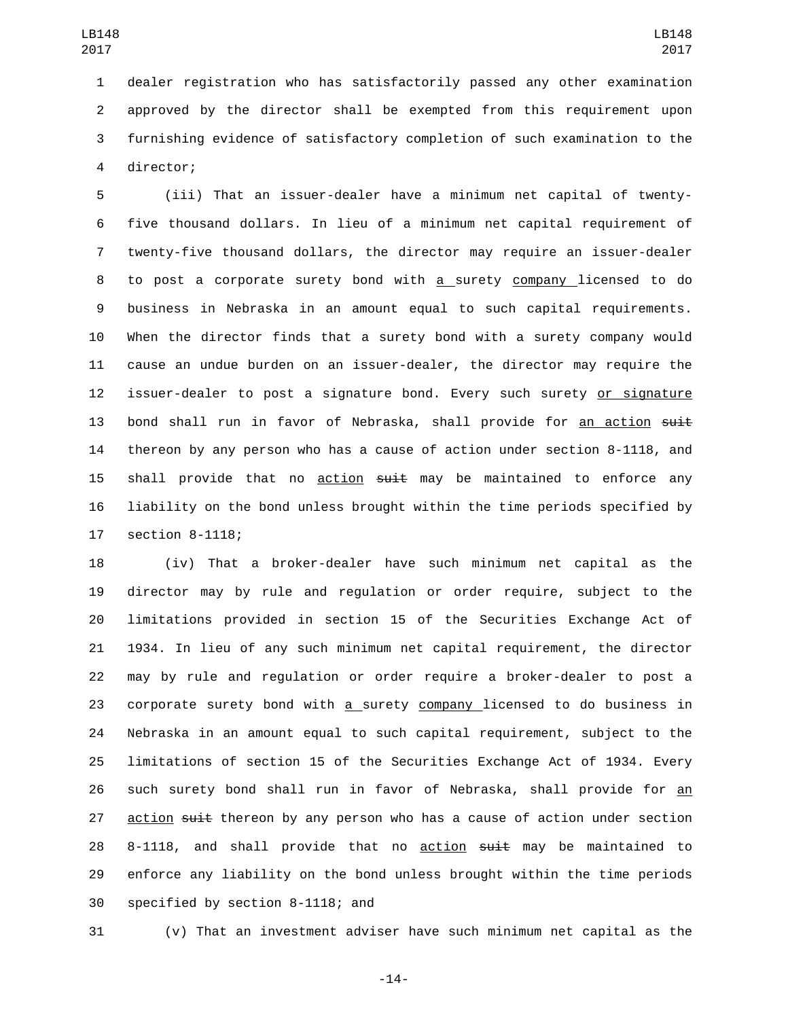dealer registration who has satisfactorily passed any other examination approved by the director shall be exempted from this requirement upon furnishing evidence of satisfactory completion of such examination to the 4 director;

 (iii) That an issuer-dealer have a minimum net capital of twenty- five thousand dollars. In lieu of a minimum net capital requirement of twenty-five thousand dollars, the director may require an issuer-dealer to post a corporate surety bond with a surety company licensed to do business in Nebraska in an amount equal to such capital requirements. When the director finds that a surety bond with a surety company would cause an undue burden on an issuer-dealer, the director may require the issuer-dealer to post a signature bond. Every such surety or signature 13 bond shall run in favor of Nebraska, shall provide for an action suit thereon by any person who has a cause of action under section 8-1118, and 15 shall provide that no action  $s$ uit may be maintained to enforce any liability on the bond unless brought within the time periods specified by 17 section 8-1118;

 (iv) That a broker-dealer have such minimum net capital as the director may by rule and regulation or order require, subject to the limitations provided in section 15 of the Securities Exchange Act of 1934. In lieu of any such minimum net capital requirement, the director may by rule and regulation or order require a broker-dealer to post a corporate surety bond with a surety company licensed to do business in Nebraska in an amount equal to such capital requirement, subject to the limitations of section 15 of the Securities Exchange Act of 1934. Every such surety bond shall run in favor of Nebraska, shall provide for an 27 action  $s$ uit thereon by any person who has a cause of action under section 28 8-1118, and shall provide that no action suit may be maintained to enforce any liability on the bond unless brought within the time periods 30 specified by section 8-1118; and

(v) That an investment adviser have such minimum net capital as the

-14-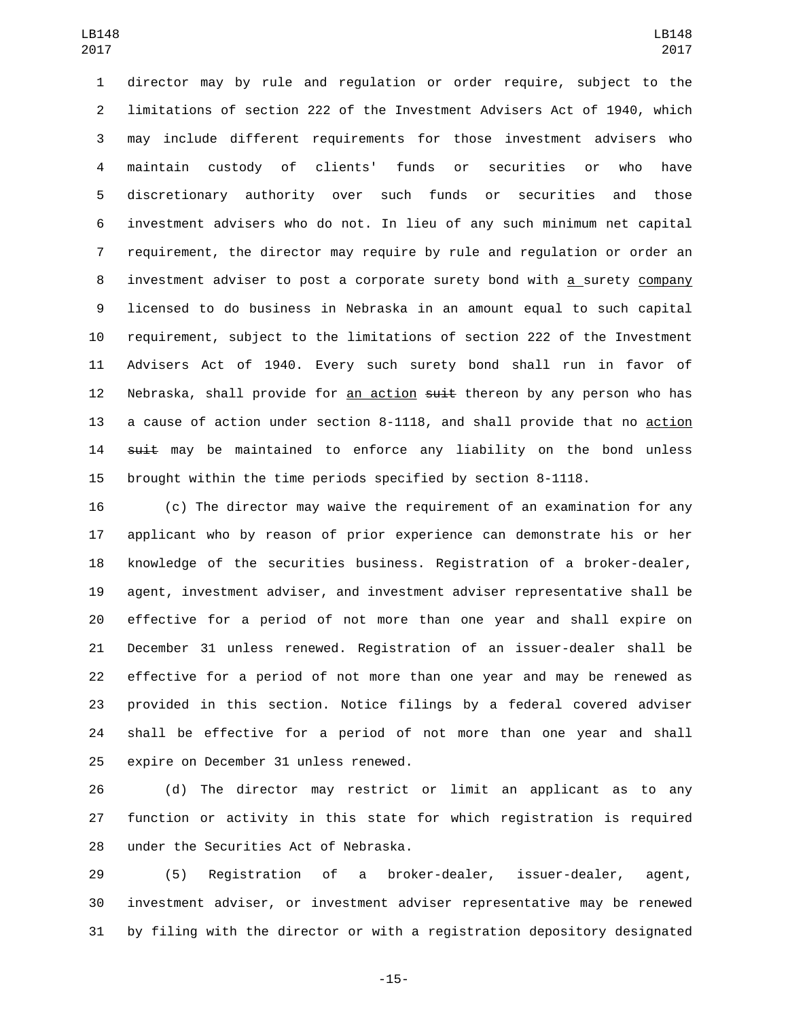director may by rule and regulation or order require, subject to the limitations of section 222 of the Investment Advisers Act of 1940, which may include different requirements for those investment advisers who maintain custody of clients' funds or securities or who have discretionary authority over such funds or securities and those investment advisers who do not. In lieu of any such minimum net capital requirement, the director may require by rule and regulation or order an investment adviser to post a corporate surety bond with a surety company licensed to do business in Nebraska in an amount equal to such capital requirement, subject to the limitations of section 222 of the Investment Advisers Act of 1940. Every such surety bond shall run in favor of 12 Nebraska, shall provide for an action suit thereon by any person who has a cause of action under section 8-1118, and shall provide that no action 14 suit may be maintained to enforce any liability on the bond unless brought within the time periods specified by section 8-1118.

 (c) The director may waive the requirement of an examination for any applicant who by reason of prior experience can demonstrate his or her knowledge of the securities business. Registration of a broker-dealer, agent, investment adviser, and investment adviser representative shall be effective for a period of not more than one year and shall expire on December 31 unless renewed. Registration of an issuer-dealer shall be effective for a period of not more than one year and may be renewed as provided in this section. Notice filings by a federal covered adviser shall be effective for a period of not more than one year and shall 25 expire on December 31 unless renewed.

 (d) The director may restrict or limit an applicant as to any function or activity in this state for which registration is required 28 under the Securities Act of Nebraska.

 (5) Registration of a broker-dealer, issuer-dealer, agent, investment adviser, or investment adviser representative may be renewed by filing with the director or with a registration depository designated

-15-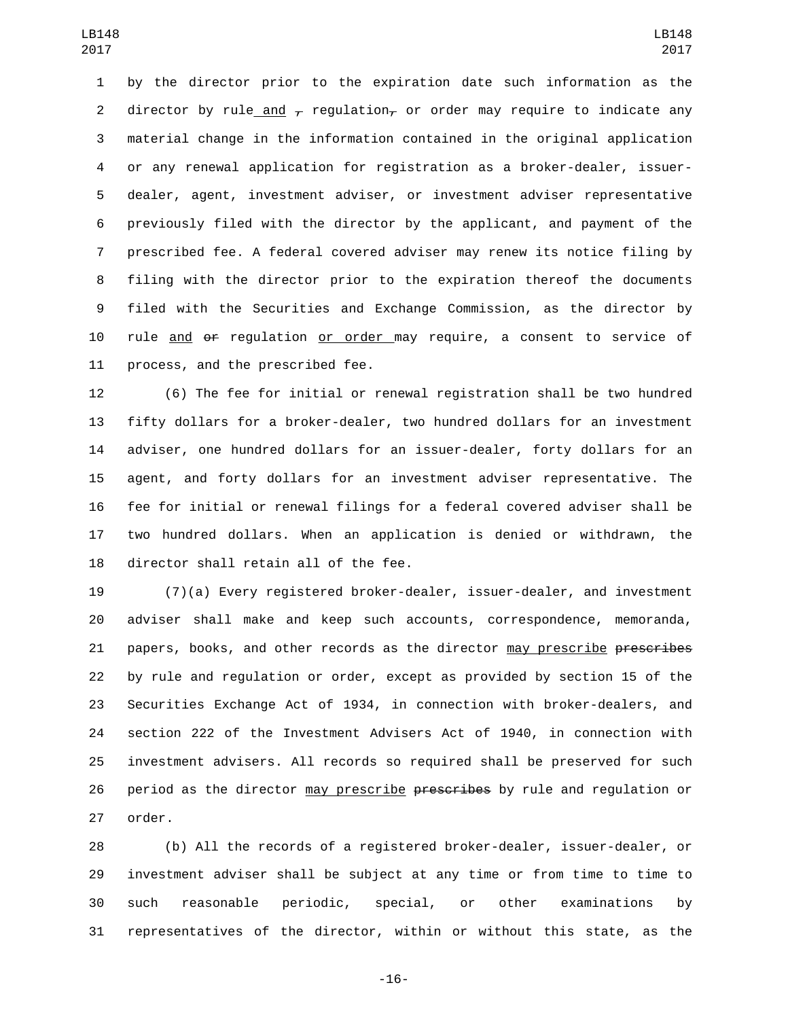by the director prior to the expiration date such information as the 2 director by rule and  $\tau$  regulation $\tau$  or order may require to indicate any material change in the information contained in the original application or any renewal application for registration as a broker-dealer, issuer- dealer, agent, investment adviser, or investment adviser representative previously filed with the director by the applicant, and payment of the prescribed fee. A federal covered adviser may renew its notice filing by filing with the director prior to the expiration thereof the documents filed with the Securities and Exchange Commission, as the director by 10 rule and  $\theta$  regulation or order may require, a consent to service of 11 process, and the prescribed fee.

 (6) The fee for initial or renewal registration shall be two hundred fifty dollars for a broker-dealer, two hundred dollars for an investment adviser, one hundred dollars for an issuer-dealer, forty dollars for an agent, and forty dollars for an investment adviser representative. The fee for initial or renewal filings for a federal covered adviser shall be two hundred dollars. When an application is denied or withdrawn, the 18 director shall retain all of the fee.

 (7)(a) Every registered broker-dealer, issuer-dealer, and investment adviser shall make and keep such accounts, correspondence, memoranda, 21 papers, books, and other records as the director may prescribe prescribes by rule and regulation or order, except as provided by section 15 of the Securities Exchange Act of 1934, in connection with broker-dealers, and section 222 of the Investment Advisers Act of 1940, in connection with investment advisers. All records so required shall be preserved for such 26 period as the director may prescribe prescribes by rule and regulation or 27 order.

 (b) All the records of a registered broker-dealer, issuer-dealer, or investment adviser shall be subject at any time or from time to time to such reasonable periodic, special, or other examinations by representatives of the director, within or without this state, as the

-16-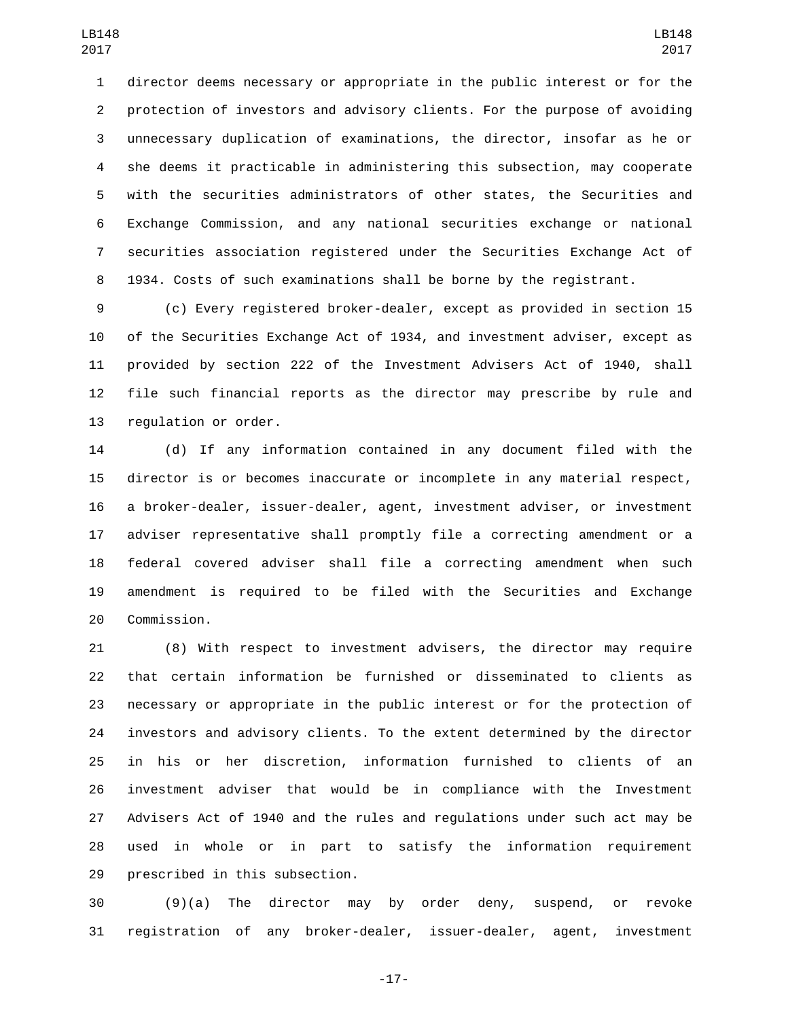director deems necessary or appropriate in the public interest or for the protection of investors and advisory clients. For the purpose of avoiding unnecessary duplication of examinations, the director, insofar as he or she deems it practicable in administering this subsection, may cooperate with the securities administrators of other states, the Securities and Exchange Commission, and any national securities exchange or national securities association registered under the Securities Exchange Act of 1934. Costs of such examinations shall be borne by the registrant.

 (c) Every registered broker-dealer, except as provided in section 15 of the Securities Exchange Act of 1934, and investment adviser, except as provided by section 222 of the Investment Advisers Act of 1940, shall file such financial reports as the director may prescribe by rule and 13 regulation or order.

 (d) If any information contained in any document filed with the director is or becomes inaccurate or incomplete in any material respect, a broker-dealer, issuer-dealer, agent, investment adviser, or investment adviser representative shall promptly file a correcting amendment or a federal covered adviser shall file a correcting amendment when such amendment is required to be filed with the Securities and Exchange 20 Commission.

 (8) With respect to investment advisers, the director may require that certain information be furnished or disseminated to clients as necessary or appropriate in the public interest or for the protection of investors and advisory clients. To the extent determined by the director in his or her discretion, information furnished to clients of an investment adviser that would be in compliance with the Investment Advisers Act of 1940 and the rules and regulations under such act may be used in whole or in part to satisfy the information requirement 29 prescribed in this subsection.

 (9)(a) The director may by order deny, suspend, or revoke registration of any broker-dealer, issuer-dealer, agent, investment

-17-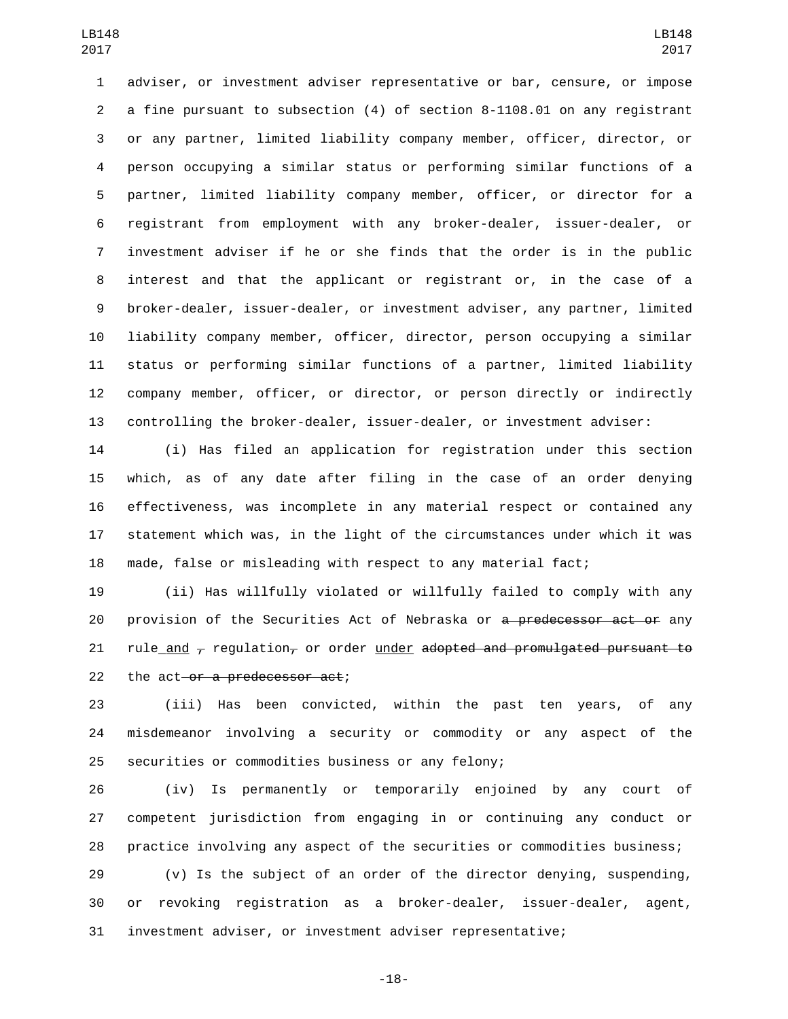adviser, or investment adviser representative or bar, censure, or impose a fine pursuant to subsection (4) of section 8-1108.01 on any registrant or any partner, limited liability company member, officer, director, or person occupying a similar status or performing similar functions of a partner, limited liability company member, officer, or director for a registrant from employment with any broker-dealer, issuer-dealer, or investment adviser if he or she finds that the order is in the public interest and that the applicant or registrant or, in the case of a broker-dealer, issuer-dealer, or investment adviser, any partner, limited liability company member, officer, director, person occupying a similar status or performing similar functions of a partner, limited liability company member, officer, or director, or person directly or indirectly controlling the broker-dealer, issuer-dealer, or investment adviser:

 (i) Has filed an application for registration under this section which, as of any date after filing in the case of an order denying effectiveness, was incomplete in any material respect or contained any statement which was, in the light of the circumstances under which it was made, false or misleading with respect to any material fact;

 (ii) Has willfully violated or willfully failed to comply with any 20 provision of the Securities Act of Nebraska or a predecessor act or any 21 rule and  $\tau$  regulation $\tau$  or order under adopted and promulgated pursuant to 22 the act-or a predecessor act;

 (iii) Has been convicted, within the past ten years, of any misdemeanor involving a security or commodity or any aspect of the 25 securities or commodities business or any felony;

 (iv) Is permanently or temporarily enjoined by any court of competent jurisdiction from engaging in or continuing any conduct or practice involving any aspect of the securities or commodities business;

 (v) Is the subject of an order of the director denying, suspending, or revoking registration as a broker-dealer, issuer-dealer, agent, investment adviser, or investment adviser representative;

-18-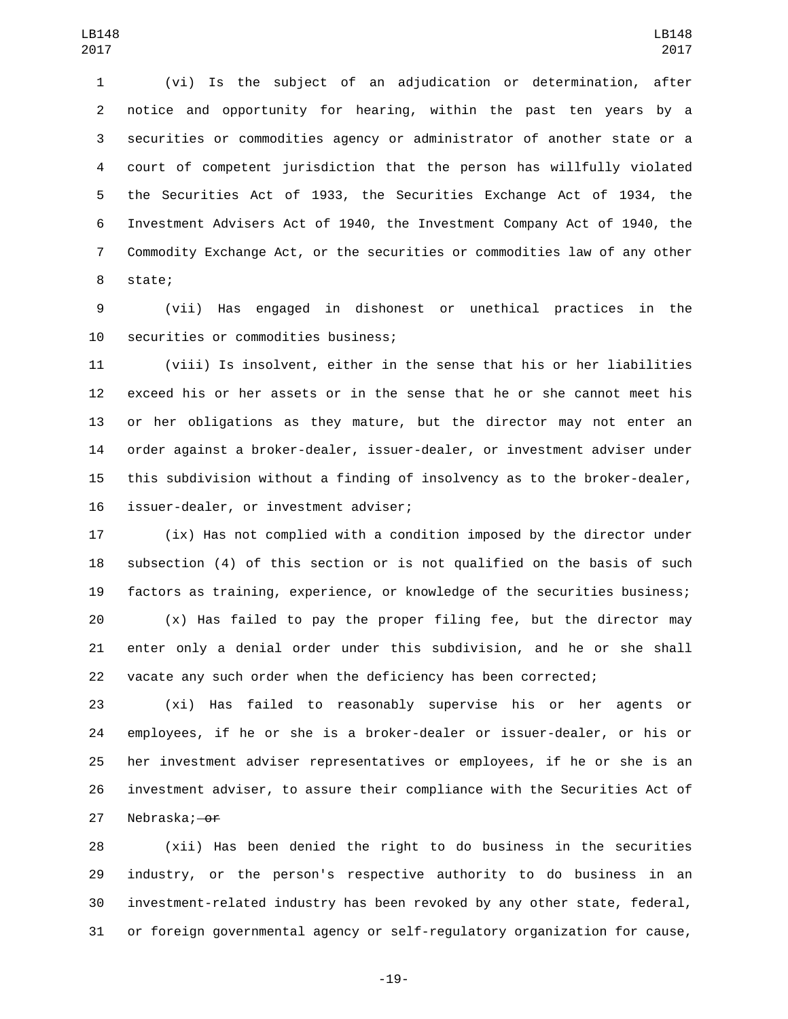(vi) Is the subject of an adjudication or determination, after notice and opportunity for hearing, within the past ten years by a securities or commodities agency or administrator of another state or a court of competent jurisdiction that the person has willfully violated the Securities Act of 1933, the Securities Exchange Act of 1934, the Investment Advisers Act of 1940, the Investment Company Act of 1940, the Commodity Exchange Act, or the securities or commodities law of any other 8 state;

 (vii) Has engaged in dishonest or unethical practices in the 10 securities or commodities business;

 (viii) Is insolvent, either in the sense that his or her liabilities exceed his or her assets or in the sense that he or she cannot meet his or her obligations as they mature, but the director may not enter an order against a broker-dealer, issuer-dealer, or investment adviser under this subdivision without a finding of insolvency as to the broker-dealer, 16 issuer-dealer, or investment adviser;

 (ix) Has not complied with a condition imposed by the director under subsection (4) of this section or is not qualified on the basis of such factors as training, experience, or knowledge of the securities business;

 (x) Has failed to pay the proper filing fee, but the director may enter only a denial order under this subdivision, and he or she shall vacate any such order when the deficiency has been corrected;

 (xi) Has failed to reasonably supervise his or her agents or employees, if he or she is a broker-dealer or issuer-dealer, or his or her investment adviser representatives or employees, if he or she is an investment adviser, to assure their compliance with the Securities Act of 27 Nebraska;<del>or</del>

 (xii) Has been denied the right to do business in the securities industry, or the person's respective authority to do business in an investment-related industry has been revoked by any other state, federal, or foreign governmental agency or self-regulatory organization for cause,

-19-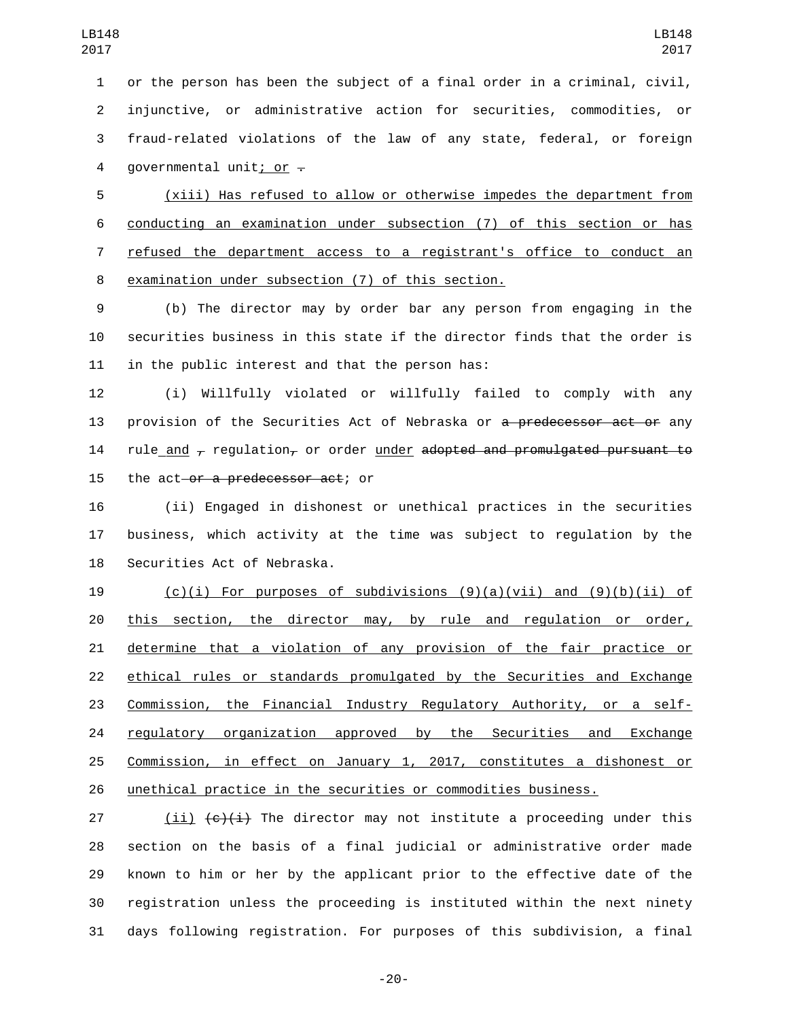or the person has been the subject of a final order in a criminal, civil, injunctive, or administrative action for securities, commodities, or fraud-related violations of the law of any state, federal, or foreign 4 governmental unit; or  $\overline{z}$ 

 (xiii) Has refused to allow or otherwise impedes the department from conducting an examination under subsection (7) of this section or has refused the department access to a registrant's office to conduct an 8 examination under subsection (7) of this section.

 (b) The director may by order bar any person from engaging in the securities business in this state if the director finds that the order is 11 in the public interest and that the person has:

 (i) Willfully violated or willfully failed to comply with any 13 provision of the Securities Act of Nebraska or a predecessor act or any 14 rule and  $<sub>\tau</sub>$  regulation $<sub>\tau</sub>$  or order <u>under</u> adopted and promulgated pursuant to</sub></sub> 15 the act or a predecessor act; or

 (ii) Engaged in dishonest or unethical practices in the securities business, which activity at the time was subject to regulation by the 18 Securities Act of Nebraska.

 $(c)(i)$  For purposes of subdivisions  $(9)(a)(vii)$  and  $(9)(b)(ii)$  of this section, the director may, by rule and regulation or order, determine that a violation of any provision of the fair practice or ethical rules or standards promulgated by the Securities and Exchange Commission, the Financial Industry Regulatory Authority, or a self-24 regulatory organization approved by the Securities and Exchange Commission, in effect on January 1, 2017, constitutes a dishonest or unethical practice in the securities or commodities business.

27 (ii)  $\left\{ \epsilon \right\}$  (ii)  $\left\{ \epsilon \right\}$  The director may not institute a proceeding under this section on the basis of a final judicial or administrative order made known to him or her by the applicant prior to the effective date of the registration unless the proceeding is instituted within the next ninety days following registration. For purposes of this subdivision, a final

-20-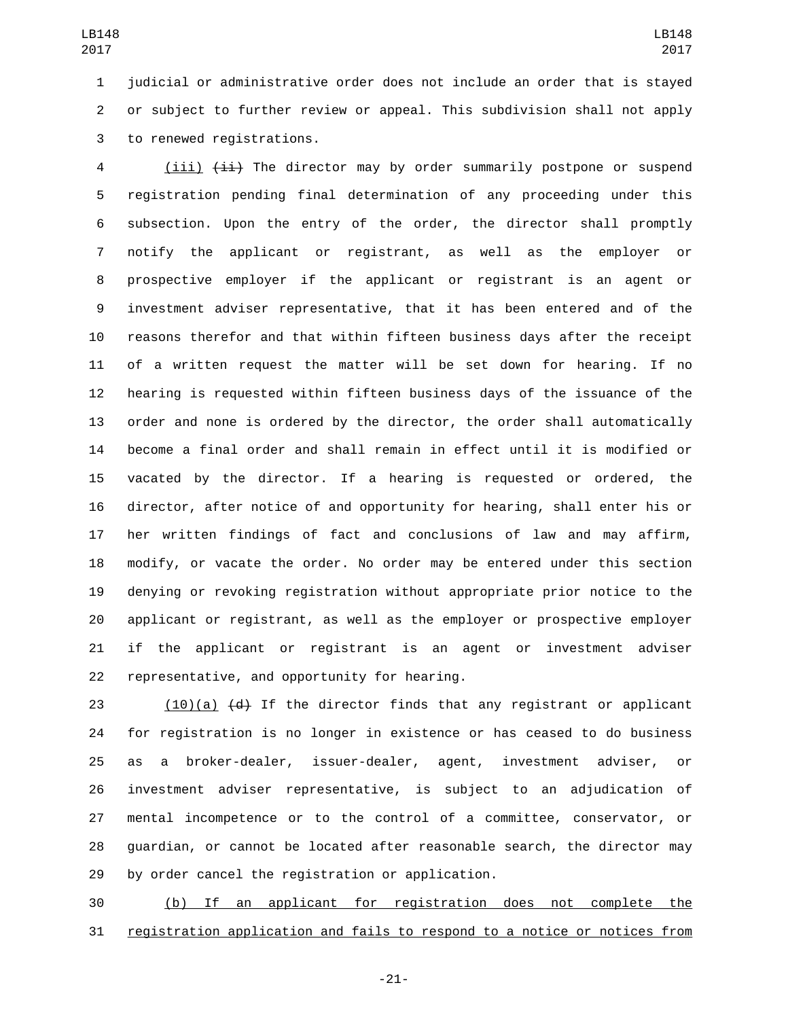judicial or administrative order does not include an order that is stayed or subject to further review or appeal. This subdivision shall not apply 3 to renewed registrations.

4 (iii)  $\leftarrow{4\pm}$  The director may by order summarily postpone or suspend registration pending final determination of any proceeding under this subsection. Upon the entry of the order, the director shall promptly notify the applicant or registrant, as well as the employer or prospective employer if the applicant or registrant is an agent or investment adviser representative, that it has been entered and of the reasons therefor and that within fifteen business days after the receipt of a written request the matter will be set down for hearing. If no hearing is requested within fifteen business days of the issuance of the order and none is ordered by the director, the order shall automatically become a final order and shall remain in effect until it is modified or vacated by the director. If a hearing is requested or ordered, the director, after notice of and opportunity for hearing, shall enter his or her written findings of fact and conclusions of law and may affirm, modify, or vacate the order. No order may be entered under this section denying or revoking registration without appropriate prior notice to the applicant or registrant, as well as the employer or prospective employer if the applicant or registrant is an agent or investment adviser 22 representative, and opportunity for hearing.

23 (10)(a)  $\left(\frac{d}{dt}\right)$  If the director finds that any registrant or applicant for registration is no longer in existence or has ceased to do business as a broker-dealer, issuer-dealer, agent, investment adviser, or investment adviser representative, is subject to an adjudication of mental incompetence or to the control of a committee, conservator, or guardian, or cannot be located after reasonable search, the director may 29 by order cancel the registration or application.

 (b) If an applicant for registration does not complete the registration application and fails to respond to a notice or notices from

-21-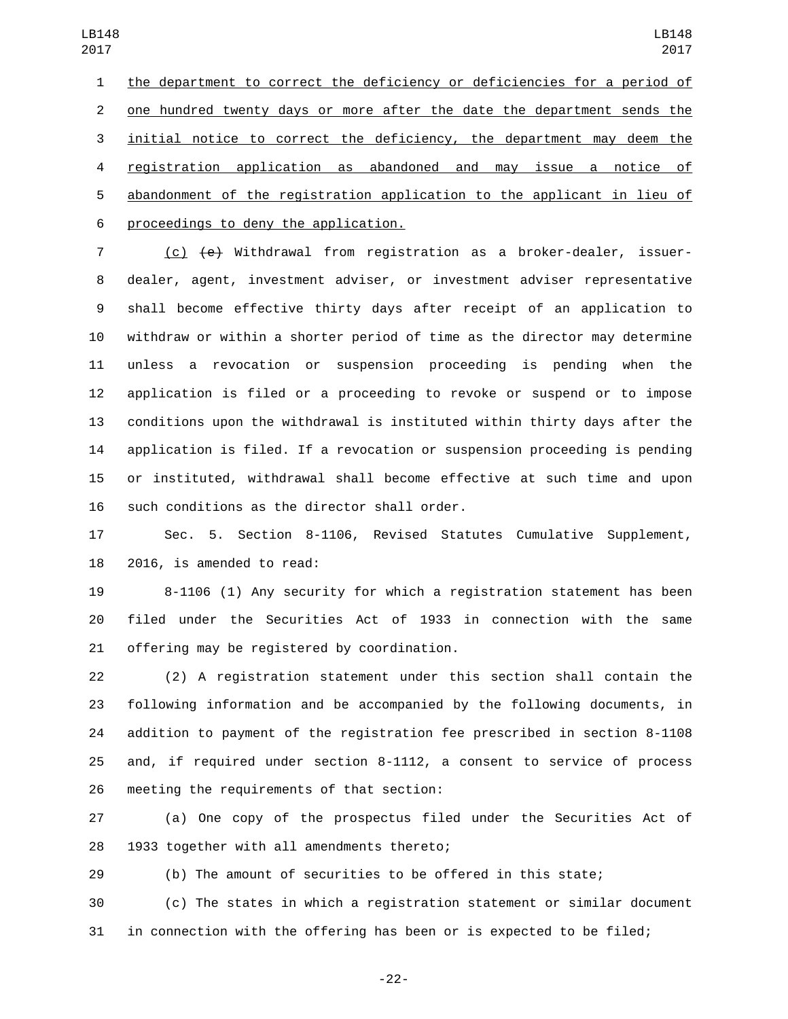the department to correct the deficiency or deficiencies for a period of one hundred twenty days or more after the date the department sends the initial notice to correct the deficiency, the department may deem the registration application as abandoned and may issue a notice of abandonment of the registration application to the applicant in lieu of 6 proceedings to deny the application.

 (c) (e) Withdrawal from registration as a broker-dealer, issuer- dealer, agent, investment adviser, or investment adviser representative shall become effective thirty days after receipt of an application to withdraw or within a shorter period of time as the director may determine unless a revocation or suspension proceeding is pending when the application is filed or a proceeding to revoke or suspend or to impose conditions upon the withdrawal is instituted within thirty days after the application is filed. If a revocation or suspension proceeding is pending or instituted, withdrawal shall become effective at such time and upon 16 such conditions as the director shall order.

 Sec. 5. Section 8-1106, Revised Statutes Cumulative Supplement, 2016, is amended to read:

 8-1106 (1) Any security for which a registration statement has been filed under the Securities Act of 1933 in connection with the same 21 offering may be registered by coordination.

 (2) A registration statement under this section shall contain the following information and be accompanied by the following documents, in addition to payment of the registration fee prescribed in section 8-1108 and, if required under section 8-1112, a consent to service of process 26 meeting the requirements of that section:

 (a) One copy of the prospectus filed under the Securities Act of 28 1933 together with all amendments thereto;

(b) The amount of securities to be offered in this state;

 (c) The states in which a registration statement or similar document in connection with the offering has been or is expected to be filed;

-22-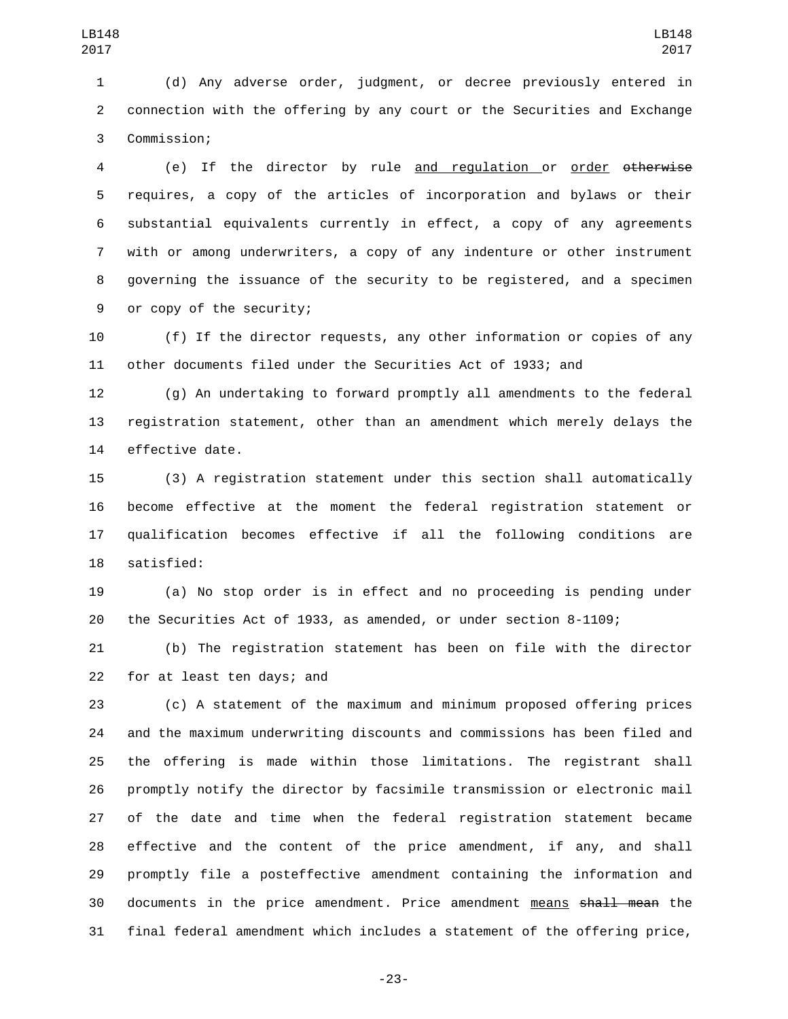(d) Any adverse order, judgment, or decree previously entered in connection with the offering by any court or the Securities and Exchange 3 Commission;

 (e) If the director by rule and regulation or order otherwise requires, a copy of the articles of incorporation and bylaws or their substantial equivalents currently in effect, a copy of any agreements with or among underwriters, a copy of any indenture or other instrument governing the issuance of the security to be registered, and a specimen 9 or copy of the security;

 (f) If the director requests, any other information or copies of any other documents filed under the Securities Act of 1933; and

 (g) An undertaking to forward promptly all amendments to the federal registration statement, other than an amendment which merely delays the 14 effective date.

 (3) A registration statement under this section shall automatically become effective at the moment the federal registration statement or qualification becomes effective if all the following conditions are 18 satisfied:

 (a) No stop order is in effect and no proceeding is pending under the Securities Act of 1933, as amended, or under section 8-1109;

 (b) The registration statement has been on file with the director 22 for at least ten days; and

 (c) A statement of the maximum and minimum proposed offering prices and the maximum underwriting discounts and commissions has been filed and the offering is made within those limitations. The registrant shall promptly notify the director by facsimile transmission or electronic mail of the date and time when the federal registration statement became effective and the content of the price amendment, if any, and shall promptly file a posteffective amendment containing the information and documents in the price amendment. Price amendment means shall mean the final federal amendment which includes a statement of the offering price,

-23-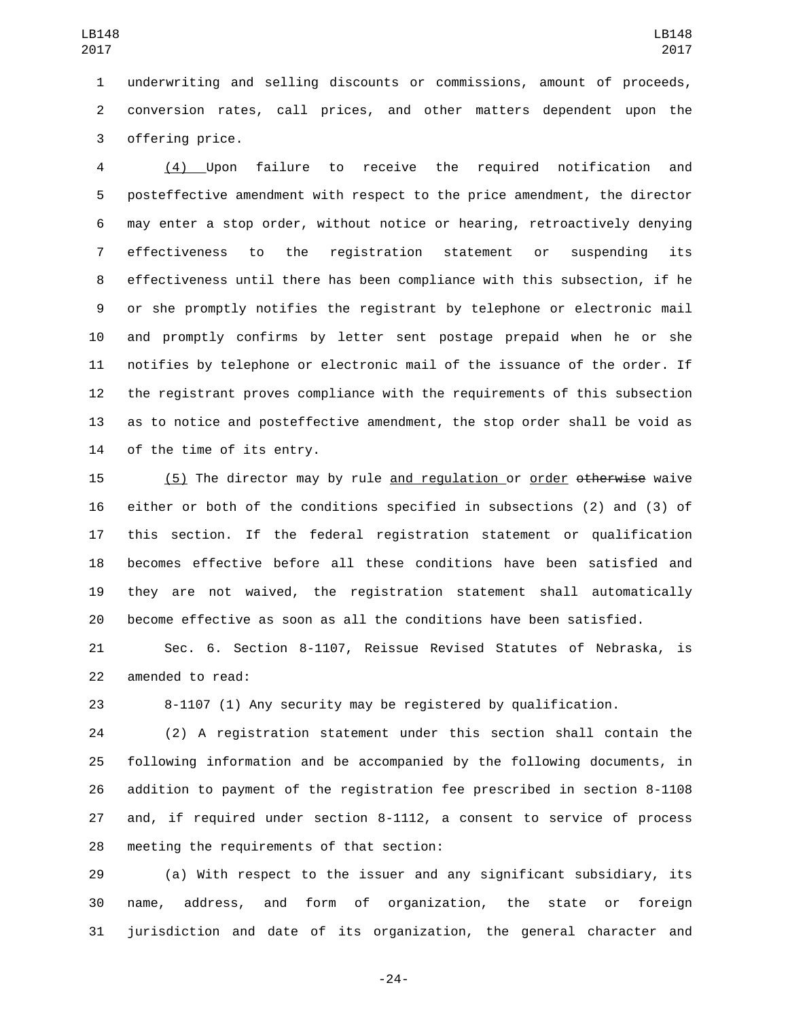underwriting and selling discounts or commissions, amount of proceeds, conversion rates, call prices, and other matters dependent upon the 3 offering price.

 (4) Upon failure to receive the required notification and posteffective amendment with respect to the price amendment, the director may enter a stop order, without notice or hearing, retroactively denying effectiveness to the registration statement or suspending its effectiveness until there has been compliance with this subsection, if he or she promptly notifies the registrant by telephone or electronic mail and promptly confirms by letter sent postage prepaid when he or she notifies by telephone or electronic mail of the issuance of the order. If the registrant proves compliance with the requirements of this subsection as to notice and posteffective amendment, the stop order shall be void as 14 of the time of its entry.

 (5) The director may by rule and regulation or order otherwise waive either or both of the conditions specified in subsections (2) and (3) of this section. If the federal registration statement or qualification becomes effective before all these conditions have been satisfied and they are not waived, the registration statement shall automatically become effective as soon as all the conditions have been satisfied.

 Sec. 6. Section 8-1107, Reissue Revised Statutes of Nebraska, is 22 amended to read:

8-1107 (1) Any security may be registered by qualification.

 (2) A registration statement under this section shall contain the following information and be accompanied by the following documents, in addition to payment of the registration fee prescribed in section 8-1108 and, if required under section 8-1112, a consent to service of process 28 meeting the requirements of that section:

 (a) With respect to the issuer and any significant subsidiary, its name, address, and form of organization, the state or foreign jurisdiction and date of its organization, the general character and

-24-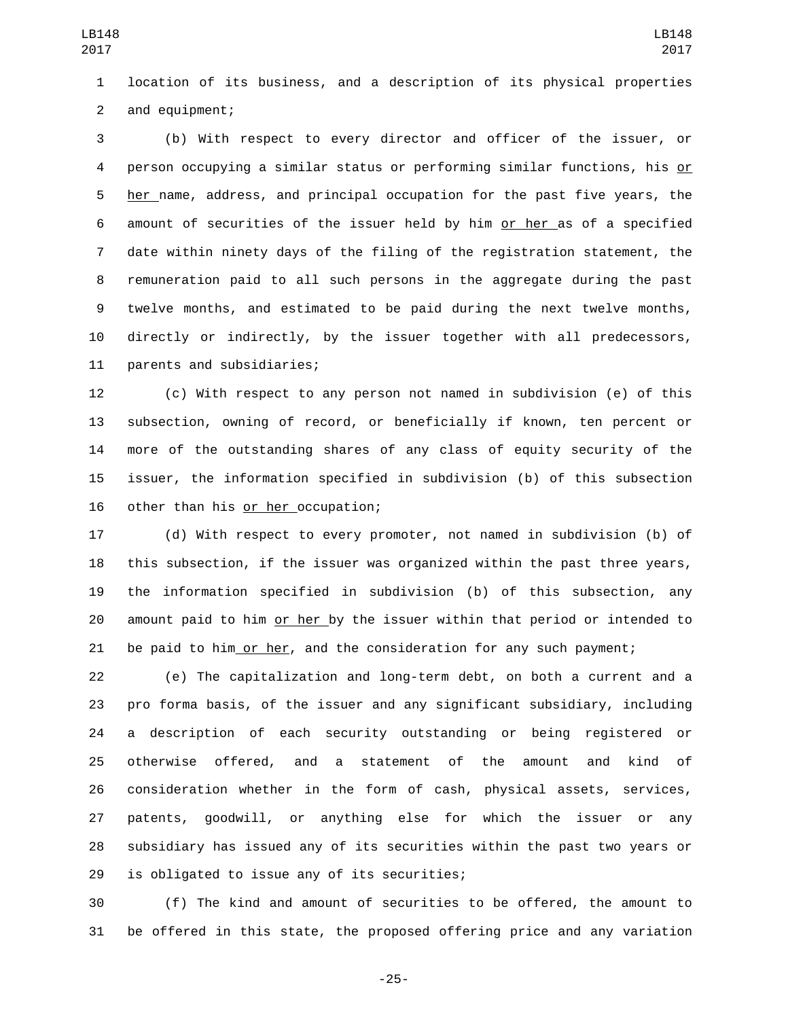location of its business, and a description of its physical properties 2 and equipment;

 (b) With respect to every director and officer of the issuer, or person occupying a similar status or performing similar functions, his or her name, address, and principal occupation for the past five years, the amount of securities of the issuer held by him or her as of a specified date within ninety days of the filing of the registration statement, the remuneration paid to all such persons in the aggregate during the past twelve months, and estimated to be paid during the next twelve months, directly or indirectly, by the issuer together with all predecessors, 11 parents and subsidiaries;

 (c) With respect to any person not named in subdivision (e) of this subsection, owning of record, or beneficially if known, ten percent or more of the outstanding shares of any class of equity security of the issuer, the information specified in subdivision (b) of this subsection 16 other than his or her occupation;

 (d) With respect to every promoter, not named in subdivision (b) of this subsection, if the issuer was organized within the past three years, the information specified in subdivision (b) of this subsection, any amount paid to him or her by the issuer within that period or intended to be paid to him or her, and the consideration for any such payment;

 (e) The capitalization and long-term debt, on both a current and a pro forma basis, of the issuer and any significant subsidiary, including a description of each security outstanding or being registered or otherwise offered, and a statement of the amount and kind of consideration whether in the form of cash, physical assets, services, patents, goodwill, or anything else for which the issuer or any subsidiary has issued any of its securities within the past two years or 29 is obligated to issue any of its securities;

 (f) The kind and amount of securities to be offered, the amount to be offered in this state, the proposed offering price and any variation

-25-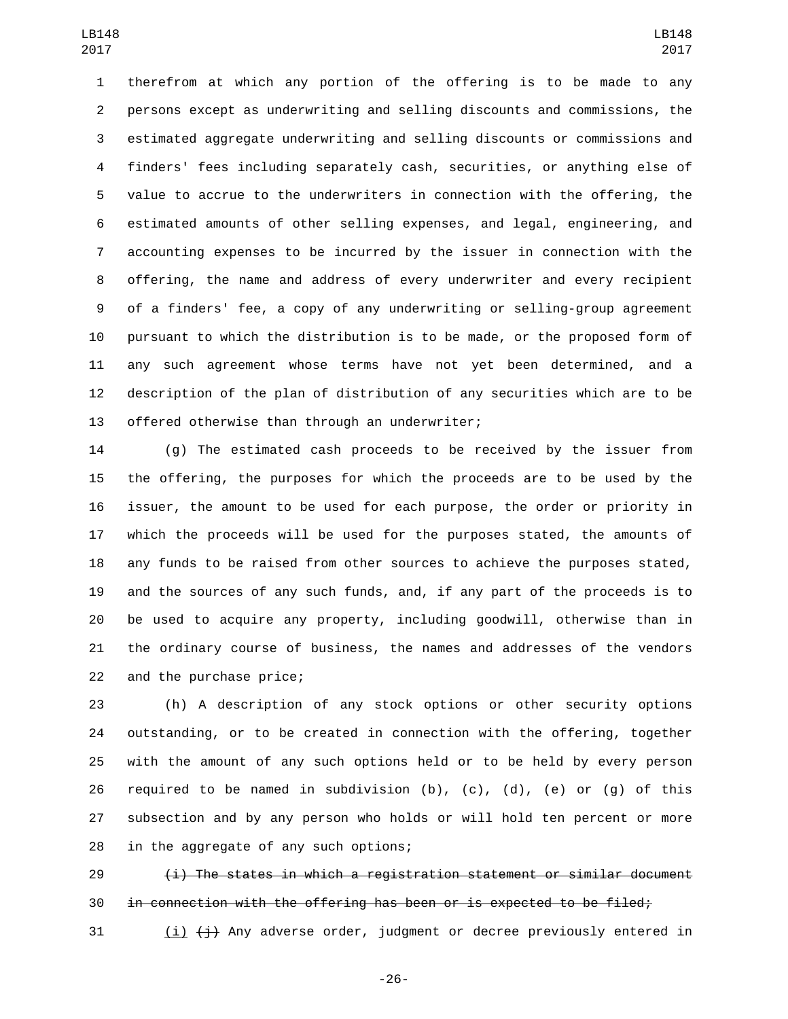therefrom at which any portion of the offering is to be made to any persons except as underwriting and selling discounts and commissions, the estimated aggregate underwriting and selling discounts or commissions and finders' fees including separately cash, securities, or anything else of value to accrue to the underwriters in connection with the offering, the estimated amounts of other selling expenses, and legal, engineering, and accounting expenses to be incurred by the issuer in connection with the offering, the name and address of every underwriter and every recipient of a finders' fee, a copy of any underwriting or selling-group agreement pursuant to which the distribution is to be made, or the proposed form of any such agreement whose terms have not yet been determined, and a description of the plan of distribution of any securities which are to be 13 offered otherwise than through an underwriter;

 (g) The estimated cash proceeds to be received by the issuer from the offering, the purposes for which the proceeds are to be used by the issuer, the amount to be used for each purpose, the order or priority in which the proceeds will be used for the purposes stated, the amounts of any funds to be raised from other sources to achieve the purposes stated, and the sources of any such funds, and, if any part of the proceeds is to be used to acquire any property, including goodwill, otherwise than in the ordinary course of business, the names and addresses of the vendors 22 and the purchase price;

 (h) A description of any stock options or other security options outstanding, or to be created in connection with the offering, together with the amount of any such options held or to be held by every person 26 required to be named in subdivision  $(b)$ ,  $(c)$ ,  $(d)$ ,  $(e)$  or  $(g)$  of this subsection and by any person who holds or will hold ten percent or more 28 in the aggregate of any such options;

 $(i)$  The states in which a registration statement or similar document in connection with the offering has been or is expected to be filed;

(i)  $\leftrightarrow$  Any adverse order, judgment or decree previously entered in

-26-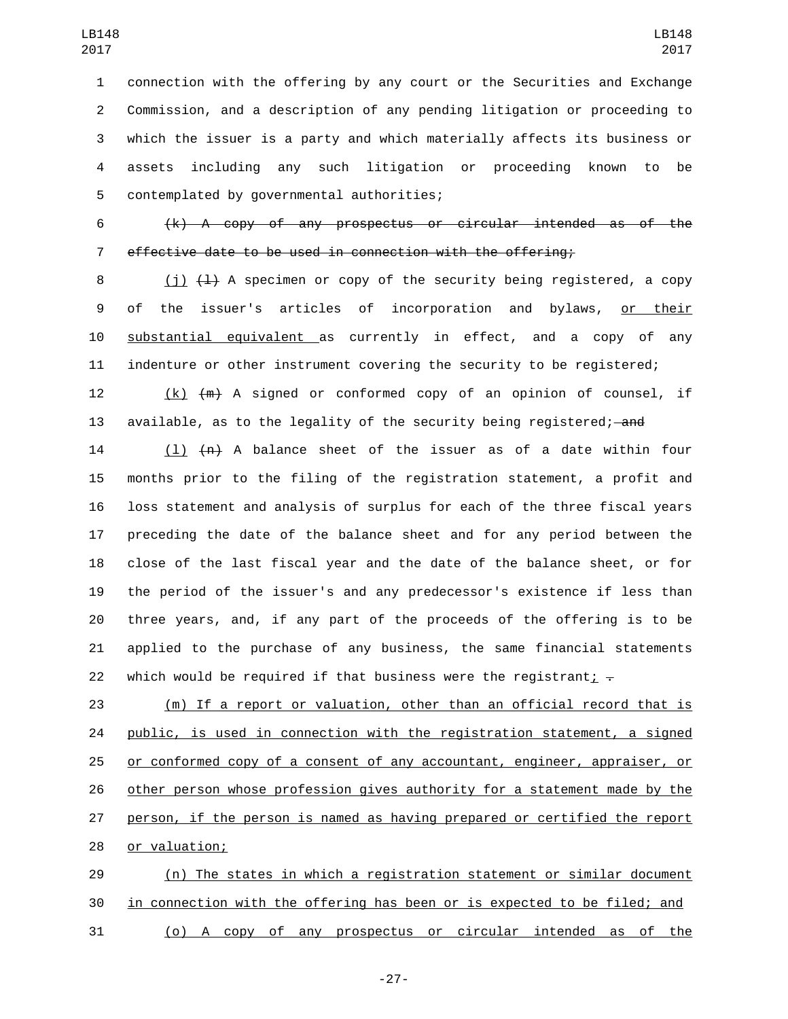connection with the offering by any court or the Securities and Exchange Commission, and a description of any pending litigation or proceeding to which the issuer is a party and which materially affects its business or assets including any such litigation or proceeding known to be 5 contemplated by governmental authorities;

 (k) A copy of any prospectus or circular intended as of the effective date to be used in connection with the offering;

 $(i)$   $(i)$  A specimen or copy of the security being registered, a copy of the issuer's articles of incorporation and bylaws, or their substantial equivalent as currently in effect, and a copy of any indenture or other instrument covering the security to be registered;

 (k) (m) A signed or conformed copy of an opinion of counsel, if 13 available, as to the legality of the security being registered; and

 $(1)$   $(n)$  A balance sheet of the issuer as of a date within four months prior to the filing of the registration statement, a profit and loss statement and analysis of surplus for each of the three fiscal years preceding the date of the balance sheet and for any period between the close of the last fiscal year and the date of the balance sheet, or for the period of the issuer's and any predecessor's existence if less than three years, and, if any part of the proceeds of the offering is to be applied to the purchase of any business, the same financial statements 22 which would be required if that business were the registrant;  $\overline{z}$ 

 (m) If a report or valuation, other than an official record that is public, is used in connection with the registration statement, a signed or conformed copy of a consent of any accountant, engineer, appraiser, or other person whose profession gives authority for a statement made by the person, if the person is named as having prepared or certified the report 28 or valuation;

29 (n) The states in which a registration statement or similar document in connection with the offering has been or is expected to be filed; and (o) A copy of any prospectus or circular intended as of the

-27-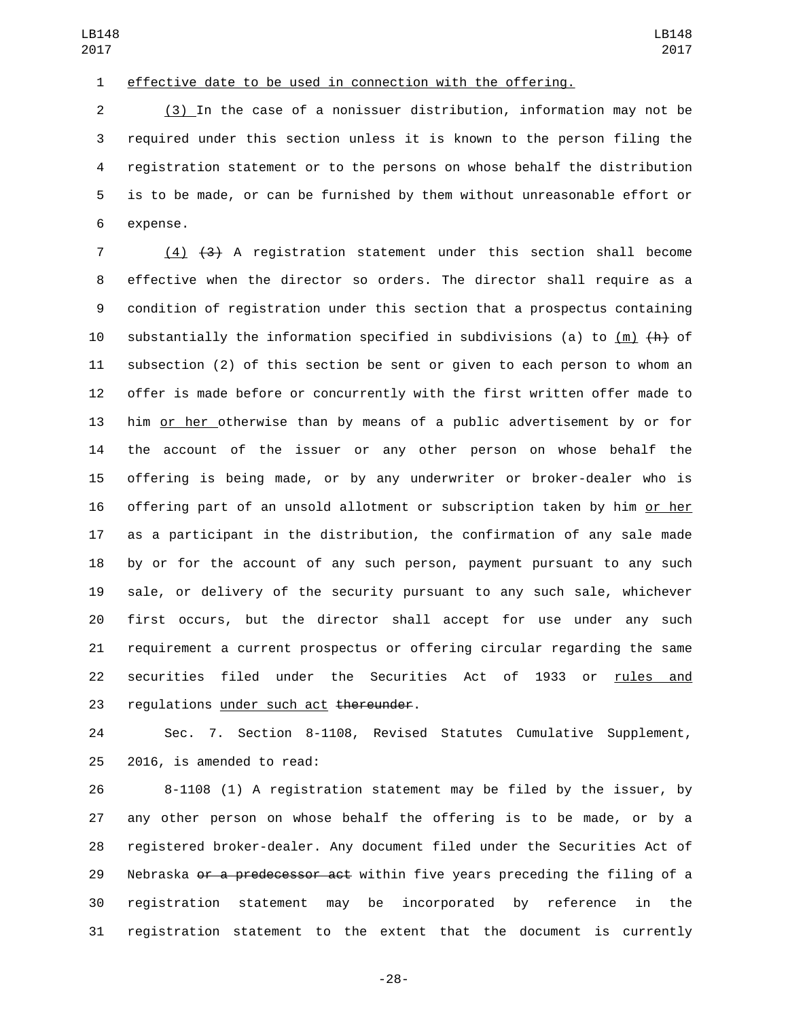effective date to be used in connection with the offering.

 (3) In the case of a nonissuer distribution, information may not be required under this section unless it is known to the person filing the registration statement or to the persons on whose behalf the distribution is to be made, or can be furnished by them without unreasonable effort or 6 expense.

 (4) (3) A registration statement under this section shall become effective when the director so orders. The director shall require as a condition of registration under this section that a prospectus containing 10 substantially the information specified in subdivisions (a) to (m)  $\{h\}$  of subsection (2) of this section be sent or given to each person to whom an offer is made before or concurrently with the first written offer made to him or her otherwise than by means of a public advertisement by or for the account of the issuer or any other person on whose behalf the offering is being made, or by any underwriter or broker-dealer who is offering part of an unsold allotment or subscription taken by him or her as a participant in the distribution, the confirmation of any sale made by or for the account of any such person, payment pursuant to any such sale, or delivery of the security pursuant to any such sale, whichever first occurs, but the director shall accept for use under any such requirement a current prospectus or offering circular regarding the same securities filed under the Securities Act of 1933 or rules and 23 regulations under such act thereunder.

 Sec. 7. Section 8-1108, Revised Statutes Cumulative Supplement,  $2016$ , is amended to read:

 8-1108 (1) A registration statement may be filed by the issuer, by any other person on whose behalf the offering is to be made, or by a registered broker-dealer. Any document filed under the Securities Act of 29 Nebraska or a predecessor act within five years preceding the filing of a registration statement may be incorporated by reference in the registration statement to the extent that the document is currently

LB148 

-28-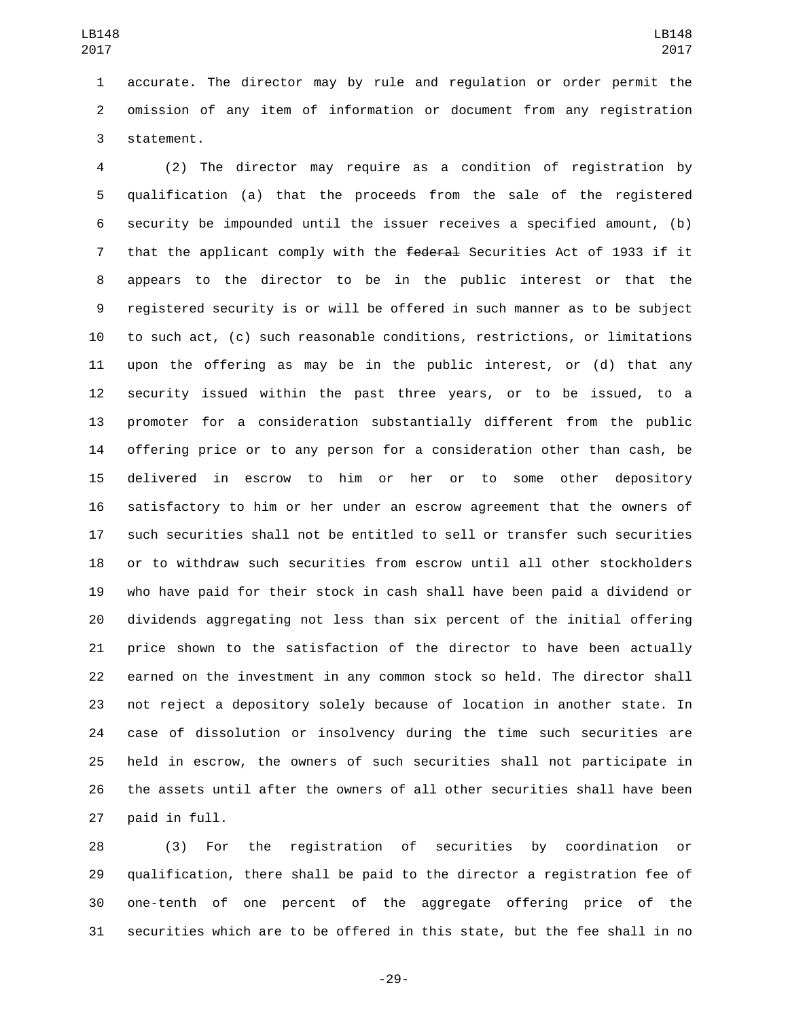accurate. The director may by rule and regulation or order permit the omission of any item of information or document from any registration 3 statement.

 (2) The director may require as a condition of registration by qualification (a) that the proceeds from the sale of the registered security be impounded until the issuer receives a specified amount, (b) 7 that the applicant comply with the federal Securities Act of 1933 if it appears to the director to be in the public interest or that the registered security is or will be offered in such manner as to be subject to such act, (c) such reasonable conditions, restrictions, or limitations upon the offering as may be in the public interest, or (d) that any security issued within the past three years, or to be issued, to a promoter for a consideration substantially different from the public offering price or to any person for a consideration other than cash, be delivered in escrow to him or her or to some other depository satisfactory to him or her under an escrow agreement that the owners of such securities shall not be entitled to sell or transfer such securities or to withdraw such securities from escrow until all other stockholders who have paid for their stock in cash shall have been paid a dividend or dividends aggregating not less than six percent of the initial offering price shown to the satisfaction of the director to have been actually earned on the investment in any common stock so held. The director shall not reject a depository solely because of location in another state. In case of dissolution or insolvency during the time such securities are held in escrow, the owners of such securities shall not participate in the assets until after the owners of all other securities shall have been 27 paid in full.

 (3) For the registration of securities by coordination or qualification, there shall be paid to the director a registration fee of one-tenth of one percent of the aggregate offering price of the securities which are to be offered in this state, but the fee shall in no

-29-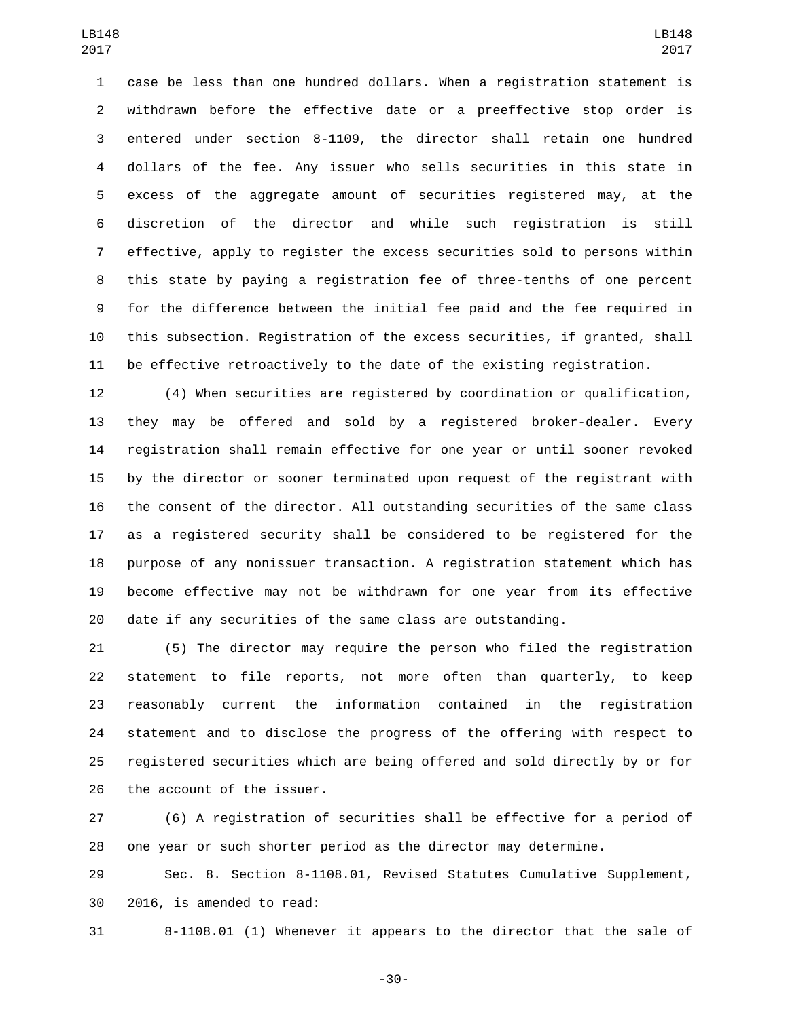case be less than one hundred dollars. When a registration statement is withdrawn before the effective date or a preeffective stop order is entered under section 8-1109, the director shall retain one hundred dollars of the fee. Any issuer who sells securities in this state in excess of the aggregate amount of securities registered may, at the discretion of the director and while such registration is still effective, apply to register the excess securities sold to persons within this state by paying a registration fee of three-tenths of one percent for the difference between the initial fee paid and the fee required in this subsection. Registration of the excess securities, if granted, shall be effective retroactively to the date of the existing registration.

 (4) When securities are registered by coordination or qualification, they may be offered and sold by a registered broker-dealer. Every registration shall remain effective for one year or until sooner revoked by the director or sooner terminated upon request of the registrant with the consent of the director. All outstanding securities of the same class as a registered security shall be considered to be registered for the purpose of any nonissuer transaction. A registration statement which has become effective may not be withdrawn for one year from its effective date if any securities of the same class are outstanding.

 (5) The director may require the person who filed the registration statement to file reports, not more often than quarterly, to keep reasonably current the information contained in the registration statement and to disclose the progress of the offering with respect to registered securities which are being offered and sold directly by or for 26 the account of the issuer.

 (6) A registration of securities shall be effective for a period of one year or such shorter period as the director may determine.

 Sec. 8. Section 8-1108.01, Revised Statutes Cumulative Supplement, 30 2016, is amended to read:

8-1108.01 (1) Whenever it appears to the director that the sale of

-30-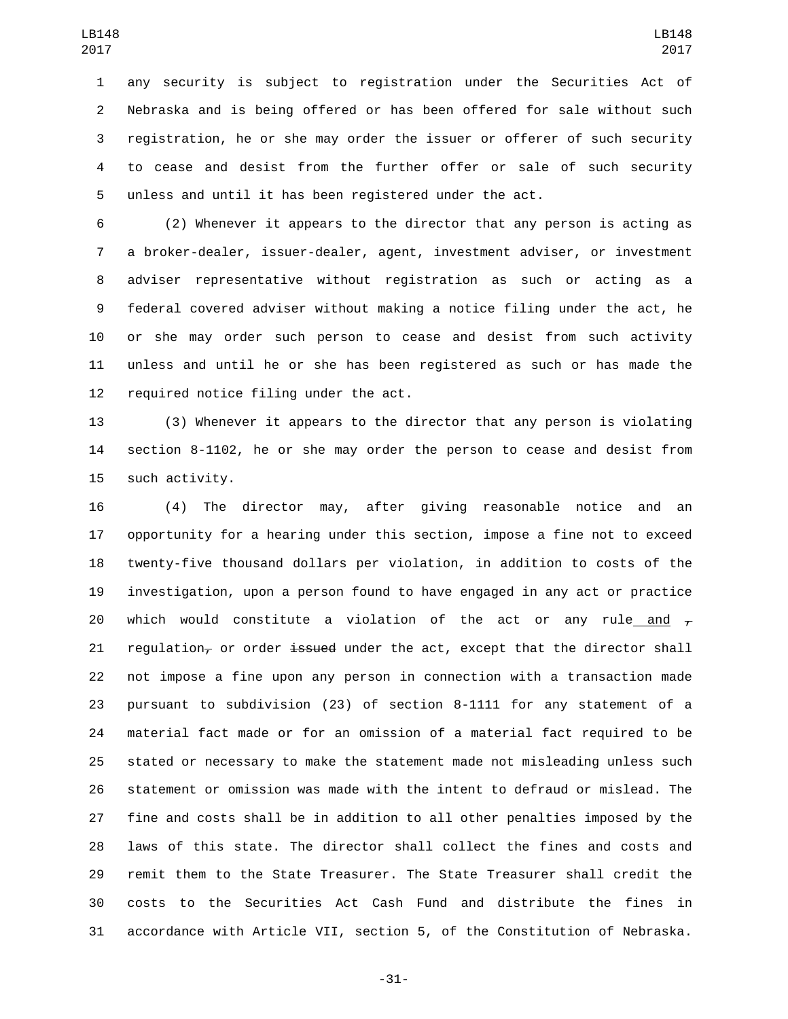any security is subject to registration under the Securities Act of Nebraska and is being offered or has been offered for sale without such registration, he or she may order the issuer or offerer of such security to cease and desist from the further offer or sale of such security unless and until it has been registered under the act.

 (2) Whenever it appears to the director that any person is acting as a broker-dealer, issuer-dealer, agent, investment adviser, or investment adviser representative without registration as such or acting as a federal covered adviser without making a notice filing under the act, he or she may order such person to cease and desist from such activity unless and until he or she has been registered as such or has made the 12 required notice filing under the act.

 (3) Whenever it appears to the director that any person is violating section 8-1102, he or she may order the person to cease and desist from 15 such activity.

 (4) The director may, after giving reasonable notice and an opportunity for a hearing under this section, impose a fine not to exceed twenty-five thousand dollars per violation, in addition to costs of the investigation, upon a person found to have engaged in any act or practice 20 which would constitute a violation of the act or any rule and  $\tau$ 21 regulation<sub> $\tau$ </sub> or order issued under the act, except that the director shall not impose a fine upon any person in connection with a transaction made pursuant to subdivision (23) of section 8-1111 for any statement of a material fact made or for an omission of a material fact required to be stated or necessary to make the statement made not misleading unless such statement or omission was made with the intent to defraud or mislead. The fine and costs shall be in addition to all other penalties imposed by the laws of this state. The director shall collect the fines and costs and remit them to the State Treasurer. The State Treasurer shall credit the costs to the Securities Act Cash Fund and distribute the fines in accordance with Article VII, section 5, of the Constitution of Nebraska.

-31-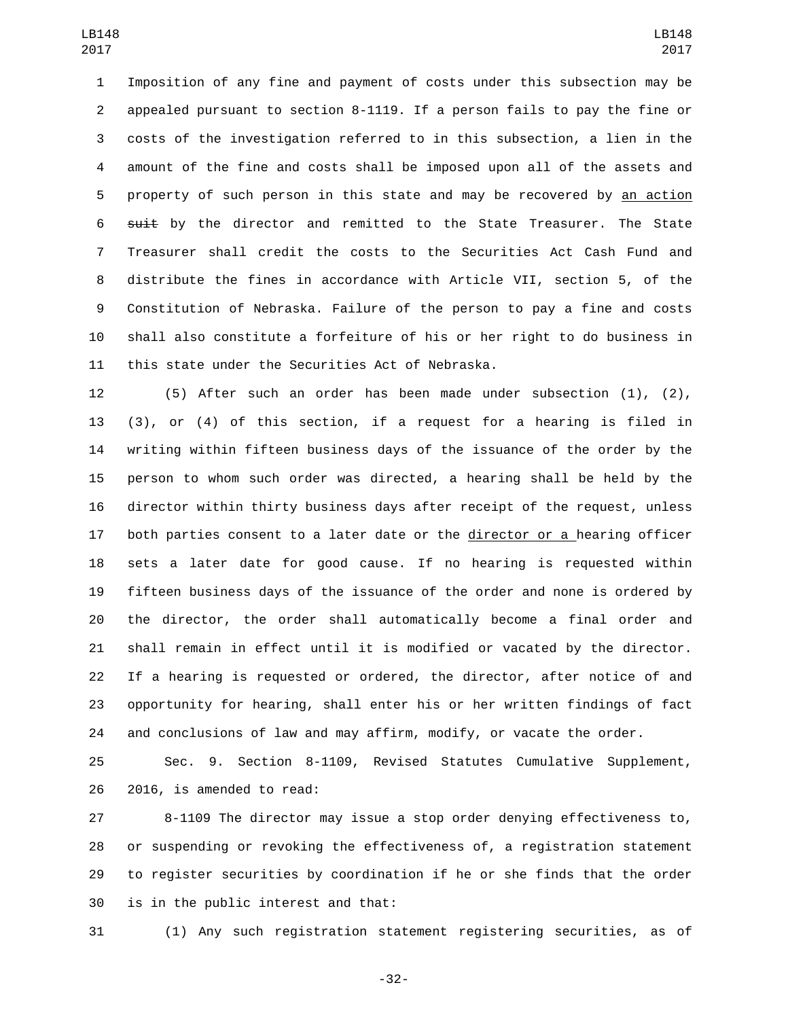Imposition of any fine and payment of costs under this subsection may be appealed pursuant to section 8-1119. If a person fails to pay the fine or costs of the investigation referred to in this subsection, a lien in the amount of the fine and costs shall be imposed upon all of the assets and property of such person in this state and may be recovered by an action 6 suit by the director and remitted to the State Treasurer. The State Treasurer shall credit the costs to the Securities Act Cash Fund and distribute the fines in accordance with Article VII, section 5, of the Constitution of Nebraska. Failure of the person to pay a fine and costs shall also constitute a forfeiture of his or her right to do business in 11 this state under the Securities Act of Nebraska.

 (5) After such an order has been made under subsection (1), (2), (3), or (4) of this section, if a request for a hearing is filed in writing within fifteen business days of the issuance of the order by the person to whom such order was directed, a hearing shall be held by the director within thirty business days after receipt of the request, unless both parties consent to a later date or the director or a hearing officer sets a later date for good cause. If no hearing is requested within fifteen business days of the issuance of the order and none is ordered by the director, the order shall automatically become a final order and shall remain in effect until it is modified or vacated by the director. If a hearing is requested or ordered, the director, after notice of and opportunity for hearing, shall enter his or her written findings of fact and conclusions of law and may affirm, modify, or vacate the order.

 Sec. 9. Section 8-1109, Revised Statutes Cumulative Supplement, 26 2016, is amended to read:

 8-1109 The director may issue a stop order denying effectiveness to, or suspending or revoking the effectiveness of, a registration statement to register securities by coordination if he or she finds that the order 30 is in the public interest and that:

(1) Any such registration statement registering securities, as of

-32-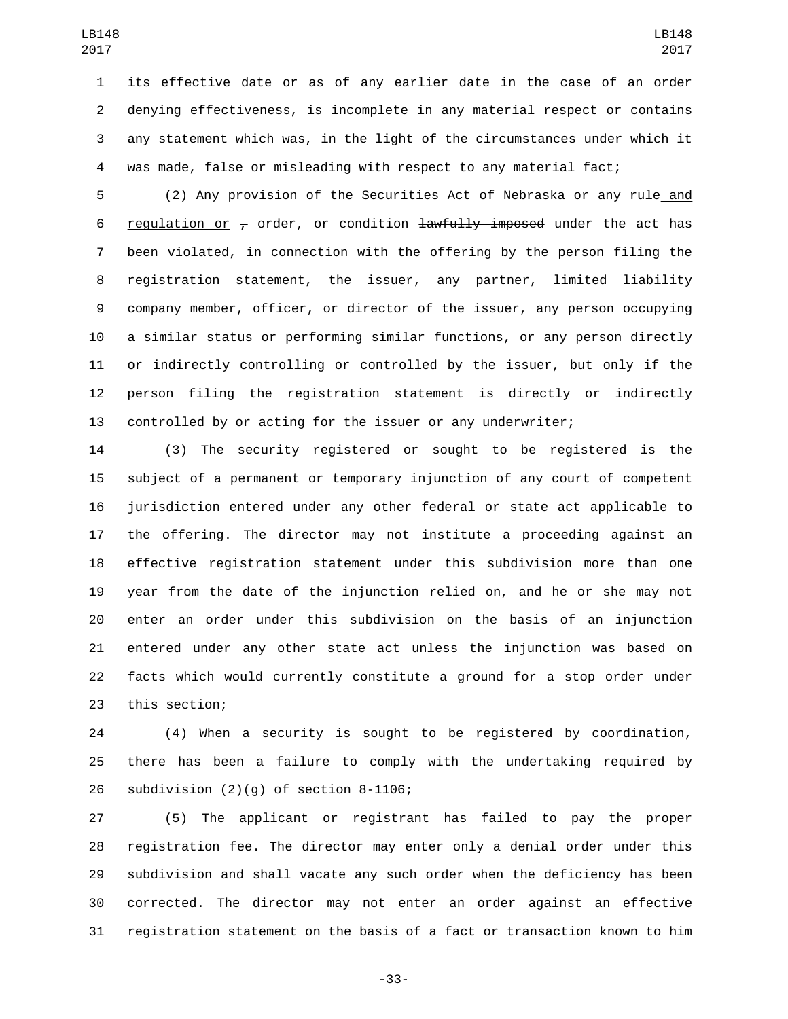its effective date or as of any earlier date in the case of an order denying effectiveness, is incomplete in any material respect or contains any statement which was, in the light of the circumstances under which it was made, false or misleading with respect to any material fact;

 (2) Any provision of the Securities Act of Nebraska or any rule and 6 regulation or  $\tau$  order, or condition lawfully imposed under the act has been violated, in connection with the offering by the person filing the registration statement, the issuer, any partner, limited liability company member, officer, or director of the issuer, any person occupying a similar status or performing similar functions, or any person directly or indirectly controlling or controlled by the issuer, but only if the person filing the registration statement is directly or indirectly controlled by or acting for the issuer or any underwriter;

 (3) The security registered or sought to be registered is the subject of a permanent or temporary injunction of any court of competent jurisdiction entered under any other federal or state act applicable to the offering. The director may not institute a proceeding against an effective registration statement under this subdivision more than one year from the date of the injunction relied on, and he or she may not enter an order under this subdivision on the basis of an injunction entered under any other state act unless the injunction was based on facts which would currently constitute a ground for a stop order under 23 this section;

 (4) When a security is sought to be registered by coordination, there has been a failure to comply with the undertaking required by 26 subdivision  $(2)(g)$  of section 8-1106;

 (5) The applicant or registrant has failed to pay the proper registration fee. The director may enter only a denial order under this subdivision and shall vacate any such order when the deficiency has been corrected. The director may not enter an order against an effective registration statement on the basis of a fact or transaction known to him

-33-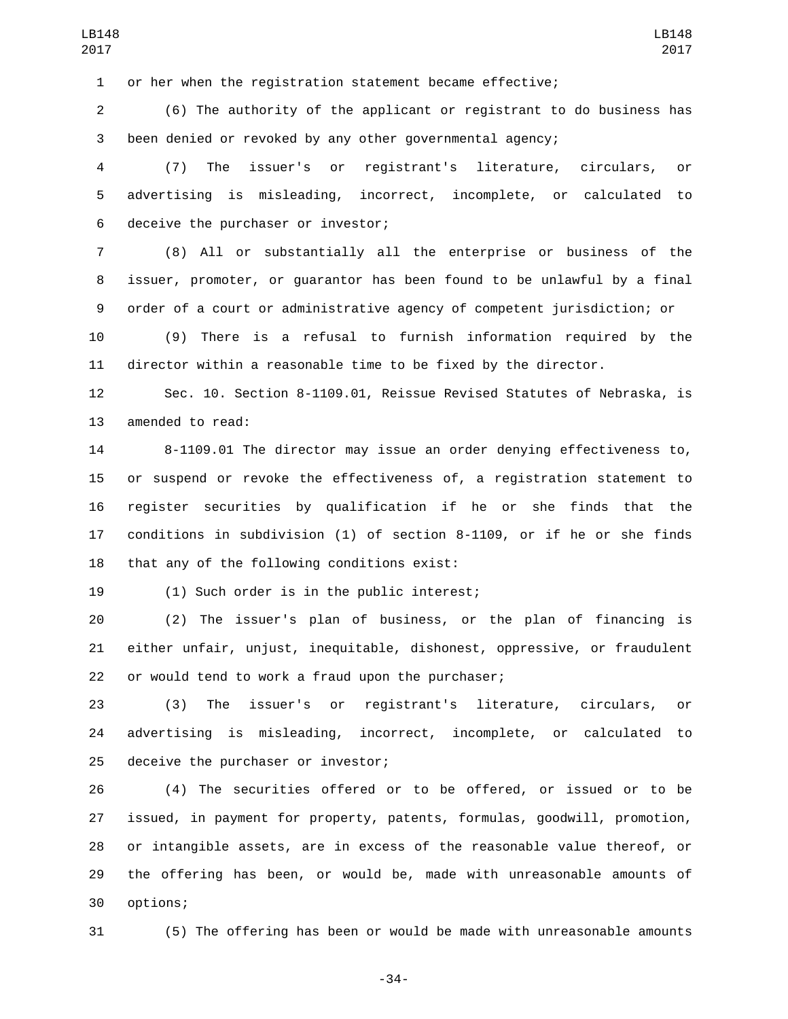or her when the registration statement became effective;

 (6) The authority of the applicant or registrant to do business has been denied or revoked by any other governmental agency;

 (7) The issuer's or registrant's literature, circulars, or advertising is misleading, incorrect, incomplete, or calculated to 6 deceive the purchaser or investor;

 (8) All or substantially all the enterprise or business of the issuer, promoter, or guarantor has been found to be unlawful by a final order of a court or administrative agency of competent jurisdiction; or

 (9) There is a refusal to furnish information required by the director within a reasonable time to be fixed by the director.

 Sec. 10. Section 8-1109.01, Reissue Revised Statutes of Nebraska, is 13 amended to read:

 8-1109.01 The director may issue an order denying effectiveness to, or suspend or revoke the effectiveness of, a registration statement to register securities by qualification if he or she finds that the conditions in subdivision (1) of section 8-1109, or if he or she finds 18 that any of the following conditions exist:

19 (1) Such order is in the public interest;

 (2) The issuer's plan of business, or the plan of financing is either unfair, unjust, inequitable, dishonest, oppressive, or fraudulent 22 or would tend to work a fraud upon the purchaser;

 (3) The issuer's or registrant's literature, circulars, or advertising is misleading, incorrect, incomplete, or calculated to 25 deceive the purchaser or investor;

 (4) The securities offered or to be offered, or issued or to be issued, in payment for property, patents, formulas, goodwill, promotion, or intangible assets, are in excess of the reasonable value thereof, or the offering has been, or would be, made with unreasonable amounts of 30 options;

(5) The offering has been or would be made with unreasonable amounts

-34-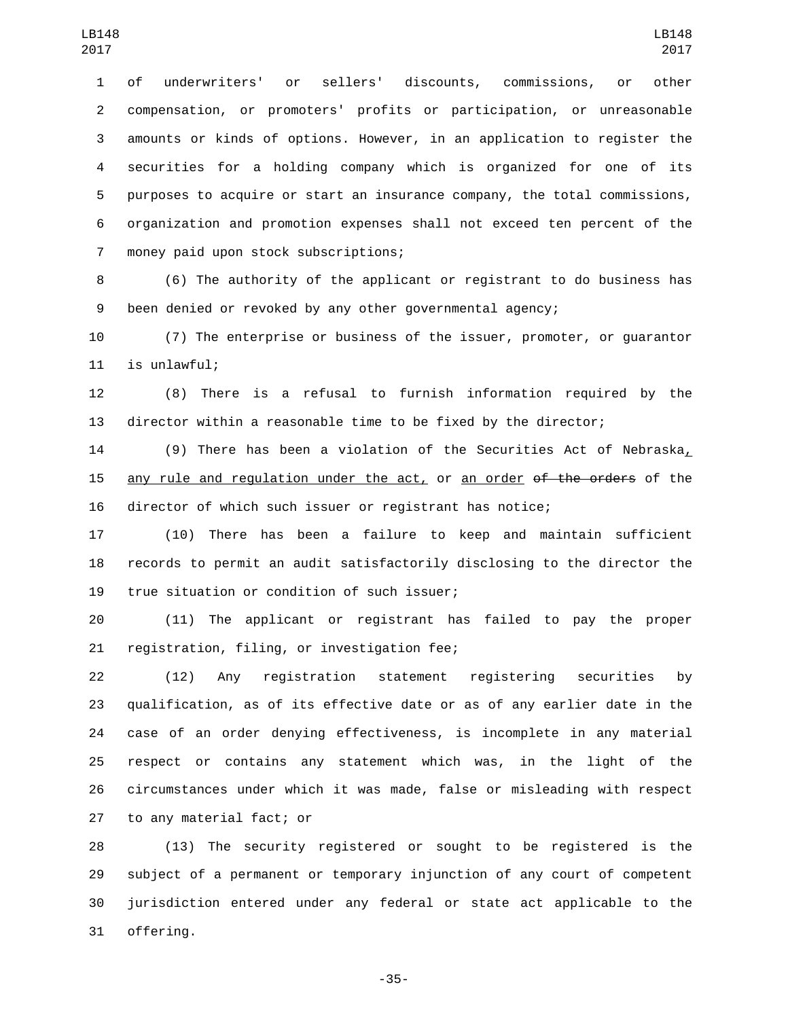of underwriters' or sellers' discounts, commissions, or other compensation, or promoters' profits or participation, or unreasonable amounts or kinds of options. However, in an application to register the securities for a holding company which is organized for one of its purposes to acquire or start an insurance company, the total commissions, organization and promotion expenses shall not exceed ten percent of the 7 money paid upon stock subscriptions;

 (6) The authority of the applicant or registrant to do business has been denied or revoked by any other governmental agency;

 (7) The enterprise or business of the issuer, promoter, or guarantor 11 is unlawful;

 (8) There is a refusal to furnish information required by the director within a reasonable time to be fixed by the director;

 (9) There has been a violation of the Securities Act of Nebraska, 15 any rule and requlation under the act, or an order of the orders of the director of which such issuer or registrant has notice;

 (10) There has been a failure to keep and maintain sufficient records to permit an audit satisfactorily disclosing to the director the 19 true situation or condition of such issuer;

 (11) The applicant or registrant has failed to pay the proper 21 registration, filing, or investigation fee;

 (12) Any registration statement registering securities by qualification, as of its effective date or as of any earlier date in the case of an order denying effectiveness, is incomplete in any material respect or contains any statement which was, in the light of the circumstances under which it was made, false or misleading with respect 27 to any material fact; or

 (13) The security registered or sought to be registered is the subject of a permanent or temporary injunction of any court of competent jurisdiction entered under any federal or state act applicable to the 31 offering.

-35-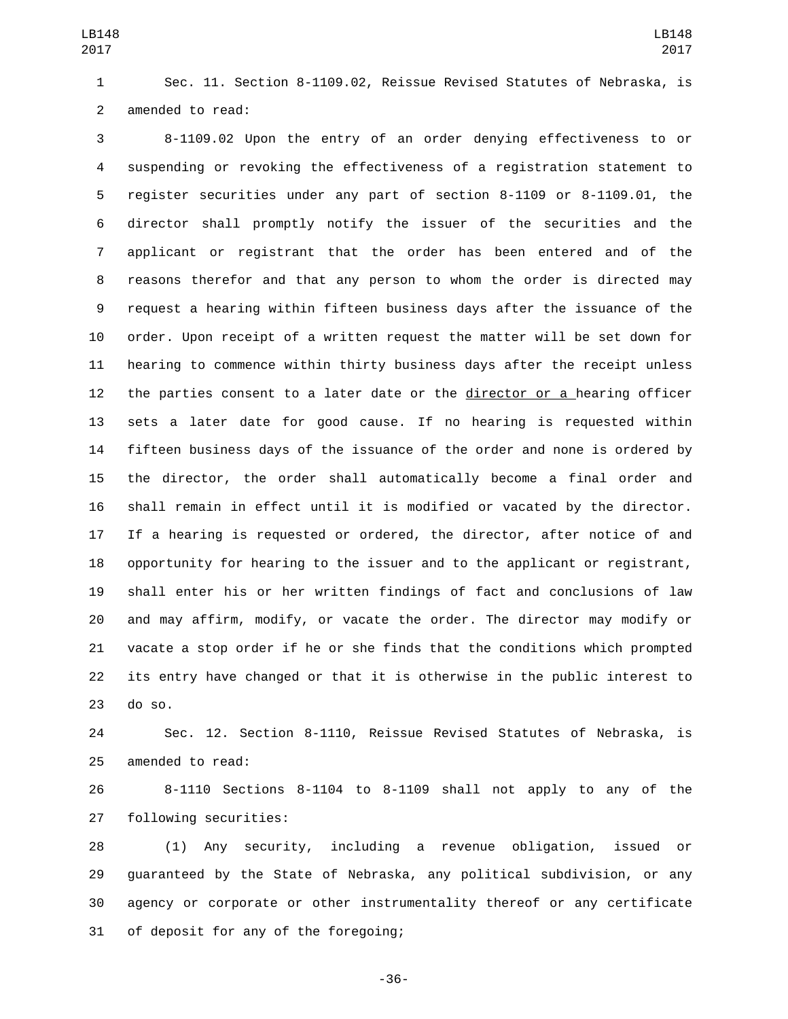Sec. 11. Section 8-1109.02, Reissue Revised Statutes of Nebraska, is 2 amended to read:

 8-1109.02 Upon the entry of an order denying effectiveness to or suspending or revoking the effectiveness of a registration statement to register securities under any part of section 8-1109 or 8-1109.01, the director shall promptly notify the issuer of the securities and the applicant or registrant that the order has been entered and of the reasons therefor and that any person to whom the order is directed may request a hearing within fifteen business days after the issuance of the order. Upon receipt of a written request the matter will be set down for hearing to commence within thirty business days after the receipt unless the parties consent to a later date or the director or a hearing officer sets a later date for good cause. If no hearing is requested within fifteen business days of the issuance of the order and none is ordered by the director, the order shall automatically become a final order and shall remain in effect until it is modified or vacated by the director. If a hearing is requested or ordered, the director, after notice of and opportunity for hearing to the issuer and to the applicant or registrant, shall enter his or her written findings of fact and conclusions of law and may affirm, modify, or vacate the order. The director may modify or vacate a stop order if he or she finds that the conditions which prompted its entry have changed or that it is otherwise in the public interest to 23 do so.

 Sec. 12. Section 8-1110, Reissue Revised Statutes of Nebraska, is 25 amended to read:

 8-1110 Sections 8-1104 to 8-1109 shall not apply to any of the 27 following securities:

 (1) Any security, including a revenue obligation, issued or guaranteed by the State of Nebraska, any political subdivision, or any agency or corporate or other instrumentality thereof or any certificate 31 of deposit for any of the foregoing;

-36-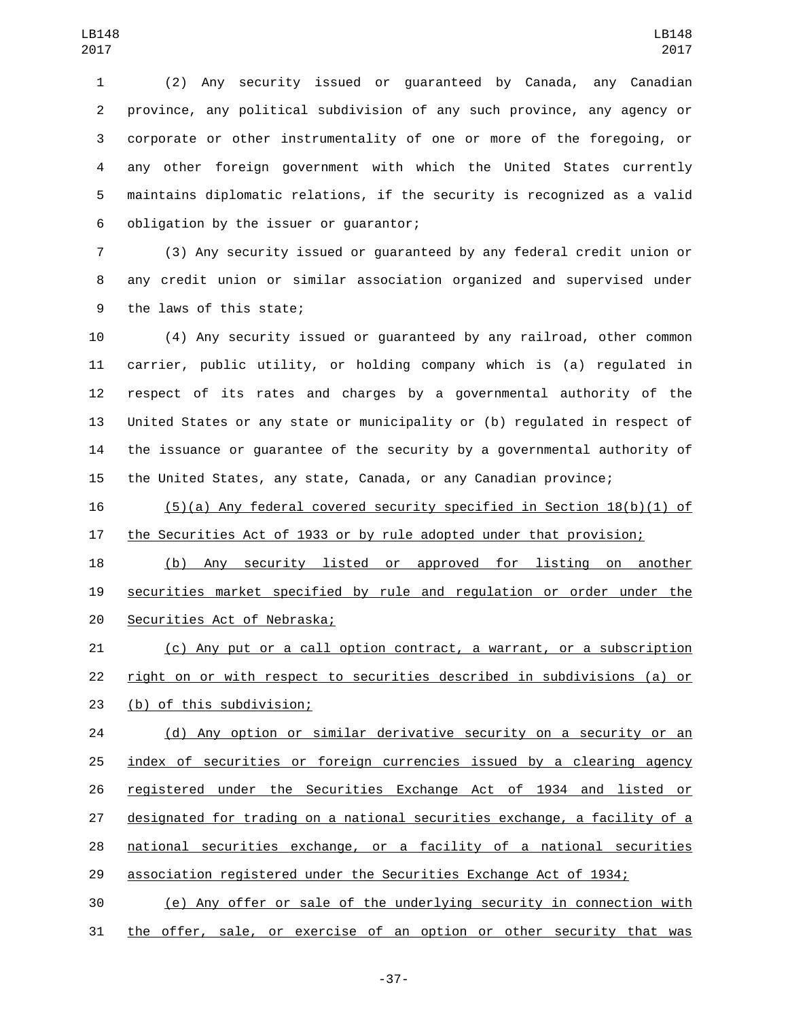(2) Any security issued or guaranteed by Canada, any Canadian province, any political subdivision of any such province, any agency or corporate or other instrumentality of one or more of the foregoing, or any other foreign government with which the United States currently maintains diplomatic relations, if the security is recognized as a valid 6 obligation by the issuer or quarantor;

 (3) Any security issued or guaranteed by any federal credit union or any credit union or similar association organized and supervised under 9 the laws of this state;

 (4) Any security issued or guaranteed by any railroad, other common carrier, public utility, or holding company which is (a) regulated in respect of its rates and charges by a governmental authority of the United States or any state or municipality or (b) regulated in respect of the issuance or guarantee of the security by a governmental authority of the United States, any state, Canada, or any Canadian province;

 (5)(a) Any federal covered security specified in Section 18(b)(1) of the Securities Act of 1933 or by rule adopted under that provision;

 (b) Any security listed or approved for listing on another securities market specified by rule and regulation or order under the 20 Securities Act of Nebraska;

 (c) Any put or a call option contract, a warrant, or a subscription right on or with respect to securities described in subdivisions (a) or (b) of this subdivision;23

 (d) Any option or similar derivative security on a security or an index of securities or foreign currencies issued by a clearing agency registered under the Securities Exchange Act of 1934 and listed or designated for trading on a national securities exchange, a facility of a national securities exchange, or a facility of a national securities association registered under the Securities Exchange Act of 1934;

 (e) Any offer or sale of the underlying security in connection with the offer, sale, or exercise of an option or other security that was

-37-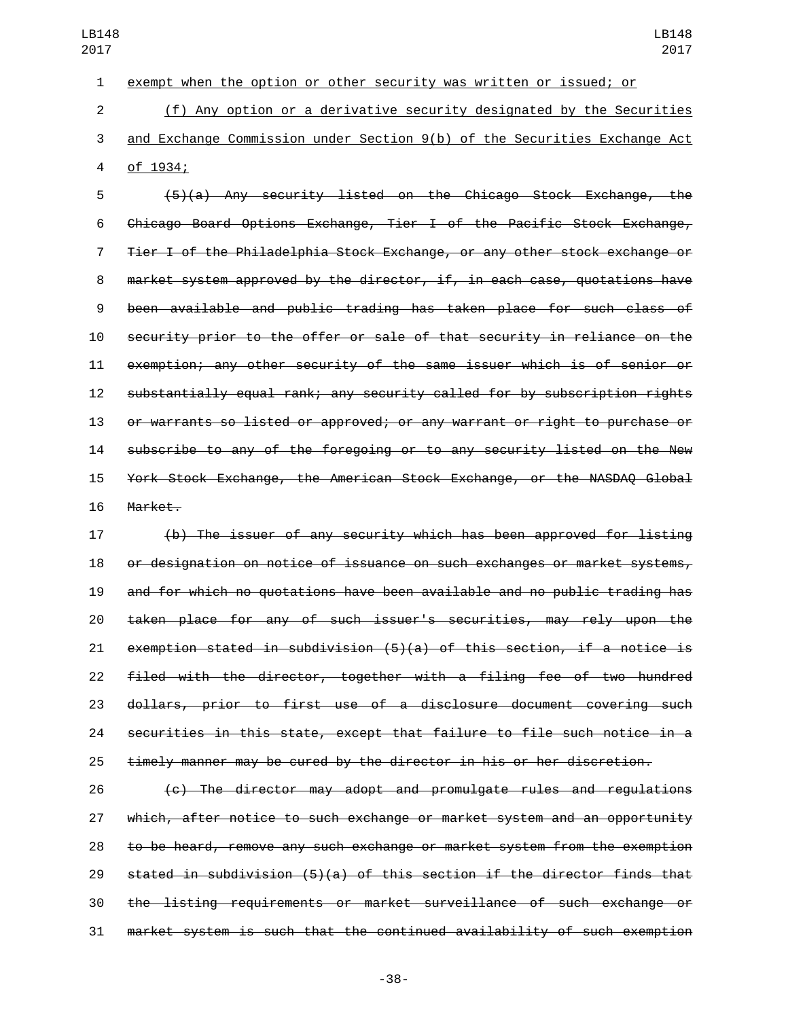exempt when the option or other security was written or issued; or

 (f) Any option or a derivative security designated by the Securities and Exchange Commission under Section 9(b) of the Securities Exchange Act 4 of 1934;

 (5)(a) Any security listed on the Chicago Stock Exchange, the Chicago Board Options Exchange, Tier I of the Pacific Stock Exchange, Tier I of the Philadelphia Stock Exchange, or any other stock exchange or 8 market system approved by the director, if, in each case, quotations have been available and public trading has taken place for such class of security prior to the offer or sale of that security in reliance on the exemption; any other security of the same issuer which is of senior or substantially equal rank; any security called for by subscription rights or warrants so listed or approved; or any warrant or right to purchase or subscribe to any of the foregoing or to any security listed on the New York Stock Exchange, the American Stock Exchange, or the NASDAQ Global 16 Market.

 (b) The issuer of any security which has been approved for listing or designation on notice of issuance on such exchanges or market systems, and for which no quotations have been available and no public trading has taken place for any of such issuer's securities, may rely upon the 21 exemption stated in subdivision  $(5)(a)$  of this section, if a notice is 22 filed with the director, together with a filing fee of two hundred dollars, prior to first use of a disclosure document covering such securities in this state, except that failure to file such notice in a timely manner may be cured by the director in his or her discretion.

 (c) The director may adopt and promulgate rules and regulations which, after notice to such exchange or market system and an opportunity to be heard, remove any such exchange or market system from the exemption 29 stated in subdivision  $(5)(a)$  of this section if the director finds that the listing requirements or market surveillance of such exchange or market system is such that the continued availability of such exemption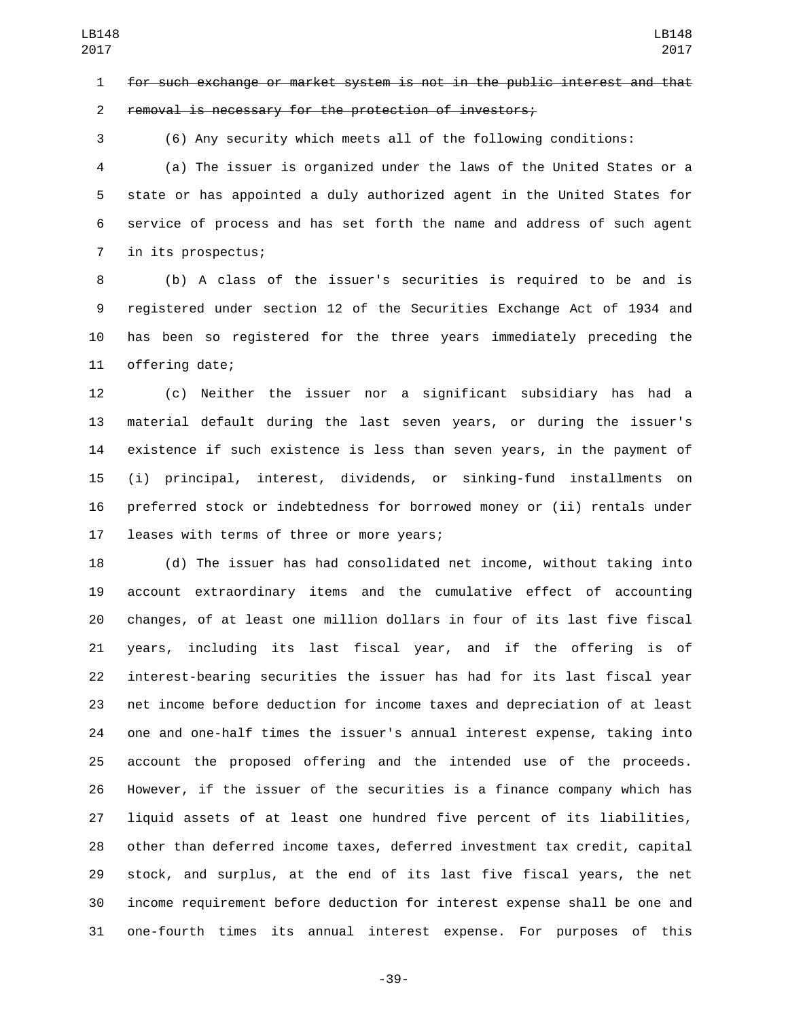for such exchange or market system is not in the public interest and that

removal is necessary for the protection of investors;

(6) Any security which meets all of the following conditions:

 (a) The issuer is organized under the laws of the United States or a state or has appointed a duly authorized agent in the United States for service of process and has set forth the name and address of such agent 7 in its prospectus;

 (b) A class of the issuer's securities is required to be and is registered under section 12 of the Securities Exchange Act of 1934 and has been so registered for the three years immediately preceding the 11 offering date;

 (c) Neither the issuer nor a significant subsidiary has had a material default during the last seven years, or during the issuer's existence if such existence is less than seven years, in the payment of (i) principal, interest, dividends, or sinking-fund installments on preferred stock or indebtedness for borrowed money or (ii) rentals under 17 leases with terms of three or more years;

 (d) The issuer has had consolidated net income, without taking into account extraordinary items and the cumulative effect of accounting changes, of at least one million dollars in four of its last five fiscal years, including its last fiscal year, and if the offering is of interest-bearing securities the issuer has had for its last fiscal year net income before deduction for income taxes and depreciation of at least one and one-half times the issuer's annual interest expense, taking into account the proposed offering and the intended use of the proceeds. However, if the issuer of the securities is a finance company which has liquid assets of at least one hundred five percent of its liabilities, other than deferred income taxes, deferred investment tax credit, capital stock, and surplus, at the end of its last five fiscal years, the net income requirement before deduction for interest expense shall be one and one-fourth times its annual interest expense. For purposes of this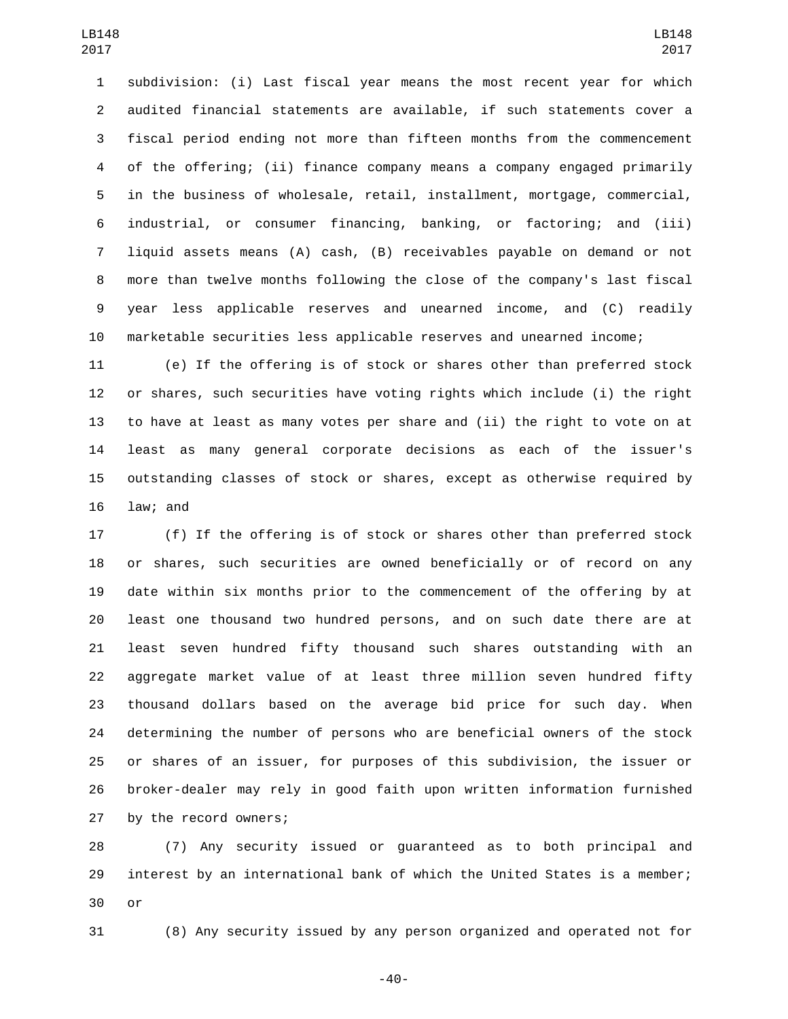subdivision: (i) Last fiscal year means the most recent year for which audited financial statements are available, if such statements cover a fiscal period ending not more than fifteen months from the commencement of the offering; (ii) finance company means a company engaged primarily in the business of wholesale, retail, installment, mortgage, commercial, industrial, or consumer financing, banking, or factoring; and (iii) liquid assets means (A) cash, (B) receivables payable on demand or not more than twelve months following the close of the company's last fiscal year less applicable reserves and unearned income, and (C) readily marketable securities less applicable reserves and unearned income;

 (e) If the offering is of stock or shares other than preferred stock or shares, such securities have voting rights which include (i) the right to have at least as many votes per share and (ii) the right to vote on at least as many general corporate decisions as each of the issuer's outstanding classes of stock or shares, except as otherwise required by law; and

 (f) If the offering is of stock or shares other than preferred stock or shares, such securities are owned beneficially or of record on any date within six months prior to the commencement of the offering by at least one thousand two hundred persons, and on such date there are at least seven hundred fifty thousand such shares outstanding with an aggregate market value of at least three million seven hundred fifty thousand dollars based on the average bid price for such day. When determining the number of persons who are beneficial owners of the stock or shares of an issuer, for purposes of this subdivision, the issuer or broker-dealer may rely in good faith upon written information furnished 27 by the record owners;

 (7) Any security issued or guaranteed as to both principal and interest by an international bank of which the United States is a member; 30 or

(8) Any security issued by any person organized and operated not for

-40-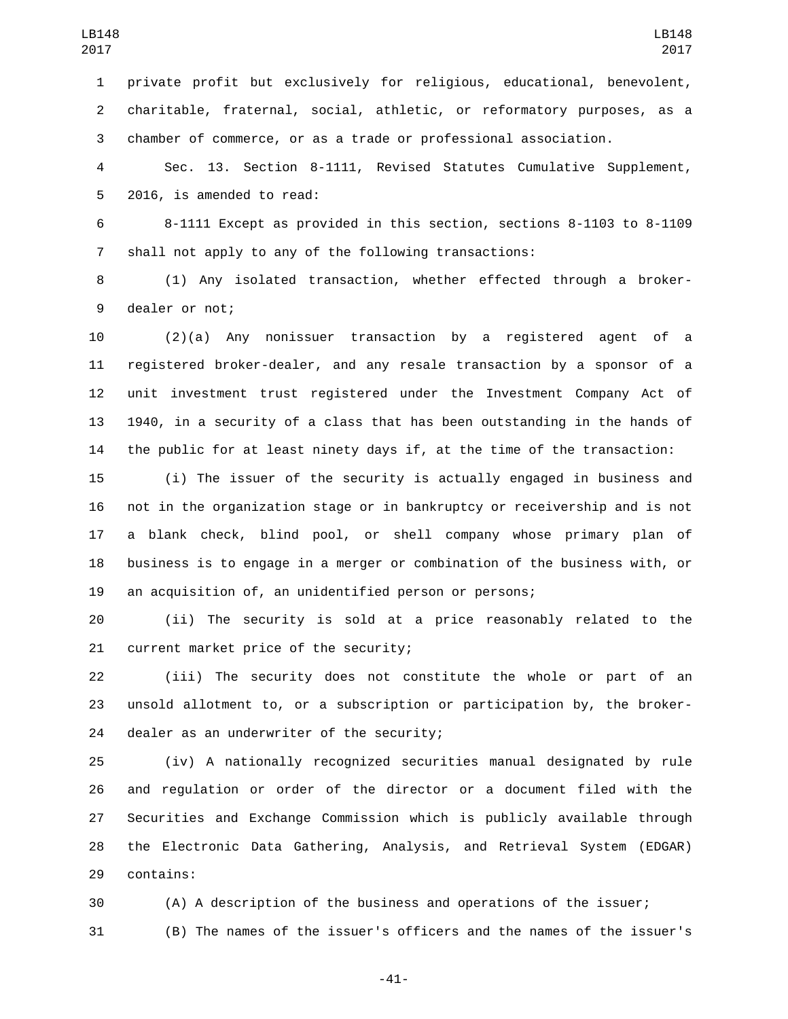private profit but exclusively for religious, educational, benevolent, charitable, fraternal, social, athletic, or reformatory purposes, as a chamber of commerce, or as a trade or professional association.

 Sec. 13. Section 8-1111, Revised Statutes Cumulative Supplement, 5 2016, is amended to read:

 8-1111 Except as provided in this section, sections 8-1103 to 8-1109 shall not apply to any of the following transactions:

 (1) Any isolated transaction, whether effected through a broker-9 dealer or not;

 (2)(a) Any nonissuer transaction by a registered agent of a registered broker-dealer, and any resale transaction by a sponsor of a unit investment trust registered under the Investment Company Act of 1940, in a security of a class that has been outstanding in the hands of the public for at least ninety days if, at the time of the transaction:

 (i) The issuer of the security is actually engaged in business and not in the organization stage or in bankruptcy or receivership and is not a blank check, blind pool, or shell company whose primary plan of business is to engage in a merger or combination of the business with, or an acquisition of, an unidentified person or persons;

 (ii) The security is sold at a price reasonably related to the 21 current market price of the security;

 (iii) The security does not constitute the whole or part of an unsold allotment to, or a subscription or participation by, the broker-24 dealer as an underwriter of the security;

 (iv) A nationally recognized securities manual designated by rule and regulation or order of the director or a document filed with the Securities and Exchange Commission which is publicly available through the Electronic Data Gathering, Analysis, and Retrieval System (EDGAR) 29 contains:

 (A) A description of the business and operations of the issuer; (B) The names of the issuer's officers and the names of the issuer's

-41-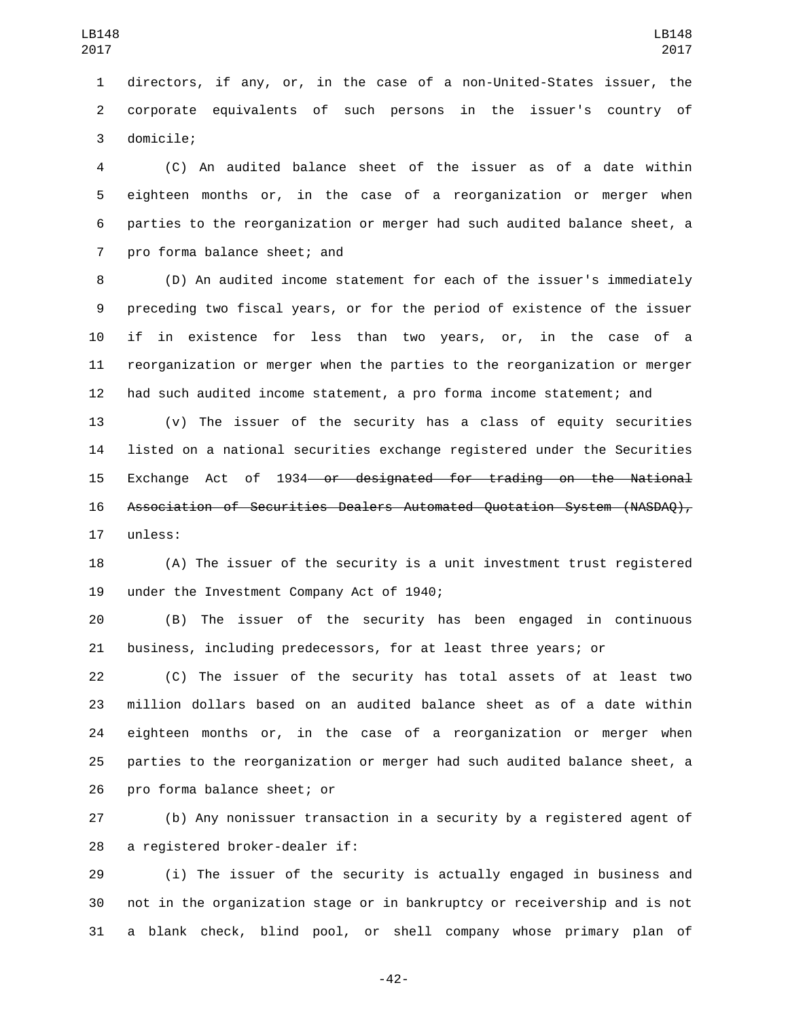directors, if any, or, in the case of a non-United-States issuer, the corporate equivalents of such persons in the issuer's country of 3 domicile;

 (C) An audited balance sheet of the issuer as of a date within eighteen months or, in the case of a reorganization or merger when parties to the reorganization or merger had such audited balance sheet, a 7 pro forma balance sheet; and

 (D) An audited income statement for each of the issuer's immediately preceding two fiscal years, or for the period of existence of the issuer if in existence for less than two years, or, in the case of a reorganization or merger when the parties to the reorganization or merger had such audited income statement, a pro forma income statement; and

 (v) The issuer of the security has a class of equity securities listed on a national securities exchange registered under the Securities Exchange Act of 1934 or designated for trading on the National Association of Securities Dealers Automated Quotation System (NASDAQ), 17 unless:

 (A) The issuer of the security is a unit investment trust registered 19 under the Investment Company Act of 1940;

 (B) The issuer of the security has been engaged in continuous business, including predecessors, for at least three years; or

 (C) The issuer of the security has total assets of at least two million dollars based on an audited balance sheet as of a date within eighteen months or, in the case of a reorganization or merger when parties to the reorganization or merger had such audited balance sheet, a 26 pro forma balance sheet; or

 (b) Any nonissuer transaction in a security by a registered agent of 28 a registered broker-dealer if:

 (i) The issuer of the security is actually engaged in business and not in the organization stage or in bankruptcy or receivership and is not a blank check, blind pool, or shell company whose primary plan of

-42-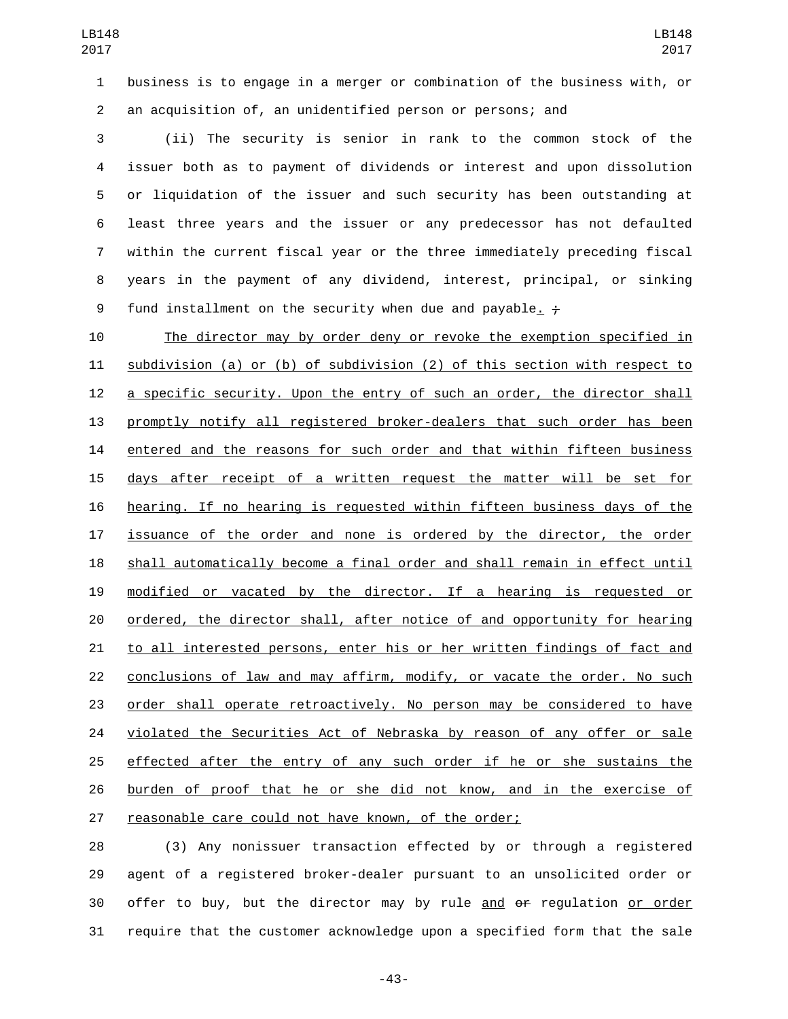business is to engage in a merger or combination of the business with, or an acquisition of, an unidentified person or persons; and

 (ii) The security is senior in rank to the common stock of the issuer both as to payment of dividends or interest and upon dissolution or liquidation of the issuer and such security has been outstanding at least three years and the issuer or any predecessor has not defaulted within the current fiscal year or the three immediately preceding fiscal years in the payment of any dividend, interest, principal, or sinking 9 fund installment on the security when due and payable.  $\div$ 

 The director may by order deny or revoke the exemption specified in subdivision (a) or (b) of subdivision (2) of this section with respect to a specific security. Upon the entry of such an order, the director shall promptly notify all registered broker-dealers that such order has been 14 entered and the reasons for such order and that within fifteen business days after receipt of a written request the matter will be set for hearing. If no hearing is requested within fifteen business days of the issuance of the order and none is ordered by the director, the order shall automatically become a final order and shall remain in effect until modified or vacated by the director. If a hearing is requested or ordered, the director shall, after notice of and opportunity for hearing to all interested persons, enter his or her written findings of fact and conclusions of law and may affirm, modify, or vacate the order. No such order shall operate retroactively. No person may be considered to have 24 violated the Securities Act of Nebraska by reason of any offer or sale effected after the entry of any such order if he or she sustains the burden of proof that he or she did not know, and in the exercise of reasonable care could not have known, of the order;

 (3) Any nonissuer transaction effected by or through a registered agent of a registered broker-dealer pursuant to an unsolicited order or 30 offer to buy, but the director may by rule and  $\theta$  regulation or order require that the customer acknowledge upon a specified form that the sale

-43-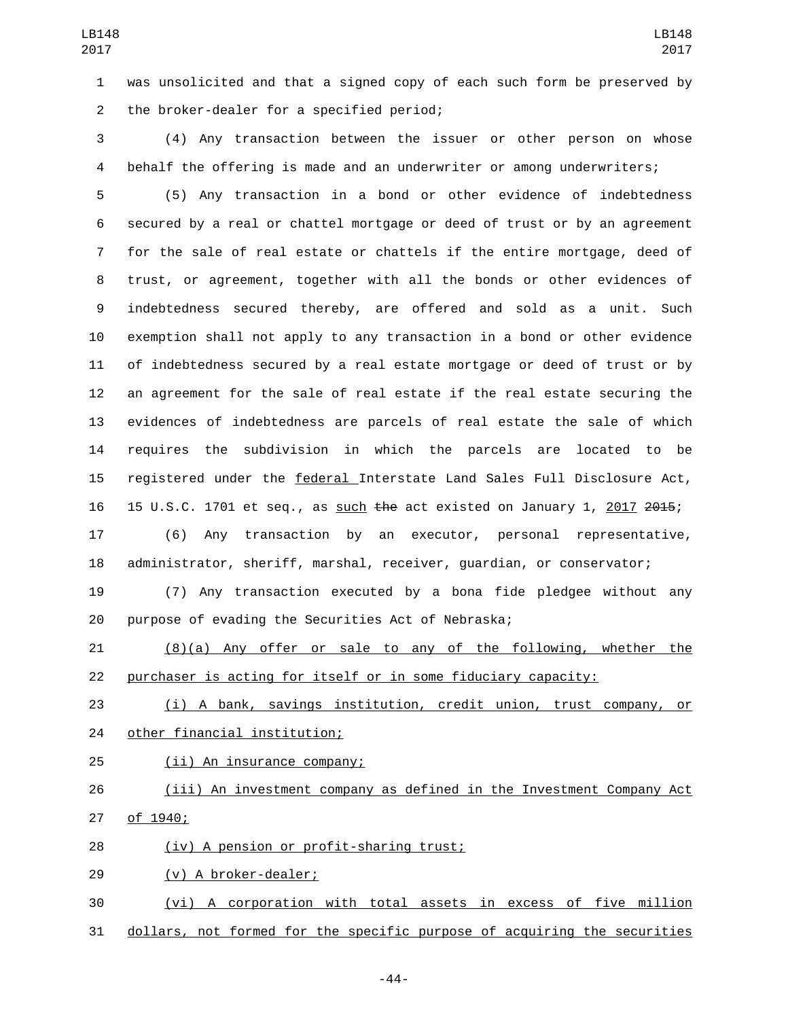was unsolicited and that a signed copy of each such form be preserved by 2 the broker-dealer for a specified period;

 (4) Any transaction between the issuer or other person on whose behalf the offering is made and an underwriter or among underwriters;

 (5) Any transaction in a bond or other evidence of indebtedness secured by a real or chattel mortgage or deed of trust or by an agreement for the sale of real estate or chattels if the entire mortgage, deed of trust, or agreement, together with all the bonds or other evidences of indebtedness secured thereby, are offered and sold as a unit. Such exemption shall not apply to any transaction in a bond or other evidence of indebtedness secured by a real estate mortgage or deed of trust or by an agreement for the sale of real estate if the real estate securing the evidences of indebtedness are parcels of real estate the sale of which requires the subdivision in which the parcels are located to be registered under the federal Interstate Land Sales Full Disclosure Act, 16 15 U.S.C. 1701 et seq., as such the act existed on January 1, 2017 2015;

 (6) Any transaction by an executor, personal representative, administrator, sheriff, marshal, receiver, guardian, or conservator;

 (7) Any transaction executed by a bona fide pledgee without any purpose of evading the Securities Act of Nebraska;

 (8)(a) Any offer or sale to any of the following, whether the purchaser is acting for itself or in some fiduciary capacity:

 (i) A bank, savings institution, credit union, trust company, or 24 other financial institution;

25 (ii) An insurance company;

 (iii) An investment company as defined in the Investment Company Act 27 of 1940;

(iv) A pension or profit-sharing trust;

(v) A broker-dealer;29

 (vi) A corporation with total assets in excess of five million dollars, not formed for the specific purpose of acquiring the securities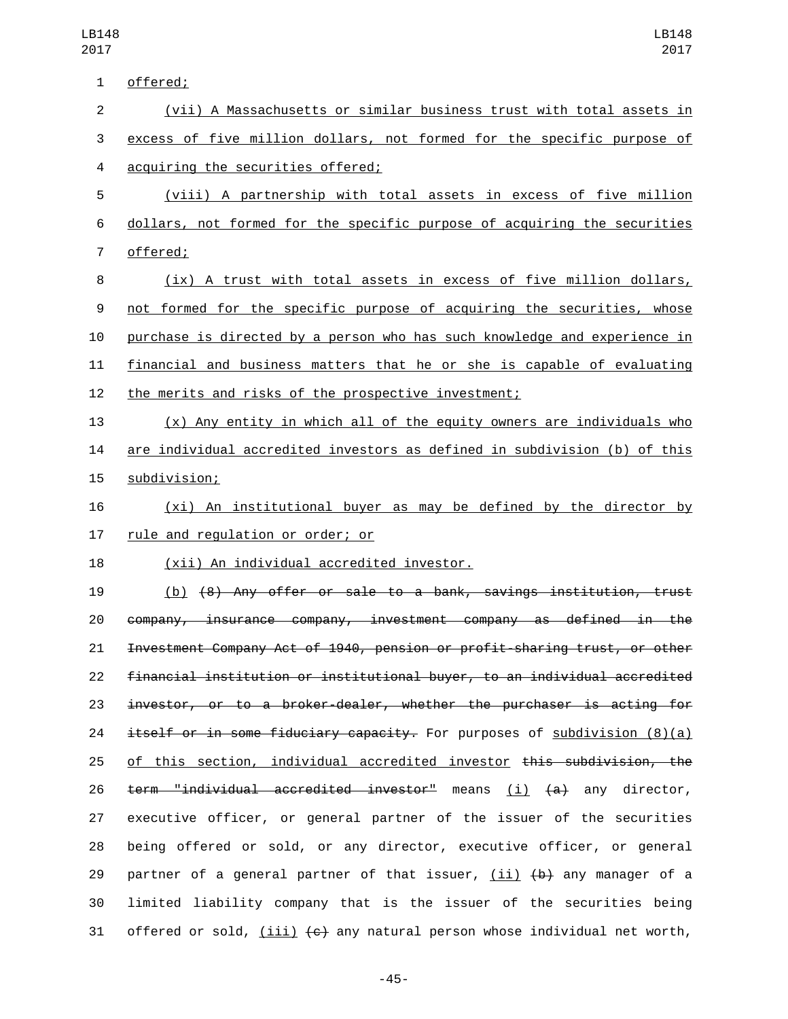| 1              | offered;                                                                      |
|----------------|-------------------------------------------------------------------------------|
| $\overline{2}$ | (vii) A Massachusetts or similar business trust with total assets in          |
| 3              | excess of five million dollars, not formed for the specific purpose of        |
| 4              | acquiring the securities offered;                                             |
| 5              | (viii) A partnership with total assets in excess of five million              |
| 6              | dollars, not formed for the specific purpose of acquiring the securities      |
| $\overline{7}$ | offered;                                                                      |
| 8              | (ix) A trust with total assets in excess of five million dollars,             |
| 9              | not formed for the specific purpose of acquiring the securities, whose        |
| 10             | purchase is directed by a person who has such knowledge and experience in     |
| 11             | financial and business matters that he or she is capable of evaluating        |
| 12             | the merits and risks of the prospective investment;                           |
| 13             | (x) Any entity in which all of the equity owners are individuals who          |
| 14             | are individual accredited investors as defined in subdivision (b) of this     |
| 15             | subdivision;                                                                  |
| 16             | (xi) An institutional buyer as may be defined by the director by              |
| 17             | rule and regulation or order; or                                              |
| 18             | (xii) An individual accredited investor.                                      |
| 19             | (b) (8) Any offer or sale to a bank, savings institution, trust               |
| 20             | company, insurance company, investment company as defined in the              |
| 21             | Investment Company Act of 1940, pension or profit-sharing trust, or other     |
| 22             | financial institution or institutional buyer, to an individual accredited     |
| 23             | investor, or to a broker-dealer, whether the purchaser is acting for          |
| 24             | itself or in some fiduciary capacity. For purposes of subdivision (8)(a)      |
| 25             | of this section, individual accredited investor this subdivision, the         |
| 26             | term "individual accredited investor" means (i) (a) any director,             |
| 27             | executive officer, or general partner of the issuer of the securities         |
| 28             | being offered or sold, or any director, executive officer, or general         |
| 29             | partner of a general partner of that issuer, $(iii)$ $(b)$ any manager of a   |
| 30             | limited liability company that is the issuer of the securities being          |
| 31             | offered or sold, $(iii)$ $(e)$ any natural person whose individual net worth, |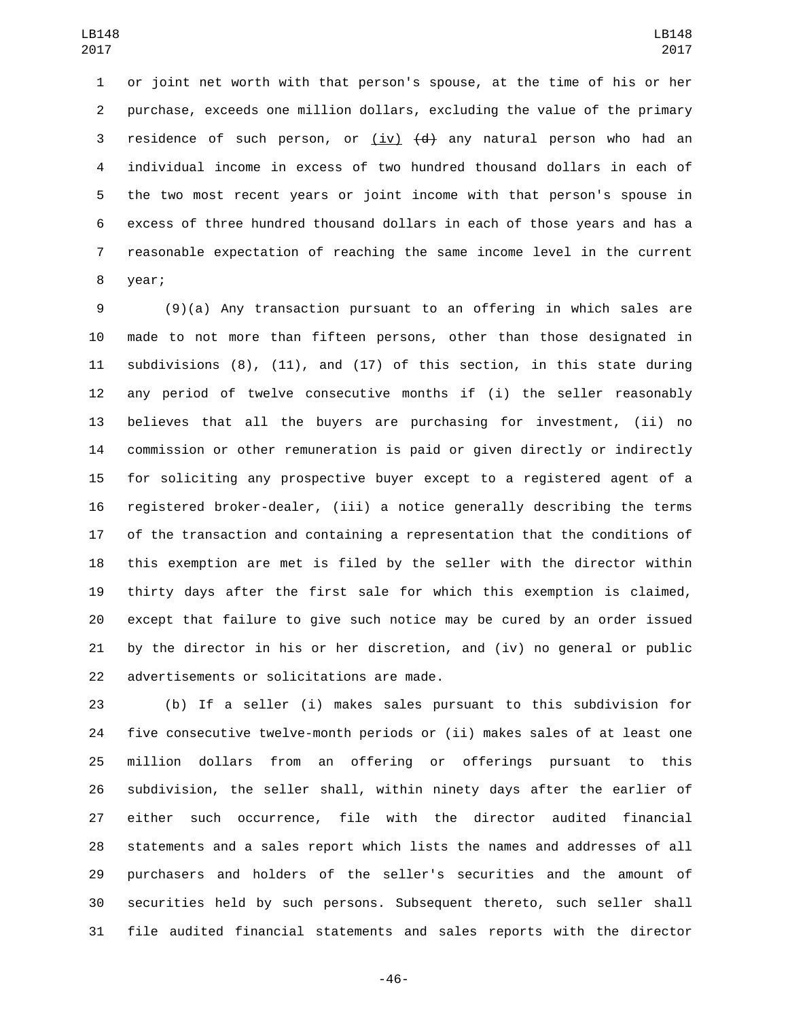or joint net worth with that person's spouse, at the time of his or her purchase, exceeds one million dollars, excluding the value of the primary 3 residence of such person, or (iv)  $\{d\}$  any natural person who had an individual income in excess of two hundred thousand dollars in each of the two most recent years or joint income with that person's spouse in excess of three hundred thousand dollars in each of those years and has a reasonable expectation of reaching the same income level in the current 8 year;

 (9)(a) Any transaction pursuant to an offering in which sales are made to not more than fifteen persons, other than those designated in subdivisions (8), (11), and (17) of this section, in this state during any period of twelve consecutive months if (i) the seller reasonably believes that all the buyers are purchasing for investment, (ii) no commission or other remuneration is paid or given directly or indirectly for soliciting any prospective buyer except to a registered agent of a registered broker-dealer, (iii) a notice generally describing the terms of the transaction and containing a representation that the conditions of this exemption are met is filed by the seller with the director within thirty days after the first sale for which this exemption is claimed, except that failure to give such notice may be cured by an order issued by the director in his or her discretion, and (iv) no general or public 22 advertisements or solicitations are made.

 (b) If a seller (i) makes sales pursuant to this subdivision for five consecutive twelve-month periods or (ii) makes sales of at least one million dollars from an offering or offerings pursuant to this subdivision, the seller shall, within ninety days after the earlier of either such occurrence, file with the director audited financial statements and a sales report which lists the names and addresses of all purchasers and holders of the seller's securities and the amount of securities held by such persons. Subsequent thereto, such seller shall file audited financial statements and sales reports with the director

-46-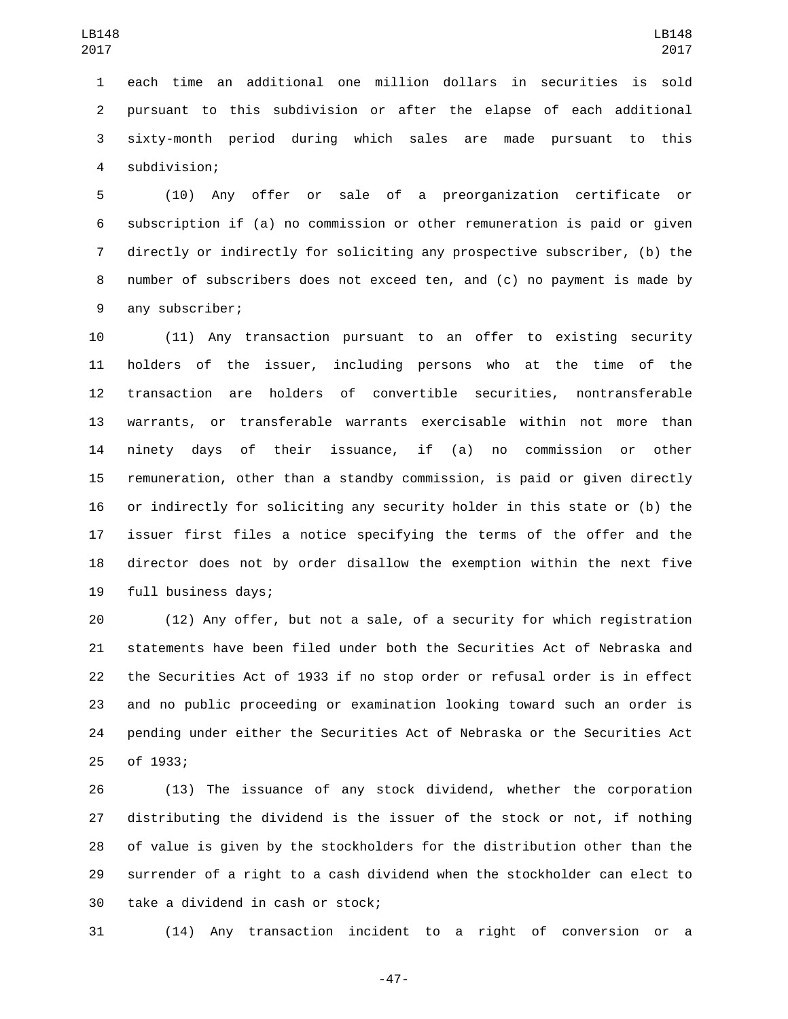each time an additional one million dollars in securities is sold pursuant to this subdivision or after the elapse of each additional sixty-month period during which sales are made pursuant to this subdivision;4

 (10) Any offer or sale of a preorganization certificate or subscription if (a) no commission or other remuneration is paid or given directly or indirectly for soliciting any prospective subscriber, (b) the number of subscribers does not exceed ten, and (c) no payment is made by 9 any subscriber;

 (11) Any transaction pursuant to an offer to existing security holders of the issuer, including persons who at the time of the transaction are holders of convertible securities, nontransferable warrants, or transferable warrants exercisable within not more than ninety days of their issuance, if (a) no commission or other remuneration, other than a standby commission, is paid or given directly or indirectly for soliciting any security holder in this state or (b) the issuer first files a notice specifying the terms of the offer and the director does not by order disallow the exemption within the next five 19 full business days;

 (12) Any offer, but not a sale, of a security for which registration statements have been filed under both the Securities Act of Nebraska and the Securities Act of 1933 if no stop order or refusal order is in effect and no public proceeding or examination looking toward such an order is pending under either the Securities Act of Nebraska or the Securities Act 25 of 1933;

 (13) The issuance of any stock dividend, whether the corporation distributing the dividend is the issuer of the stock or not, if nothing of value is given by the stockholders for the distribution other than the surrender of a right to a cash dividend when the stockholder can elect to 30 take a dividend in cash or stock;

(14) Any transaction incident to a right of conversion or a

-47-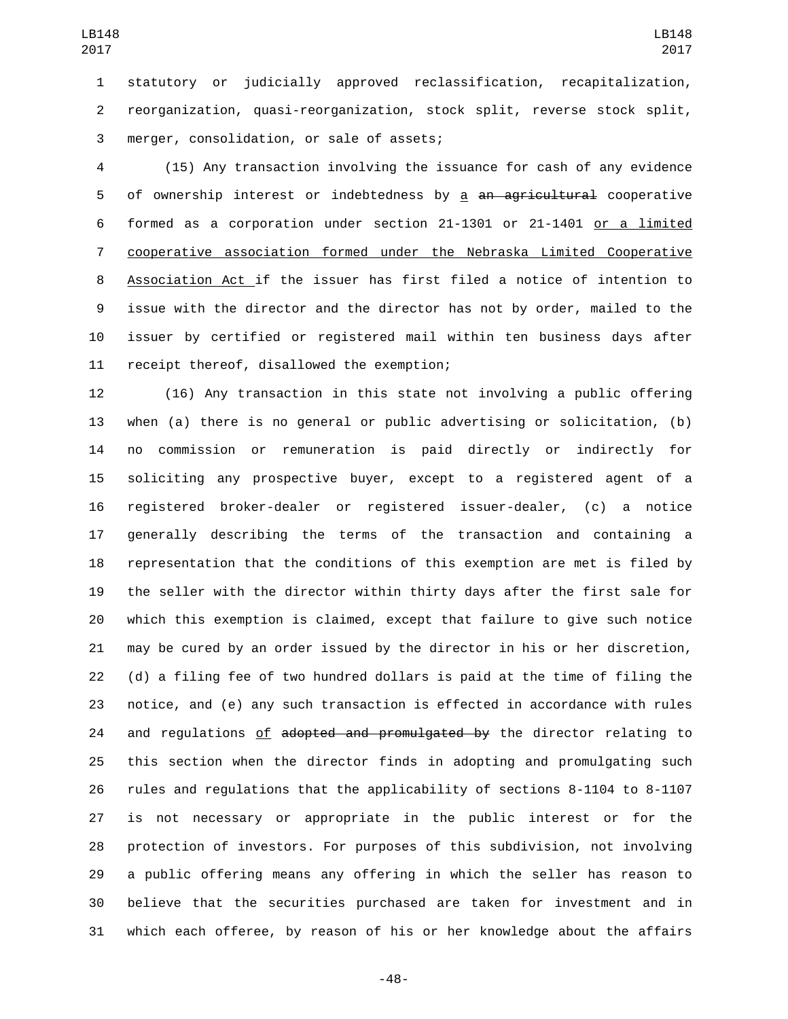statutory or judicially approved reclassification, recapitalization, reorganization, quasi-reorganization, stock split, reverse stock split, 3 merger, consolidation, or sale of assets;

 (15) Any transaction involving the issuance for cash of any evidence 5 of ownership interest or indebtedness by a an agricultural cooperative formed as a corporation under section 21-1301 or 21-1401 or a limited cooperative association formed under the Nebraska Limited Cooperative Association Act if the issuer has first filed a notice of intention to issue with the director and the director has not by order, mailed to the issuer by certified or registered mail within ten business days after 11 receipt thereof, disallowed the exemption;

 (16) Any transaction in this state not involving a public offering when (a) there is no general or public advertising or solicitation, (b) no commission or remuneration is paid directly or indirectly for soliciting any prospective buyer, except to a registered agent of a registered broker-dealer or registered issuer-dealer, (c) a notice generally describing the terms of the transaction and containing a representation that the conditions of this exemption are met is filed by the seller with the director within thirty days after the first sale for which this exemption is claimed, except that failure to give such notice may be cured by an order issued by the director in his or her discretion, (d) a filing fee of two hundred dollars is paid at the time of filing the notice, and (e) any such transaction is effected in accordance with rules 24 and regulations of adopted and promulgated by the director relating to this section when the director finds in adopting and promulgating such rules and regulations that the applicability of sections 8-1104 to 8-1107 is not necessary or appropriate in the public interest or for the protection of investors. For purposes of this subdivision, not involving a public offering means any offering in which the seller has reason to believe that the securities purchased are taken for investment and in which each offeree, by reason of his or her knowledge about the affairs

-48-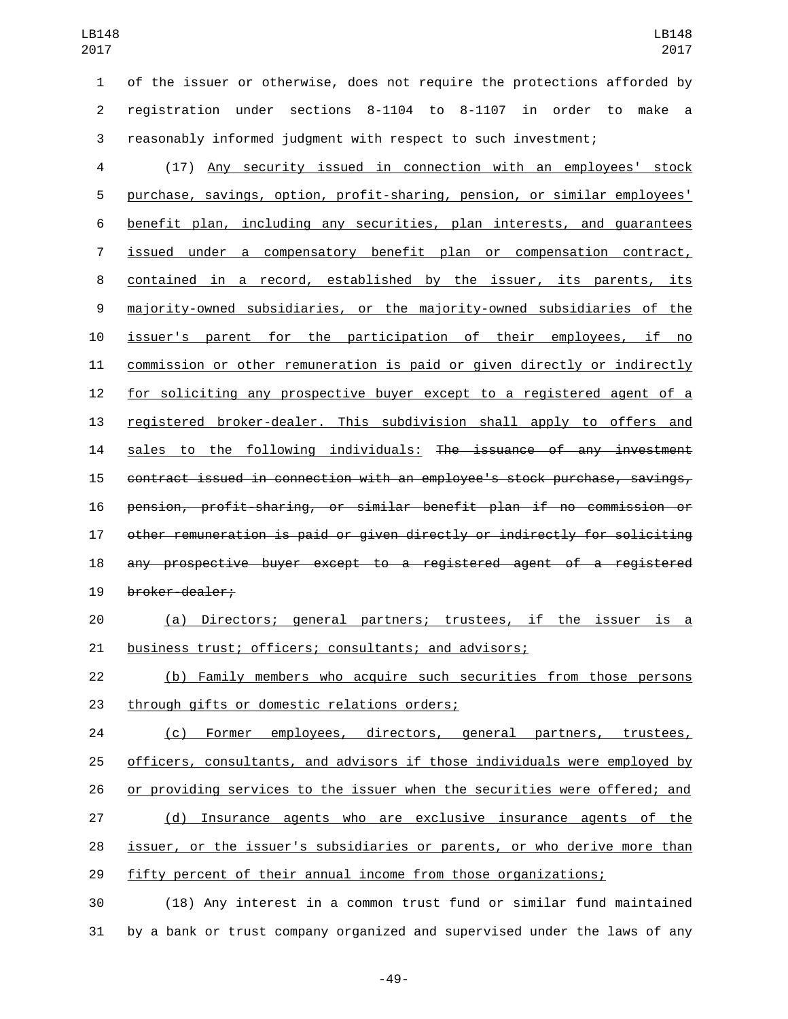of the issuer or otherwise, does not require the protections afforded by registration under sections 8-1104 to 8-1107 in order to make a reasonably informed judgment with respect to such investment;

 (17) Any security issued in connection with an employees' stock purchase, savings, option, profit-sharing, pension, or similar employees' benefit plan, including any securities, plan interests, and guarantees issued under a compensatory benefit plan or compensation contract, contained in a record, established by the issuer, its parents, its majority-owned subsidiaries, or the majority-owned subsidiaries of the issuer's parent for the participation of their employees, if no commission or other remuneration is paid or given directly or indirectly for soliciting any prospective buyer except to a registered agent of a registered broker-dealer. This subdivision shall apply to offers and 14 sales to the following individuals: The issuance of any investment contract issued in connection with an employee's stock purchase, savings, pension, profit-sharing, or similar benefit plan if no commission or other remuneration is paid or given directly or indirectly for soliciting any prospective buyer except to a registered agent of a registered 19 broker-dealer;

## (a) Directors; general partners; trustees, if the issuer is a business trust; officers; consultants; and advisors;

 (b) Family members who acquire such securities from those persons 23 through gifts or domestic relations orders;

 (c) Former employees, directors, general partners, trustees, officers, consultants, and advisors if those individuals were employed by or providing services to the issuer when the securities were offered; and (d) Insurance agents who are exclusive insurance agents of the 28 issuer, or the issuer's subsidiaries or parents, or who derive more than fifty percent of their annual income from those organizations;

 (18) Any interest in a common trust fund or similar fund maintained by a bank or trust company organized and supervised under the laws of any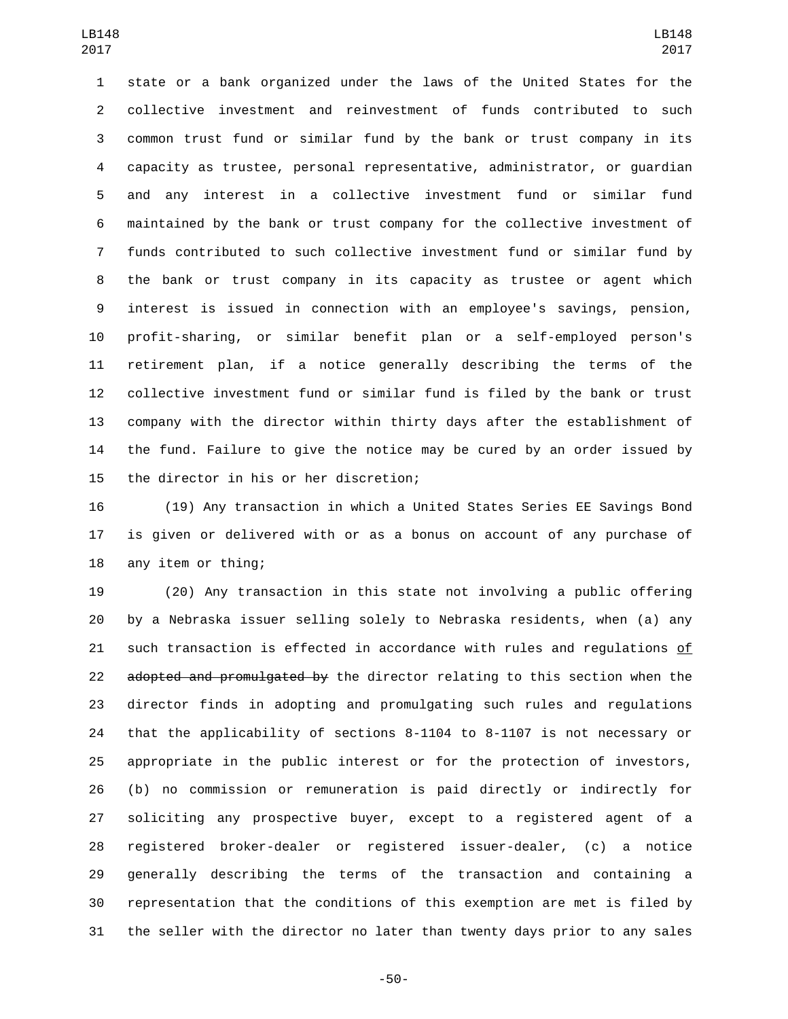state or a bank organized under the laws of the United States for the collective investment and reinvestment of funds contributed to such common trust fund or similar fund by the bank or trust company in its capacity as trustee, personal representative, administrator, or guardian and any interest in a collective investment fund or similar fund maintained by the bank or trust company for the collective investment of funds contributed to such collective investment fund or similar fund by the bank or trust company in its capacity as trustee or agent which interest is issued in connection with an employee's savings, pension, profit-sharing, or similar benefit plan or a self-employed person's retirement plan, if a notice generally describing the terms of the collective investment fund or similar fund is filed by the bank or trust company with the director within thirty days after the establishment of the fund. Failure to give the notice may be cured by an order issued by 15 the director in his or her discretion;

 (19) Any transaction in which a United States Series EE Savings Bond is given or delivered with or as a bonus on account of any purchase of 18 any item or thing;

 (20) Any transaction in this state not involving a public offering by a Nebraska issuer selling solely to Nebraska residents, when (a) any such transaction is effected in accordance with rules and regulations of 22 adopted and promulgated by the director relating to this section when the director finds in adopting and promulgating such rules and regulations that the applicability of sections 8-1104 to 8-1107 is not necessary or appropriate in the public interest or for the protection of investors, (b) no commission or remuneration is paid directly or indirectly for soliciting any prospective buyer, except to a registered agent of a registered broker-dealer or registered issuer-dealer, (c) a notice generally describing the terms of the transaction and containing a representation that the conditions of this exemption are met is filed by the seller with the director no later than twenty days prior to any sales

-50-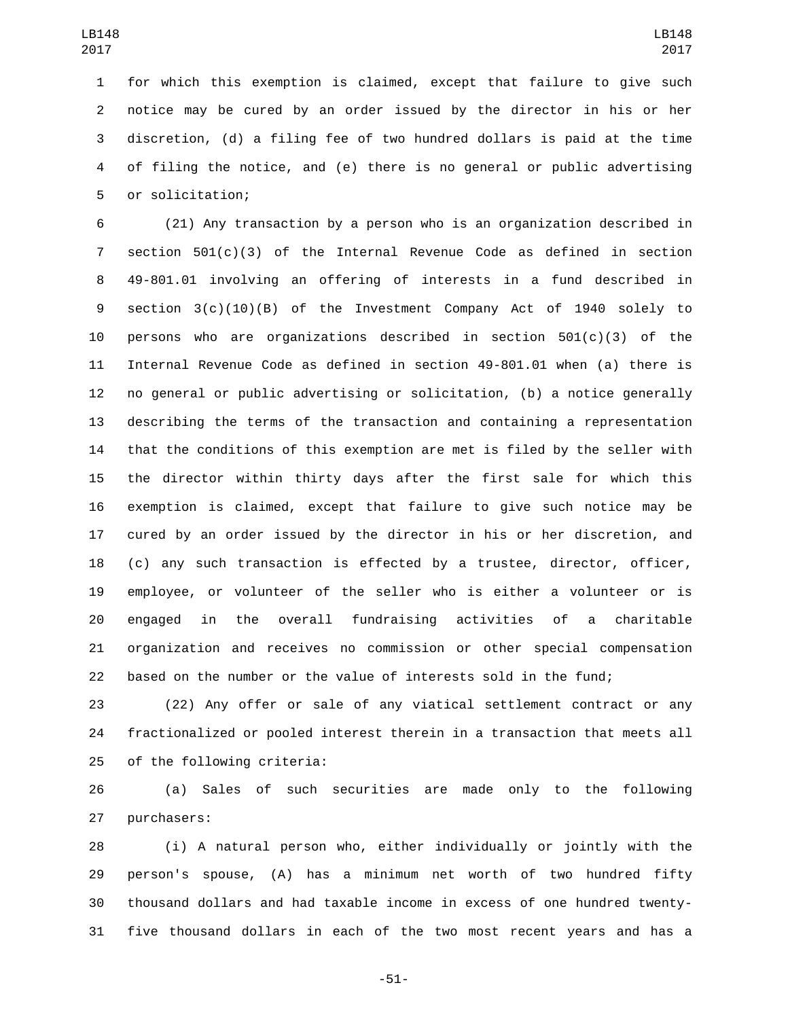for which this exemption is claimed, except that failure to give such notice may be cured by an order issued by the director in his or her discretion, (d) a filing fee of two hundred dollars is paid at the time of filing the notice, and (e) there is no general or public advertising 5 or solicitation;

 (21) Any transaction by a person who is an organization described in section 501(c)(3) of the Internal Revenue Code as defined in section 49-801.01 involving an offering of interests in a fund described in section 3(c)(10)(B) of the Investment Company Act of 1940 solely to persons who are organizations described in section 501(c)(3) of the Internal Revenue Code as defined in section 49-801.01 when (a) there is no general or public advertising or solicitation, (b) a notice generally describing the terms of the transaction and containing a representation that the conditions of this exemption are met is filed by the seller with the director within thirty days after the first sale for which this exemption is claimed, except that failure to give such notice may be cured by an order issued by the director in his or her discretion, and (c) any such transaction is effected by a trustee, director, officer, employee, or volunteer of the seller who is either a volunteer or is engaged in the overall fundraising activities of a charitable organization and receives no commission or other special compensation based on the number or the value of interests sold in the fund;

 (22) Any offer or sale of any viatical settlement contract or any fractionalized or pooled interest therein in a transaction that meets all 25 of the following criteria:

 (a) Sales of such securities are made only to the following 27 purchasers:

 (i) A natural person who, either individually or jointly with the person's spouse, (A) has a minimum net worth of two hundred fifty thousand dollars and had taxable income in excess of one hundred twenty-five thousand dollars in each of the two most recent years and has a

-51-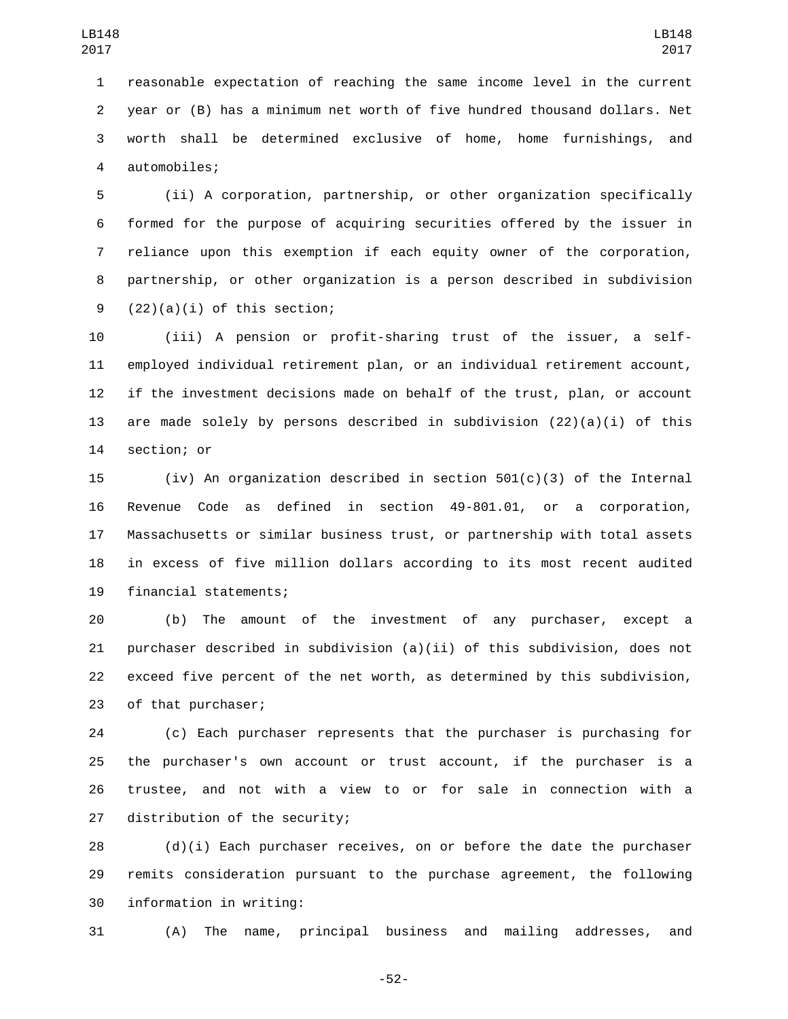reasonable expectation of reaching the same income level in the current year or (B) has a minimum net worth of five hundred thousand dollars. Net worth shall be determined exclusive of home, home furnishings, and automobiles;4

 (ii) A corporation, partnership, or other organization specifically formed for the purpose of acquiring securities offered by the issuer in reliance upon this exemption if each equity owner of the corporation, partnership, or other organization is a person described in subdivision  $(22)(a)(i)$  of this section;

 (iii) A pension or profit-sharing trust of the issuer, a self- employed individual retirement plan, or an individual retirement account, if the investment decisions made on behalf of the trust, plan, or account 13 are made solely by persons described in subdivision  $(22)(a)(i)$  of this 14 section; or

 (iv) An organization described in section 501(c)(3) of the Internal Revenue Code as defined in section 49-801.01, or a corporation, Massachusetts or similar business trust, or partnership with total assets in excess of five million dollars according to its most recent audited 19 financial statements;

 (b) The amount of the investment of any purchaser, except a purchaser described in subdivision (a)(ii) of this subdivision, does not exceed five percent of the net worth, as determined by this subdivision, 23 of that purchaser;

 (c) Each purchaser represents that the purchaser is purchasing for the purchaser's own account or trust account, if the purchaser is a trustee, and not with a view to or for sale in connection with a 27 distribution of the security;

 (d)(i) Each purchaser receives, on or before the date the purchaser remits consideration pursuant to the purchase agreement, the following 30 information in writing:

(A) The name, principal business and mailing addresses, and

-52-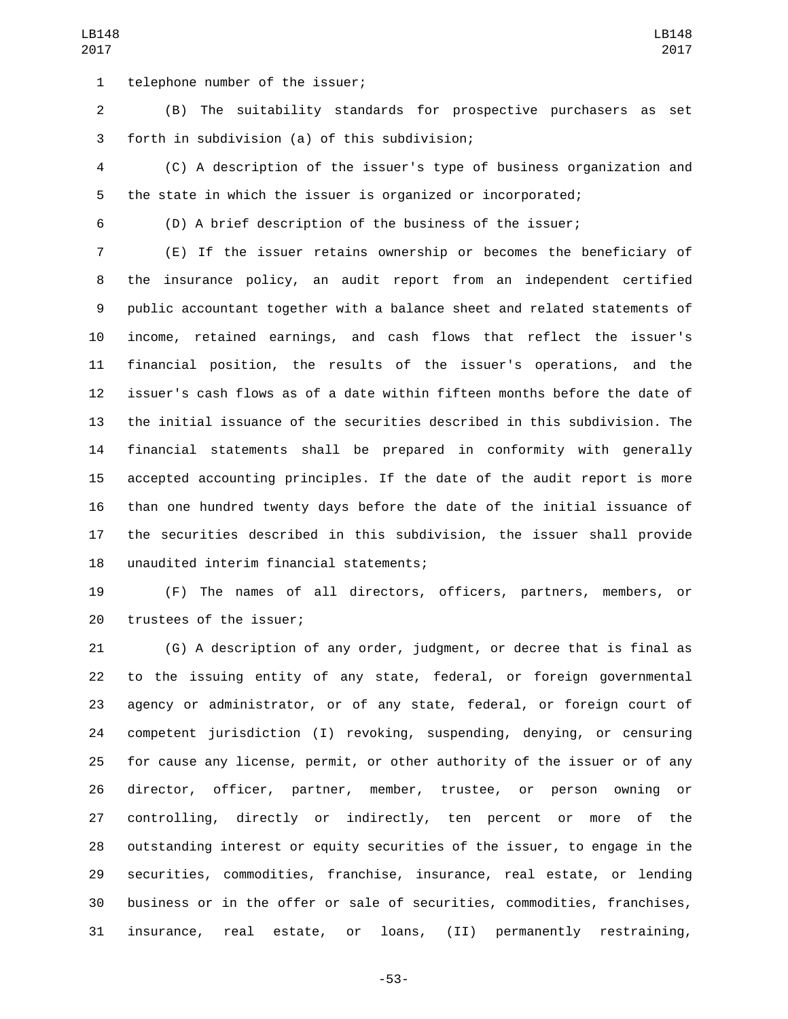1 telephone number of the issuer;

 (B) The suitability standards for prospective purchasers as set forth in subdivision (a) of this subdivision;3

 (C) A description of the issuer's type of business organization and the state in which the issuer is organized or incorporated;

(D) A brief description of the business of the issuer;

 (E) If the issuer retains ownership or becomes the beneficiary of the insurance policy, an audit report from an independent certified public accountant together with a balance sheet and related statements of income, retained earnings, and cash flows that reflect the issuer's financial position, the results of the issuer's operations, and the issuer's cash flows as of a date within fifteen months before the date of the initial issuance of the securities described in this subdivision. The financial statements shall be prepared in conformity with generally accepted accounting principles. If the date of the audit report is more than one hundred twenty days before the date of the initial issuance of the securities described in this subdivision, the issuer shall provide 18 unaudited interim financial statements;

 (F) The names of all directors, officers, partners, members, or 20 trustees of the issuer;

 (G) A description of any order, judgment, or decree that is final as to the issuing entity of any state, federal, or foreign governmental agency or administrator, or of any state, federal, or foreign court of competent jurisdiction (I) revoking, suspending, denying, or censuring for cause any license, permit, or other authority of the issuer or of any director, officer, partner, member, trustee, or person owning or controlling, directly or indirectly, ten percent or more of the outstanding interest or equity securities of the issuer, to engage in the securities, commodities, franchise, insurance, real estate, or lending business or in the offer or sale of securities, commodities, franchises, insurance, real estate, or loans, (II) permanently restraining,

-53-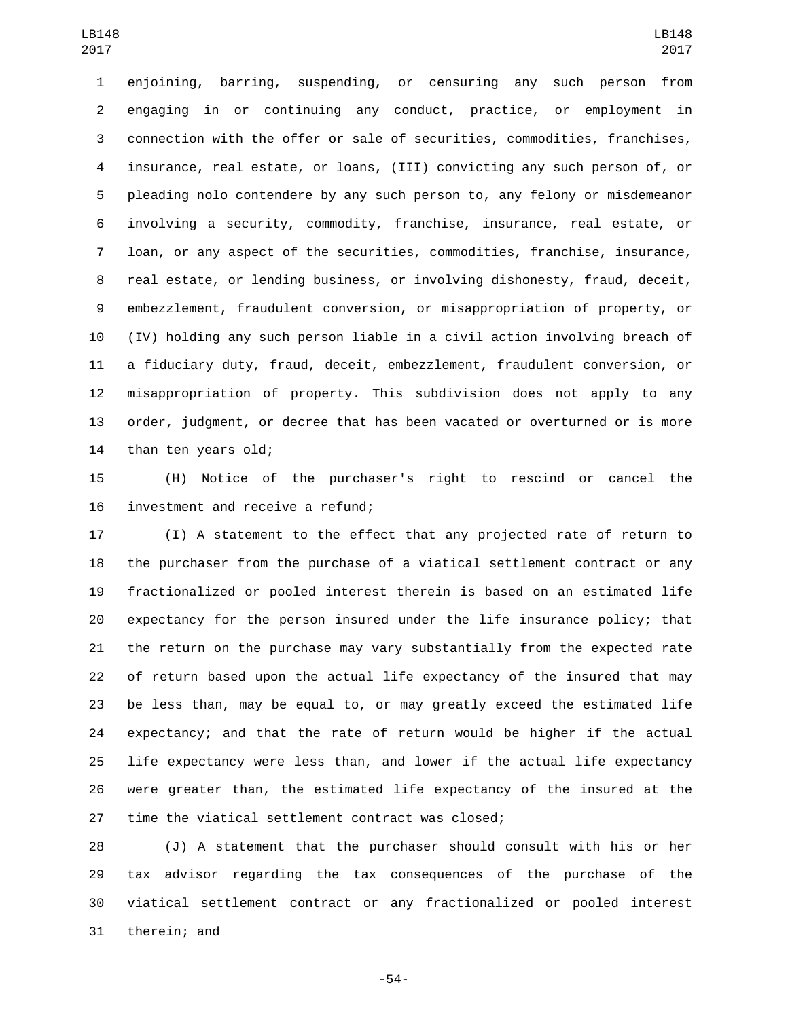enjoining, barring, suspending, or censuring any such person from engaging in or continuing any conduct, practice, or employment in connection with the offer or sale of securities, commodities, franchises, insurance, real estate, or loans, (III) convicting any such person of, or pleading nolo contendere by any such person to, any felony or misdemeanor involving a security, commodity, franchise, insurance, real estate, or loan, or any aspect of the securities, commodities, franchise, insurance, real estate, or lending business, or involving dishonesty, fraud, deceit, embezzlement, fraudulent conversion, or misappropriation of property, or (IV) holding any such person liable in a civil action involving breach of a fiduciary duty, fraud, deceit, embezzlement, fraudulent conversion, or misappropriation of property. This subdivision does not apply to any order, judgment, or decree that has been vacated or overturned or is more 14 than ten years old;

 (H) Notice of the purchaser's right to rescind or cancel the 16 investment and receive a refund;

 (I) A statement to the effect that any projected rate of return to the purchaser from the purchase of a viatical settlement contract or any fractionalized or pooled interest therein is based on an estimated life expectancy for the person insured under the life insurance policy; that the return on the purchase may vary substantially from the expected rate of return based upon the actual life expectancy of the insured that may be less than, may be equal to, or may greatly exceed the estimated life expectancy; and that the rate of return would be higher if the actual life expectancy were less than, and lower if the actual life expectancy were greater than, the estimated life expectancy of the insured at the 27 time the viatical settlement contract was closed;

 (J) A statement that the purchaser should consult with his or her tax advisor regarding the tax consequences of the purchase of the viatical settlement contract or any fractionalized or pooled interest 31 therein; and

-54-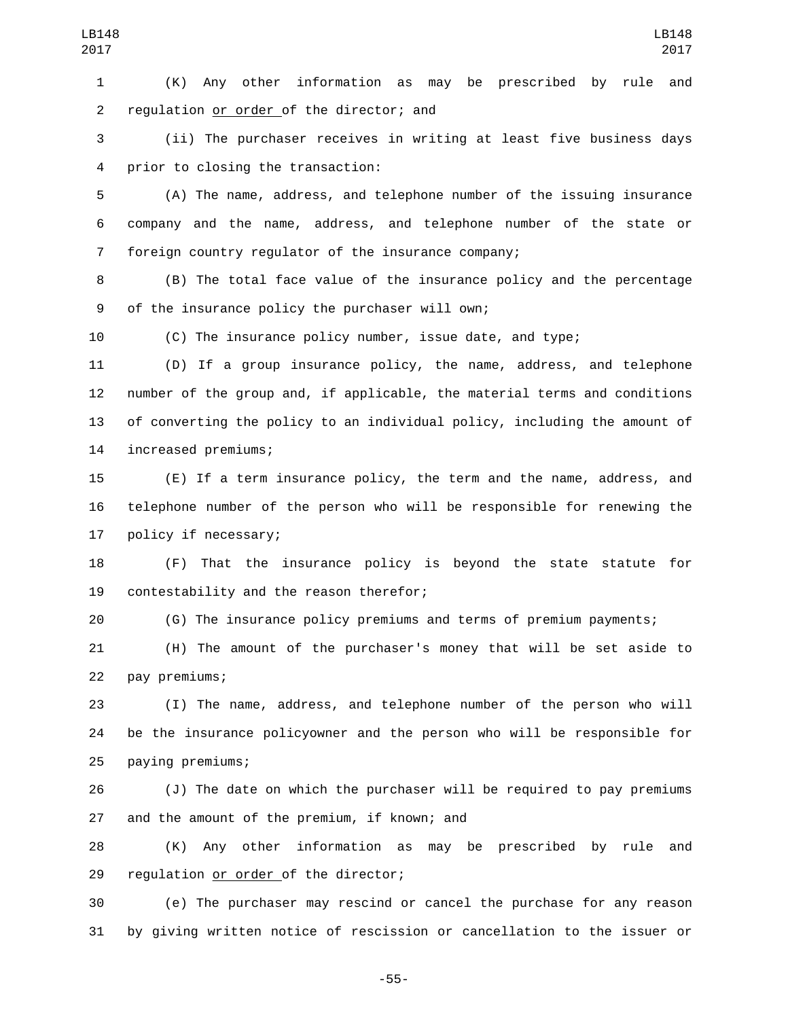(K) Any other information as may be prescribed by rule and 2 regulation or order of the director; and

 (ii) The purchaser receives in writing at least five business days 4 prior to closing the transaction:

 (A) The name, address, and telephone number of the issuing insurance company and the name, address, and telephone number of the state or foreign country regulator of the insurance company;

 (B) The total face value of the insurance policy and the percentage 9 of the insurance policy the purchaser will own;

(C) The insurance policy number, issue date, and type;

 (D) If a group insurance policy, the name, address, and telephone number of the group and, if applicable, the material terms and conditions of converting the policy to an individual policy, including the amount of 14 increased premiums;

 (E) If a term insurance policy, the term and the name, address, and telephone number of the person who will be responsible for renewing the 17 policy if necessary;

 (F) That the insurance policy is beyond the state statute for 19 contestability and the reason therefor;

(G) The insurance policy premiums and terms of premium payments;

 (H) The amount of the purchaser's money that will be set aside to 22 pay premiums;

 (I) The name, address, and telephone number of the person who will be the insurance policyowner and the person who will be responsible for 25 paying premiums;

 (J) The date on which the purchaser will be required to pay premiums 27 and the amount of the premium, if known; and

 (K) Any other information as may be prescribed by rule and 29 regulation or order of the director;

 (e) The purchaser may rescind or cancel the purchase for any reason by giving written notice of rescission or cancellation to the issuer or

-55-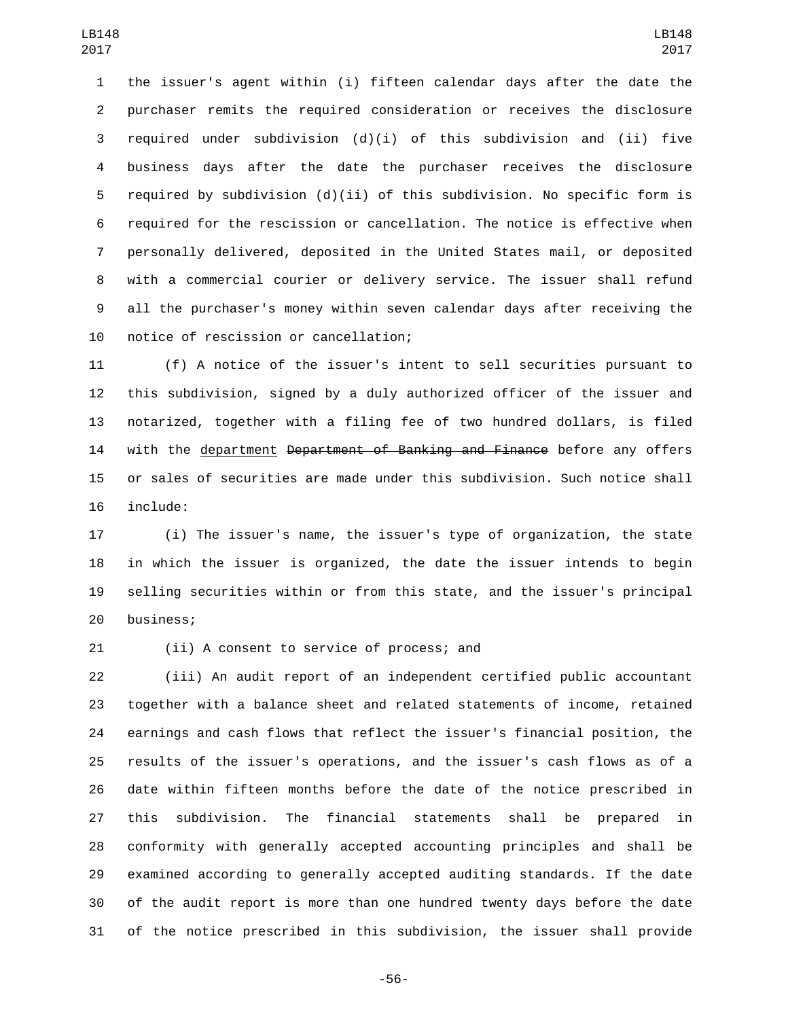the issuer's agent within (i) fifteen calendar days after the date the purchaser remits the required consideration or receives the disclosure required under subdivision (d)(i) of this subdivision and (ii) five business days after the date the purchaser receives the disclosure required by subdivision (d)(ii) of this subdivision. No specific form is required for the rescission or cancellation. The notice is effective when personally delivered, deposited in the United States mail, or deposited with a commercial courier or delivery service. The issuer shall refund all the purchaser's money within seven calendar days after receiving the 10 notice of rescission or cancellation;

 (f) A notice of the issuer's intent to sell securities pursuant to this subdivision, signed by a duly authorized officer of the issuer and notarized, together with a filing fee of two hundred dollars, is filed 14 with the department <del>Department of Banking and Finance</del> before any offers or sales of securities are made under this subdivision. Such notice shall 16 include:

 (i) The issuer's name, the issuer's type of organization, the state in which the issuer is organized, the date the issuer intends to begin selling securities within or from this state, and the issuer's principal 20 business;

21 (ii) A consent to service of process; and

 (iii) An audit report of an independent certified public accountant together with a balance sheet and related statements of income, retained earnings and cash flows that reflect the issuer's financial position, the results of the issuer's operations, and the issuer's cash flows as of a date within fifteen months before the date of the notice prescribed in this subdivision. The financial statements shall be prepared in conformity with generally accepted accounting principles and shall be examined according to generally accepted auditing standards. If the date of the audit report is more than one hundred twenty days before the date of the notice prescribed in this subdivision, the issuer shall provide

-56-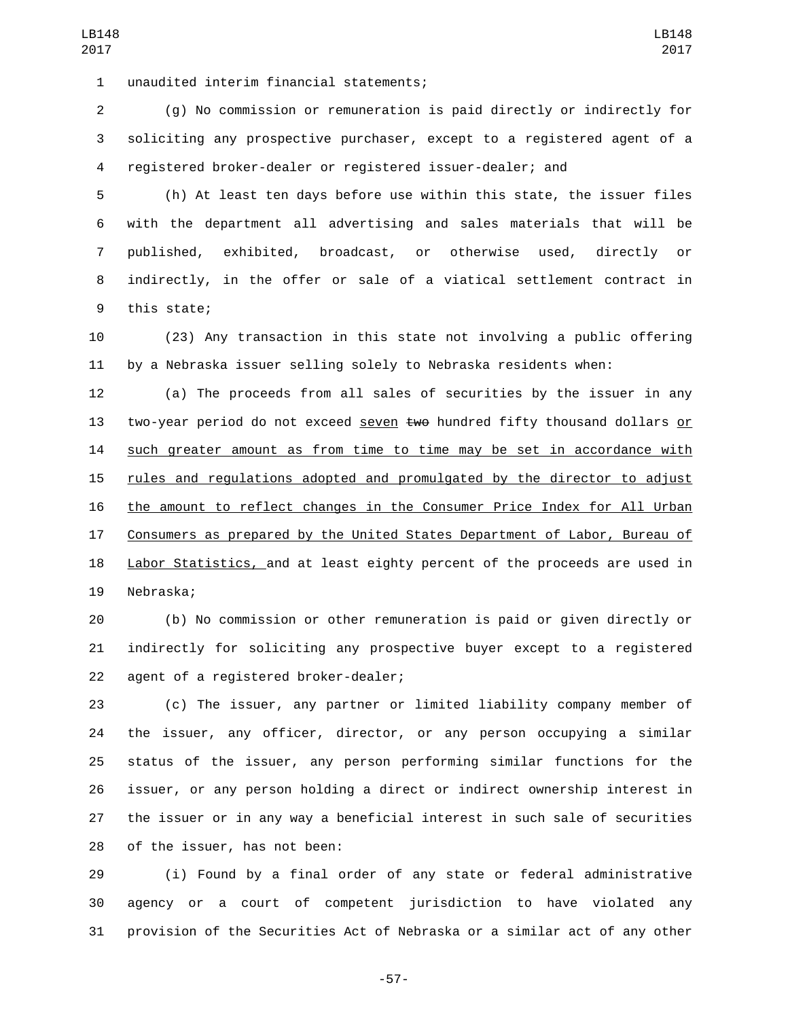unaudited interim financial statements;1

 (g) No commission or remuneration is paid directly or indirectly for soliciting any prospective purchaser, except to a registered agent of a registered broker-dealer or registered issuer-dealer; and

 (h) At least ten days before use within this state, the issuer files with the department all advertising and sales materials that will be published, exhibited, broadcast, or otherwise used, directly or indirectly, in the offer or sale of a viatical settlement contract in 9 this state;

 (23) Any transaction in this state not involving a public offering by a Nebraska issuer selling solely to Nebraska residents when:

 (a) The proceeds from all sales of securities by the issuer in any 13 two-year period do not exceed seven two hundred fifty thousand dollars or such greater amount as from time to time may be set in accordance with rules and regulations adopted and promulgated by the director to adjust the amount to reflect changes in the Consumer Price Index for All Urban Consumers as prepared by the United States Department of Labor, Bureau of Labor Statistics, and at least eighty percent of the proceeds are used in 19 Nebraska:

 (b) No commission or other remuneration is paid or given directly or indirectly for soliciting any prospective buyer except to a registered 22 agent of a registered broker-dealer;

 (c) The issuer, any partner or limited liability company member of the issuer, any officer, director, or any person occupying a similar status of the issuer, any person performing similar functions for the issuer, or any person holding a direct or indirect ownership interest in the issuer or in any way a beneficial interest in such sale of securities 28 of the issuer, has not been:

 (i) Found by a final order of any state or federal administrative agency or a court of competent jurisdiction to have violated any provision of the Securities Act of Nebraska or a similar act of any other

-57-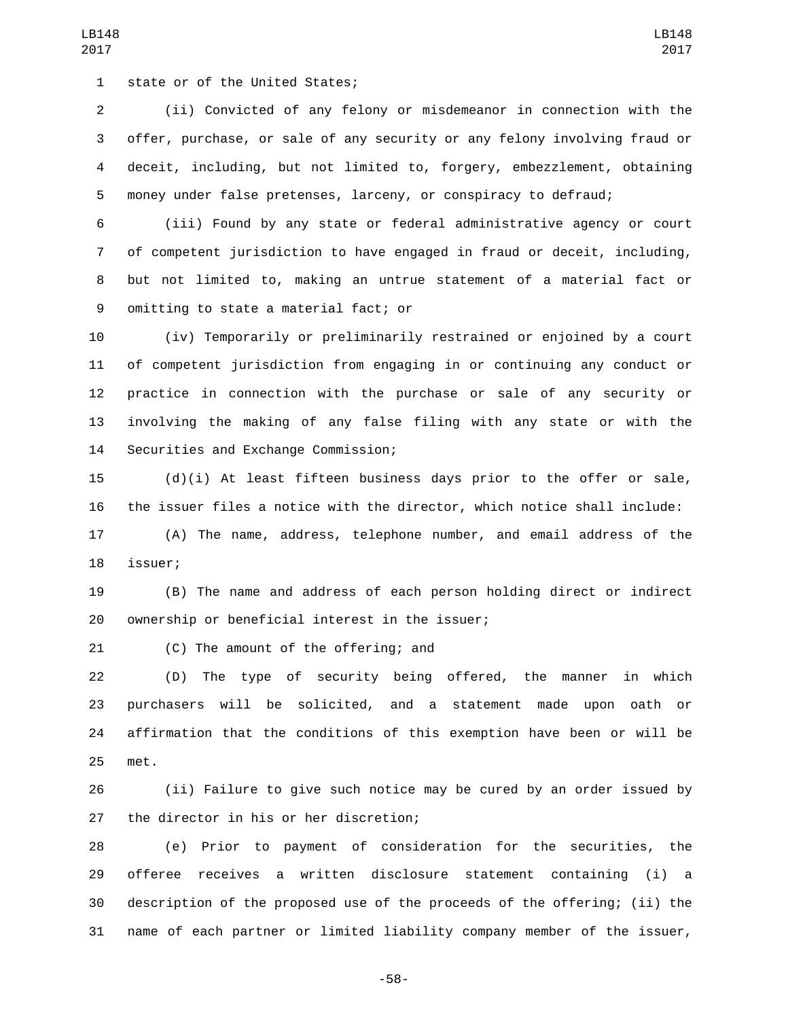LB148 

 (ii) Convicted of any felony or misdemeanor in connection with the offer, purchase, or sale of any security or any felony involving fraud or deceit, including, but not limited to, forgery, embezzlement, obtaining money under false pretenses, larceny, or conspiracy to defraud;

 (iii) Found by any state or federal administrative agency or court of competent jurisdiction to have engaged in fraud or deceit, including, but not limited to, making an untrue statement of a material fact or 9 omitting to state a material fact; or

 (iv) Temporarily or preliminarily restrained or enjoined by a court of competent jurisdiction from engaging in or continuing any conduct or practice in connection with the purchase or sale of any security or involving the making of any false filing with any state or with the 14 Securities and Exchange Commission;

 (d)(i) At least fifteen business days prior to the offer or sale, the issuer files a notice with the director, which notice shall include:

 (A) The name, address, telephone number, and email address of the 18 issuer;

 (B) The name and address of each person holding direct or indirect 20 ownership or beneficial interest in the issuer;

21 (C) The amount of the offering; and

 (D) The type of security being offered, the manner in which purchasers will be solicited, and a statement made upon oath or affirmation that the conditions of this exemption have been or will be 25 met.

 (ii) Failure to give such notice may be cured by an order issued by 27 the director in his or her discretion;

 (e) Prior to payment of consideration for the securities, the offeree receives a written disclosure statement containing (i) a description of the proposed use of the proceeds of the offering; (ii) the name of each partner or limited liability company member of the issuer,

-58-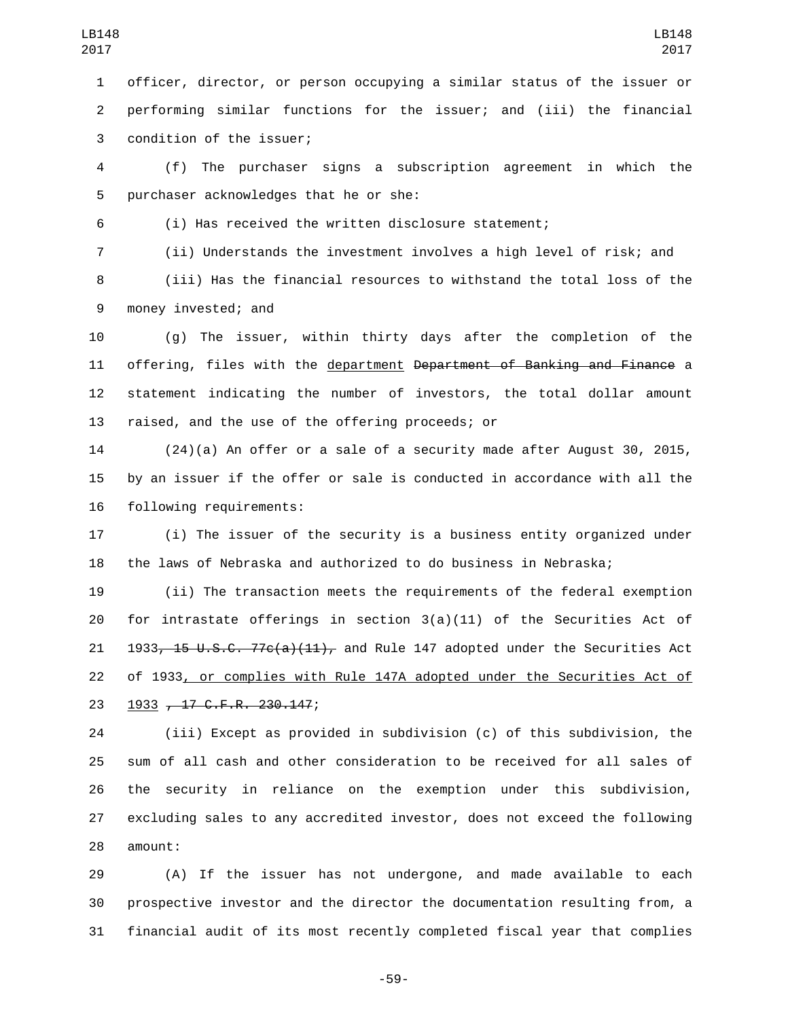officer, director, or person occupying a similar status of the issuer or performing similar functions for the issuer; and (iii) the financial 3 condition of the issuer;

 (f) The purchaser signs a subscription agreement in which the 5 purchaser acknowledges that he or she:

(i) Has received the written disclosure statement;

(ii) Understands the investment involves a high level of risk; and

 (iii) Has the financial resources to withstand the total loss of the 9 money invested; and

 (g) The issuer, within thirty days after the completion of the 11 offering, files with the department Department of Banking and Finance a statement indicating the number of investors, the total dollar amount 13 raised, and the use of the offering proceeds; or

 (24)(a) An offer or a sale of a security made after August 30, 2015, by an issuer if the offer or sale is conducted in accordance with all the 16 following requirements:

 (i) The issuer of the security is a business entity organized under the laws of Nebraska and authorized to do business in Nebraska;

 (ii) The transaction meets the requirements of the federal exemption 20 for intrastate offerings in section  $3(a)(11)$  of the Securities Act of 21 1933, 15 U.S.C.  $77c(a)(11)$ , and Rule 147 adopted under the Securities Act of 1933, or complies with Rule 147A adopted under the Securities Act of 23 1933 <del>, 17 C.F.R. 230.147</del>;

 (iii) Except as provided in subdivision (c) of this subdivision, the sum of all cash and other consideration to be received for all sales of the security in reliance on the exemption under this subdivision, excluding sales to any accredited investor, does not exceed the following 28 amount:

 (A) If the issuer has not undergone, and made available to each prospective investor and the director the documentation resulting from, a financial audit of its most recently completed fiscal year that complies

-59-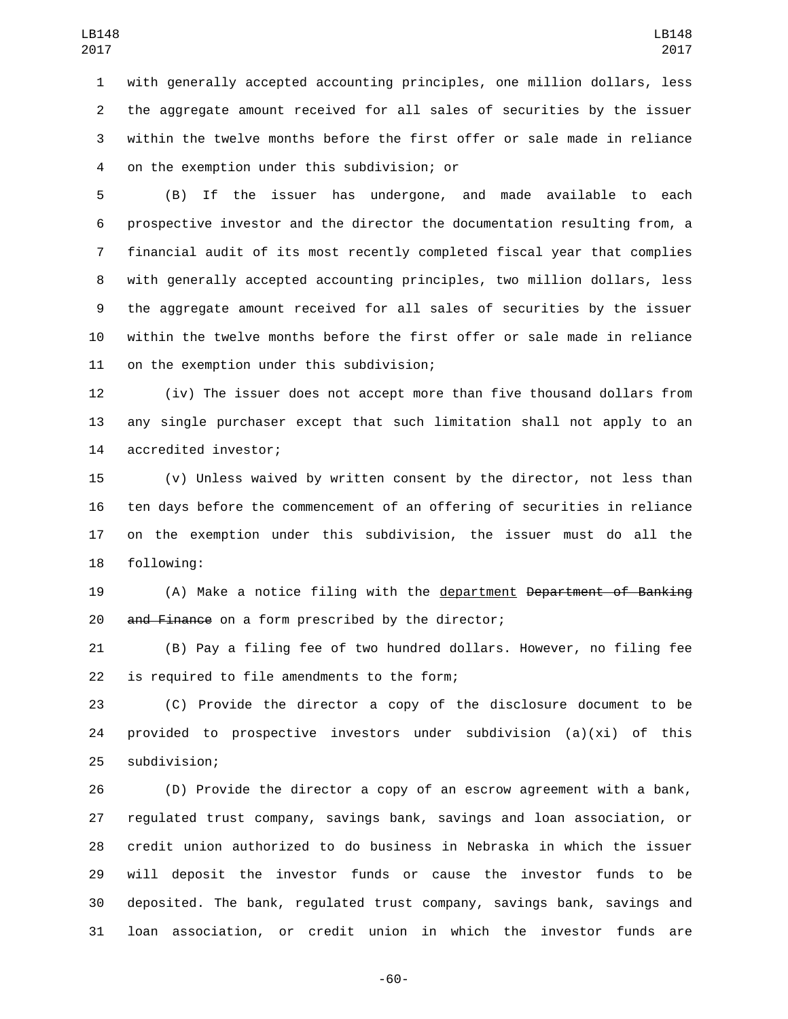with generally accepted accounting principles, one million dollars, less the aggregate amount received for all sales of securities by the issuer within the twelve months before the first offer or sale made in reliance on the exemption under this subdivision; or4

 (B) If the issuer has undergone, and made available to each prospective investor and the director the documentation resulting from, a financial audit of its most recently completed fiscal year that complies with generally accepted accounting principles, two million dollars, less the aggregate amount received for all sales of securities by the issuer within the twelve months before the first offer or sale made in reliance 11 on the exemption under this subdivision;

 (iv) The issuer does not accept more than five thousand dollars from any single purchaser except that such limitation shall not apply to an 14 accredited investor;

 (v) Unless waived by written consent by the director, not less than ten days before the commencement of an offering of securities in reliance on the exemption under this subdivision, the issuer must do all the 18 following:

 (A) Make a notice filing with the department Department of Banking 20 and Finance on a form prescribed by the director;

 (B) Pay a filing fee of two hundred dollars. However, no filing fee 22 is required to file amendments to the form;

 (C) Provide the director a copy of the disclosure document to be 24 provided to prospective investors under subdivision  $(a)(xi)$  of this 25 subdivision;

 (D) Provide the director a copy of an escrow agreement with a bank, regulated trust company, savings bank, savings and loan association, or credit union authorized to do business in Nebraska in which the issuer will deposit the investor funds or cause the investor funds to be deposited. The bank, regulated trust company, savings bank, savings and loan association, or credit union in which the investor funds are

-60-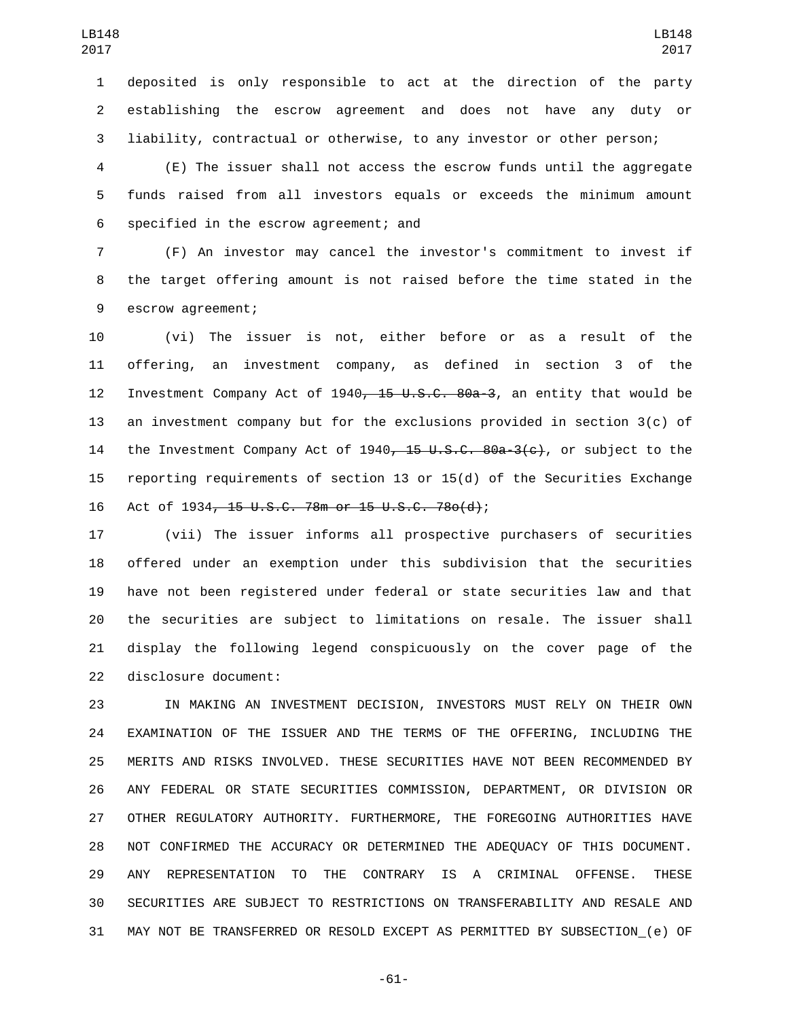deposited is only responsible to act at the direction of the party establishing the escrow agreement and does not have any duty or liability, contractual or otherwise, to any investor or other person;

 (E) The issuer shall not access the escrow funds until the aggregate funds raised from all investors equals or exceeds the minimum amount specified in the escrow agreement; and6

 (F) An investor may cancel the investor's commitment to invest if the target offering amount is not raised before the time stated in the 9 escrow agreement;

 (vi) The issuer is not, either before or as a result of the offering, an investment company, as defined in section 3 of the 12 Investment Company Act of 1940<del>, 15 U.S.C. 80a-3</del>, an entity that would be an investment company but for the exclusions provided in section 3(c) of 14 the Investment Company Act of 1940,  $15 \text{ U.S.C. } 80a-3(c)$ , or subject to the reporting requirements of section 13 or 15(d) of the Securities Exchange 16 Act of 1934, 15 U.S.C. 78m or 15 U.S.C. 78o(d);

 (vii) The issuer informs all prospective purchasers of securities offered under an exemption under this subdivision that the securities have not been registered under federal or state securities law and that the securities are subject to limitations on resale. The issuer shall display the following legend conspicuously on the cover page of the 22 disclosure document:

 IN MAKING AN INVESTMENT DECISION, INVESTORS MUST RELY ON THEIR OWN EXAMINATION OF THE ISSUER AND THE TERMS OF THE OFFERING, INCLUDING THE MERITS AND RISKS INVOLVED. THESE SECURITIES HAVE NOT BEEN RECOMMENDED BY ANY FEDERAL OR STATE SECURITIES COMMISSION, DEPARTMENT, OR DIVISION OR OTHER REGULATORY AUTHORITY. FURTHERMORE, THE FOREGOING AUTHORITIES HAVE NOT CONFIRMED THE ACCURACY OR DETERMINED THE ADEQUACY OF THIS DOCUMENT. ANY REPRESENTATION TO THE CONTRARY IS A CRIMINAL OFFENSE. THESE SECURITIES ARE SUBJECT TO RESTRICTIONS ON TRANSFERABILITY AND RESALE AND MAY NOT BE TRANSFERRED OR RESOLD EXCEPT AS PERMITTED BY SUBSECTION (e) OF

-61-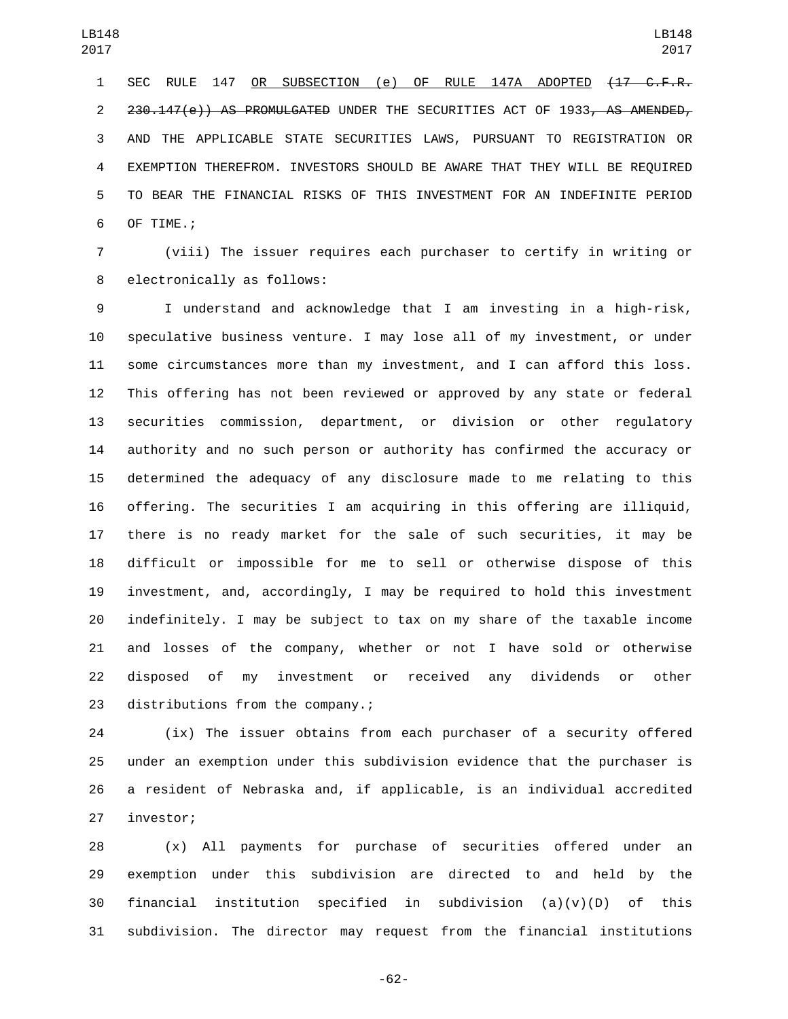1 SEC RULE 147 OR SUBSECTION (e) OF RULE 147A ADOPTED (17 C.F.R. 2 230.147(e)) AS PROMULGATED UNDER THE SECURITIES ACT OF 1933, AS AMENDED, AND THE APPLICABLE STATE SECURITIES LAWS, PURSUANT TO REGISTRATION OR EXEMPTION THEREFROM. INVESTORS SHOULD BE AWARE THAT THEY WILL BE REQUIRED TO BEAR THE FINANCIAL RISKS OF THIS INVESTMENT FOR AN INDEFINITE PERIOD 6 OF TIME.;

 (viii) The issuer requires each purchaser to certify in writing or 8 electronically as follows:

 I understand and acknowledge that I am investing in a high-risk, speculative business venture. I may lose all of my investment, or under some circumstances more than my investment, and I can afford this loss. This offering has not been reviewed or approved by any state or federal securities commission, department, or division or other regulatory authority and no such person or authority has confirmed the accuracy or determined the adequacy of any disclosure made to me relating to this offering. The securities I am acquiring in this offering are illiquid, there is no ready market for the sale of such securities, it may be difficult or impossible for me to sell or otherwise dispose of this investment, and, accordingly, I may be required to hold this investment indefinitely. I may be subject to tax on my share of the taxable income and losses of the company, whether or not I have sold or otherwise disposed of my investment or received any dividends or other 23 distributions from the company.;

 (ix) The issuer obtains from each purchaser of a security offered under an exemption under this subdivision evidence that the purchaser is a resident of Nebraska and, if applicable, is an individual accredited 27 investor;

 (x) All payments for purchase of securities offered under an exemption under this subdivision are directed to and held by the 30 financial institution specified in subdivision  $(a)(v)(D)$  of this subdivision. The director may request from the financial institutions

-62-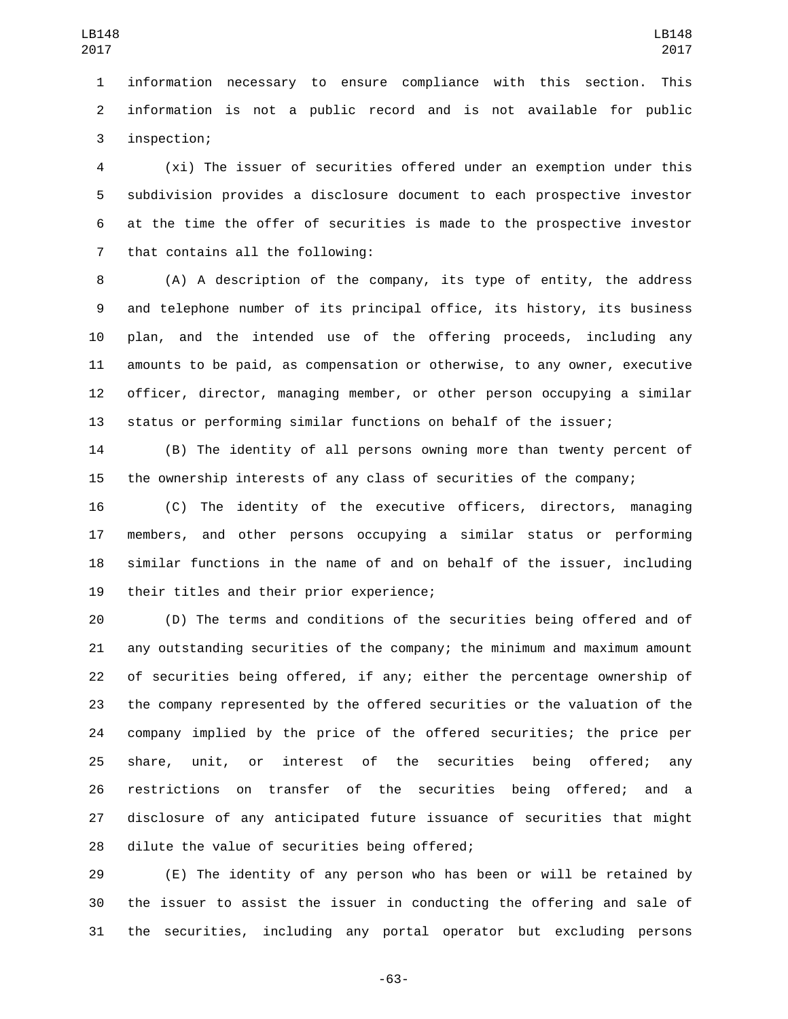information necessary to ensure compliance with this section. This information is not a public record and is not available for public 3 inspection;

 (xi) The issuer of securities offered under an exemption under this subdivision provides a disclosure document to each prospective investor at the time the offer of securities is made to the prospective investor 7 that contains all the following:

 (A) A description of the company, its type of entity, the address and telephone number of its principal office, its history, its business plan, and the intended use of the offering proceeds, including any amounts to be paid, as compensation or otherwise, to any owner, executive officer, director, managing member, or other person occupying a similar status or performing similar functions on behalf of the issuer;

 (B) The identity of all persons owning more than twenty percent of the ownership interests of any class of securities of the company;

 (C) The identity of the executive officers, directors, managing members, and other persons occupying a similar status or performing similar functions in the name of and on behalf of the issuer, including 19 their titles and their prior experience;

 (D) The terms and conditions of the securities being offered and of any outstanding securities of the company; the minimum and maximum amount of securities being offered, if any; either the percentage ownership of the company represented by the offered securities or the valuation of the company implied by the price of the offered securities; the price per share, unit, or interest of the securities being offered; any restrictions on transfer of the securities being offered; and a disclosure of any anticipated future issuance of securities that might 28 dilute the value of securities being offered;

 (E) The identity of any person who has been or will be retained by the issuer to assist the issuer in conducting the offering and sale of the securities, including any portal operator but excluding persons

-63-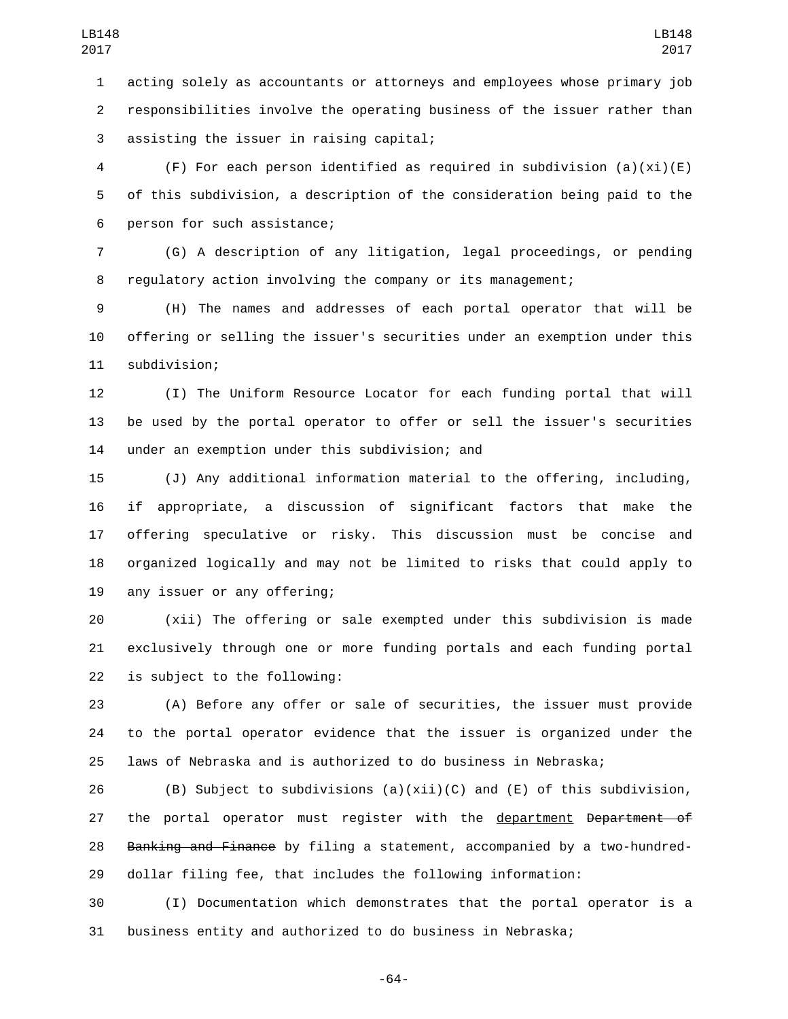acting solely as accountants or attorneys and employees whose primary job responsibilities involve the operating business of the issuer rather than assisting the issuer in raising capital;3

4 (F) For each person identified as required in subdivision  $(a)(xi)(E)$  of this subdivision, a description of the consideration being paid to the 6 person for such assistance;

 (G) A description of any litigation, legal proceedings, or pending regulatory action involving the company or its management;

 (H) The names and addresses of each portal operator that will be offering or selling the issuer's securities under an exemption under this 11 subdivision;

 (I) The Uniform Resource Locator for each funding portal that will be used by the portal operator to offer or sell the issuer's securities 14 under an exemption under this subdivision; and

 (J) Any additional information material to the offering, including, if appropriate, a discussion of significant factors that make the offering speculative or risky. This discussion must be concise and organized logically and may not be limited to risks that could apply to 19 any issuer or any offering;

 (xii) The offering or sale exempted under this subdivision is made exclusively through one or more funding portals and each funding portal 22 is subject to the following:

 (A) Before any offer or sale of securities, the issuer must provide to the portal operator evidence that the issuer is organized under the laws of Nebraska and is authorized to do business in Nebraska;

26 (B) Subject to subdivisions (a)(xii)(C) and (E) of this subdivision, 27 the portal operator must register with the department Department of 28 Banking and Finance by filing a statement, accompanied by a two-hundred-dollar filing fee, that includes the following information:

 (I) Documentation which demonstrates that the portal operator is a business entity and authorized to do business in Nebraska;

-64-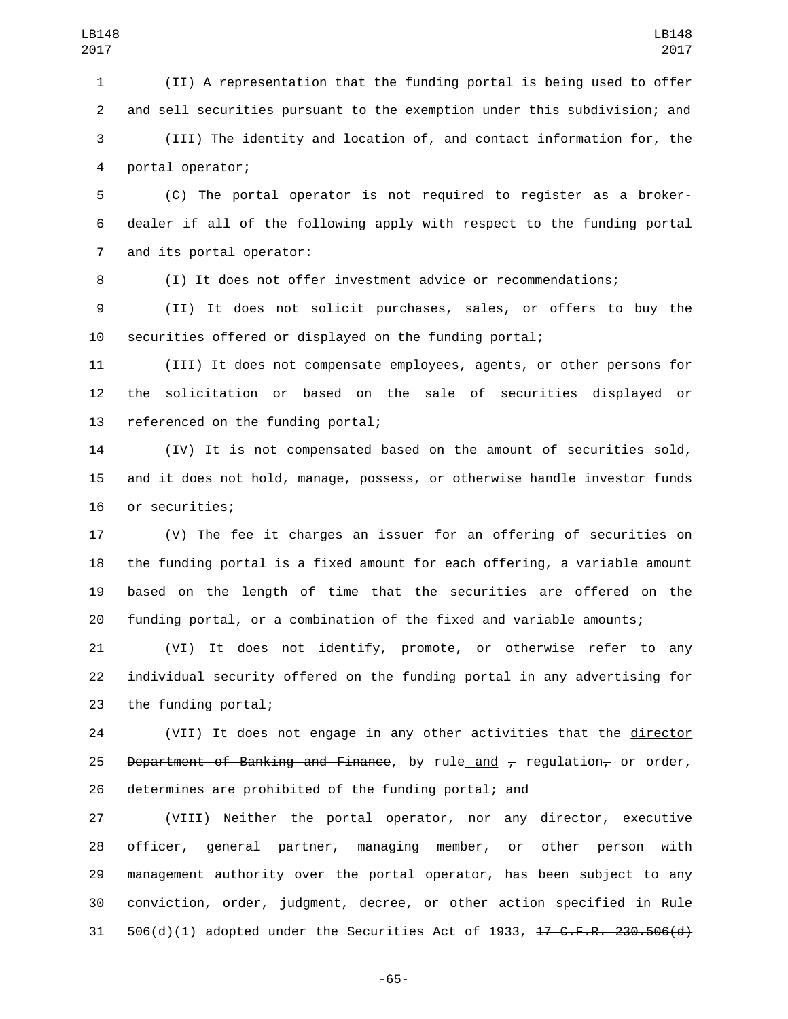(II) A representation that the funding portal is being used to offer and sell securities pursuant to the exemption under this subdivision; and (III) The identity and location of, and contact information for, the 4 portal operator;

 (C) The portal operator is not required to register as a broker- dealer if all of the following apply with respect to the funding portal 7 and its portal operator:

(I) It does not offer investment advice or recommendations;

 (II) It does not solicit purchases, sales, or offers to buy the securities offered or displayed on the funding portal;

 (III) It does not compensate employees, agents, or other persons for the solicitation or based on the sale of securities displayed or 13 referenced on the funding portal;

 (IV) It is not compensated based on the amount of securities sold, and it does not hold, manage, possess, or otherwise handle investor funds 16 or securities;

 (V) The fee it charges an issuer for an offering of securities on the funding portal is a fixed amount for each offering, a variable amount based on the length of time that the securities are offered on the funding portal, or a combination of the fixed and variable amounts;

 (VI) It does not identify, promote, or otherwise refer to any individual security offered on the funding portal in any advertising for 23 the funding portal;

 (VII) It does not engage in any other activities that the director 25 Department of Banking and Finance, by rule and  $\tau$  regulation $\tau$  or order, determines are prohibited of the funding portal; and

 (VIII) Neither the portal operator, nor any director, executive officer, general partner, managing member, or other person with management authority over the portal operator, has been subject to any conviction, order, judgment, decree, or other action specified in Rule  $506(d)(1)$  adopted under the Securities Act of 1933, <del>17 C.F.R. 230.506(d)</del>

-65-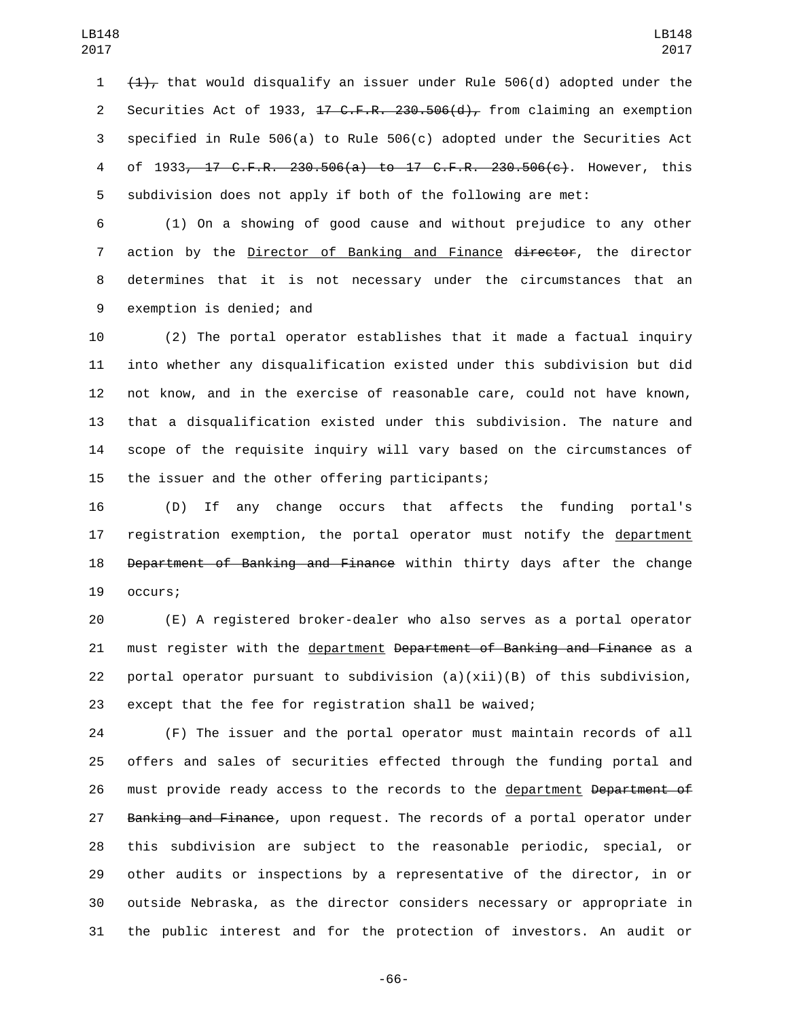1  $(1)$ , that would disqualify an issuer under Rule 506(d) adopted under the 2 Securities Act of 1933,  $17$  C.F.R.  $230.596(d)$ , from claiming an exemption 3 specified in Rule 506(a) to Rule 506(c) adopted under the Securities Act 4 of 1933<del>, 17 C.F.R. 230.506(a) to 17 C.F.R. 230.506(c)</del>. However, this 5 subdivision does not apply if both of the following are met:

6 (1) On a showing of good cause and without prejudice to any other 7 action by the Director of Banking and Finance director, the director 8 determines that it is not necessary under the circumstances that an 9 exemption is denied; and

 (2) The portal operator establishes that it made a factual inquiry into whether any disqualification existed under this subdivision but did not know, and in the exercise of reasonable care, could not have known, that a disqualification existed under this subdivision. The nature and scope of the requisite inquiry will vary based on the circumstances of 15 the issuer and the other offering participants;

16 (D) If any change occurs that affects the funding portal's 17 registration exemption, the portal operator must notify the department 18 Department of Banking and Finance within thirty days after the change 19 occurs;

20 (E) A registered broker-dealer who also serves as a portal operator 21 must register with the department <del>Department of Banking and Finance</del> as a 22 portal operator pursuant to subdivision  $(a)(xii)(B)$  of this subdivision, 23 except that the fee for registration shall be waived;

 (F) The issuer and the portal operator must maintain records of all offers and sales of securities effected through the funding portal and 26 must provide ready access to the records to the department Department of 27 Banking and Finance, upon request. The records of a portal operator under this subdivision are subject to the reasonable periodic, special, or other audits or inspections by a representative of the director, in or outside Nebraska, as the director considers necessary or appropriate in the public interest and for the protection of investors. An audit or

-66-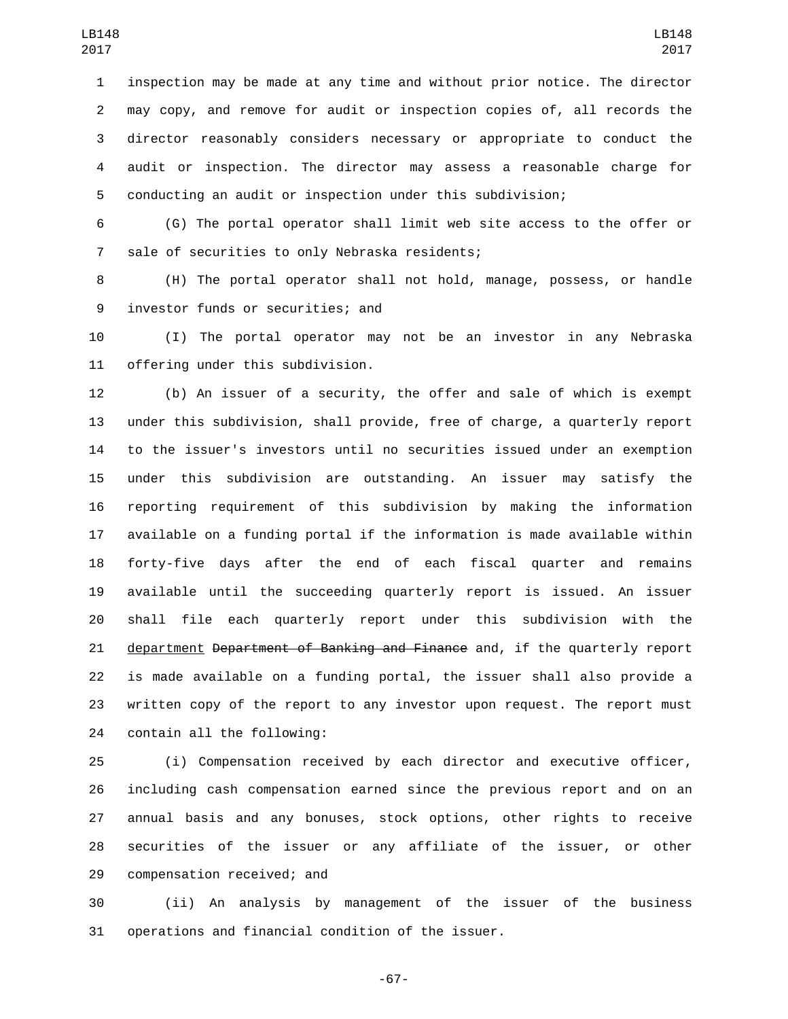inspection may be made at any time and without prior notice. The director may copy, and remove for audit or inspection copies of, all records the director reasonably considers necessary or appropriate to conduct the audit or inspection. The director may assess a reasonable charge for conducting an audit or inspection under this subdivision;

 (G) The portal operator shall limit web site access to the offer or 7 sale of securities to only Nebraska residents;

 (H) The portal operator shall not hold, manage, possess, or handle 9 investor funds or securities; and

 (I) The portal operator may not be an investor in any Nebraska 11 offering under this subdivision.

 (b) An issuer of a security, the offer and sale of which is exempt under this subdivision, shall provide, free of charge, a quarterly report to the issuer's investors until no securities issued under an exemption under this subdivision are outstanding. An issuer may satisfy the reporting requirement of this subdivision by making the information available on a funding portal if the information is made available within forty-five days after the end of each fiscal quarter and remains available until the succeeding quarterly report is issued. An issuer shall file each quarterly report under this subdivision with the 21 department Department of Banking and Finance and, if the quarterly report is made available on a funding portal, the issuer shall also provide a written copy of the report to any investor upon request. The report must 24 contain all the following:

 (i) Compensation received by each director and executive officer, including cash compensation earned since the previous report and on an annual basis and any bonuses, stock options, other rights to receive securities of the issuer or any affiliate of the issuer, or other 29 compensation received; and

 (ii) An analysis by management of the issuer of the business 31 operations and financial condition of the issuer.

-67-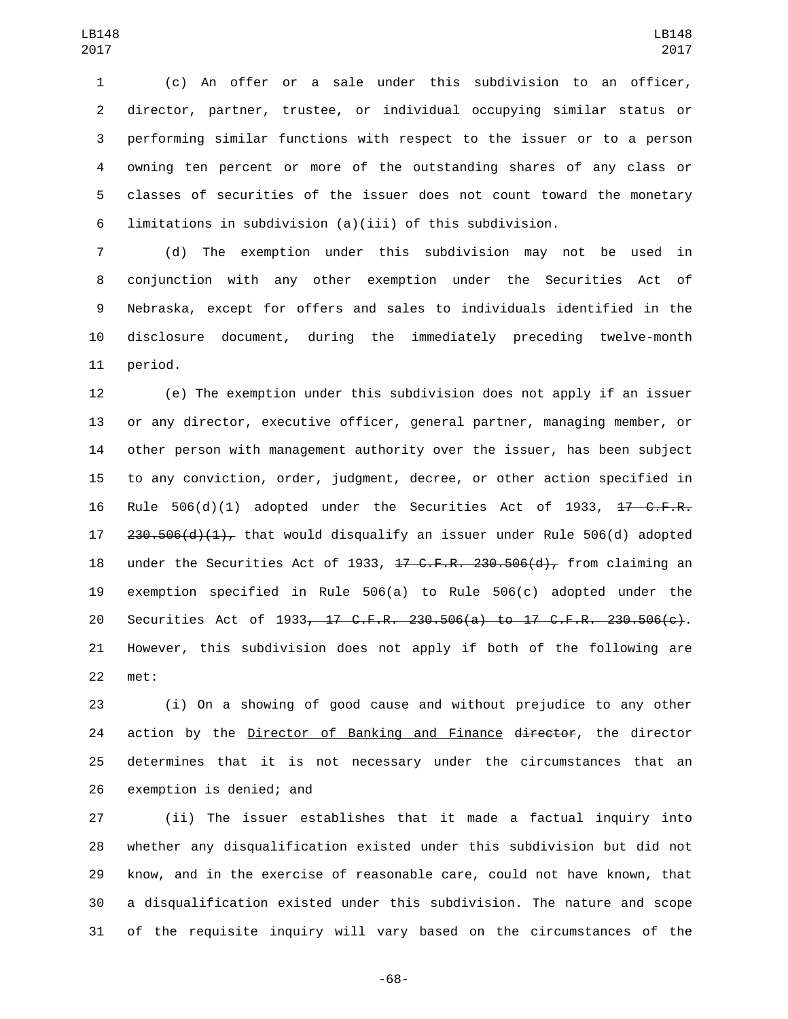(c) An offer or a sale under this subdivision to an officer, director, partner, trustee, or individual occupying similar status or performing similar functions with respect to the issuer or to a person owning ten percent or more of the outstanding shares of any class or classes of securities of the issuer does not count toward the monetary limitations in subdivision (a)(iii) of this subdivision.

 (d) The exemption under this subdivision may not be used in conjunction with any other exemption under the Securities Act of Nebraska, except for offers and sales to individuals identified in the disclosure document, during the immediately preceding twelve-month 11 period.

 (e) The exemption under this subdivision does not apply if an issuer or any director, executive officer, general partner, managing member, or other person with management authority over the issuer, has been subject to any conviction, order, judgment, decree, or other action specified in 16 Rule  $506(d)(1)$  adopted under the Securities Act of 1933, <del>17 C.F.R.</del>  $230.506(d)(1)$ , that would disqualify an issuer under Rule 506(d) adopted 18 under the Securities Act of 1933, <del>17 C.F.R. 230.506(d),</del> from claiming an exemption specified in Rule 506(a) to Rule 506(c) adopted under the Securities Act of 1933, 17 C.F.R. 230.506(a) to 17 C.F.R. 230.506(c). However, this subdivision does not apply if both of the following are 22 met:

 (i) On a showing of good cause and without prejudice to any other 24 action by the Director of Banking and Finance director, the director determines that it is not necessary under the circumstances that an 26 exemption is denied; and

 (ii) The issuer establishes that it made a factual inquiry into whether any disqualification existed under this subdivision but did not know, and in the exercise of reasonable care, could not have known, that a disqualification existed under this subdivision. The nature and scope of the requisite inquiry will vary based on the circumstances of the

-68-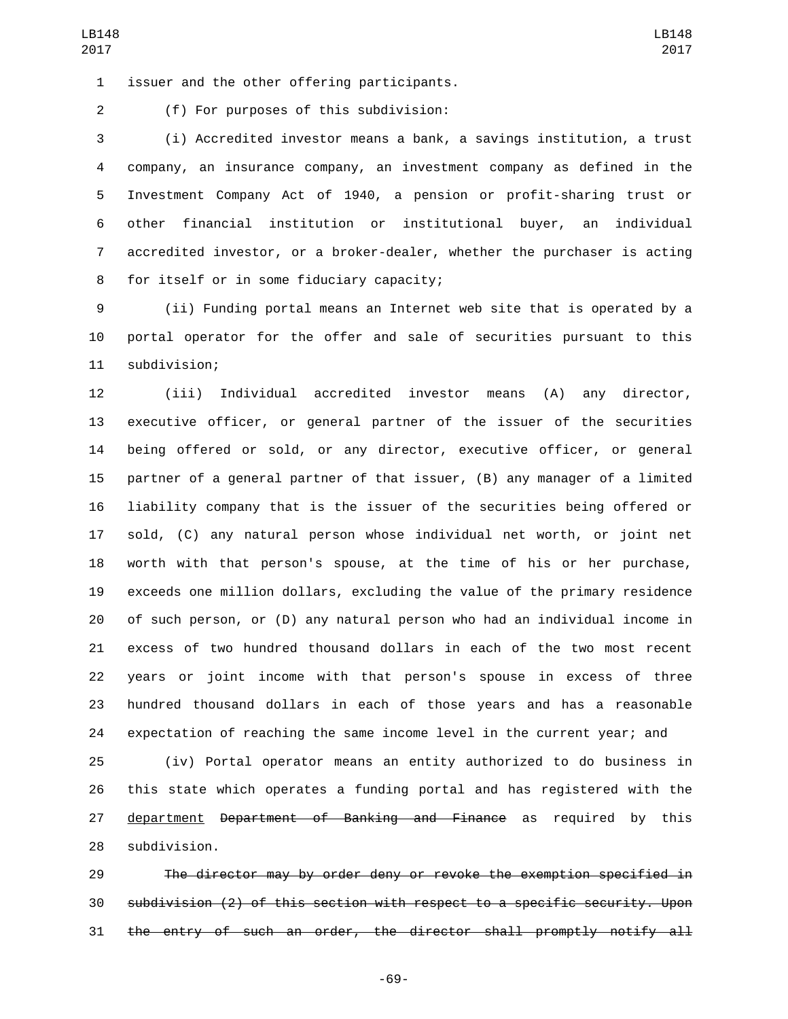1 issuer and the other offering participants.

(f) For purposes of this subdivision:2

 (i) Accredited investor means a bank, a savings institution, a trust company, an insurance company, an investment company as defined in the Investment Company Act of 1940, a pension or profit-sharing trust or other financial institution or institutional buyer, an individual accredited investor, or a broker-dealer, whether the purchaser is acting 8 for itself or in some fiduciary capacity;

 (ii) Funding portal means an Internet web site that is operated by a portal operator for the offer and sale of securities pursuant to this 11 subdivision;

 (iii) Individual accredited investor means (A) any director, executive officer, or general partner of the issuer of the securities being offered or sold, or any director, executive officer, or general partner of a general partner of that issuer, (B) any manager of a limited liability company that is the issuer of the securities being offered or sold, (C) any natural person whose individual net worth, or joint net worth with that person's spouse, at the time of his or her purchase, exceeds one million dollars, excluding the value of the primary residence of such person, or (D) any natural person who had an individual income in excess of two hundred thousand dollars in each of the two most recent years or joint income with that person's spouse in excess of three hundred thousand dollars in each of those years and has a reasonable expectation of reaching the same income level in the current year; and

 (iv) Portal operator means an entity authorized to do business in this state which operates a funding portal and has registered with the 27 department <del>Department of Banking and Finance</del> as required by this 28 subdivision.

 The director may by order deny or revoke the exemption specified in subdivision (2) of this section with respect to a specific security. Upon the entry of such an order, the director shall promptly notify all

-69-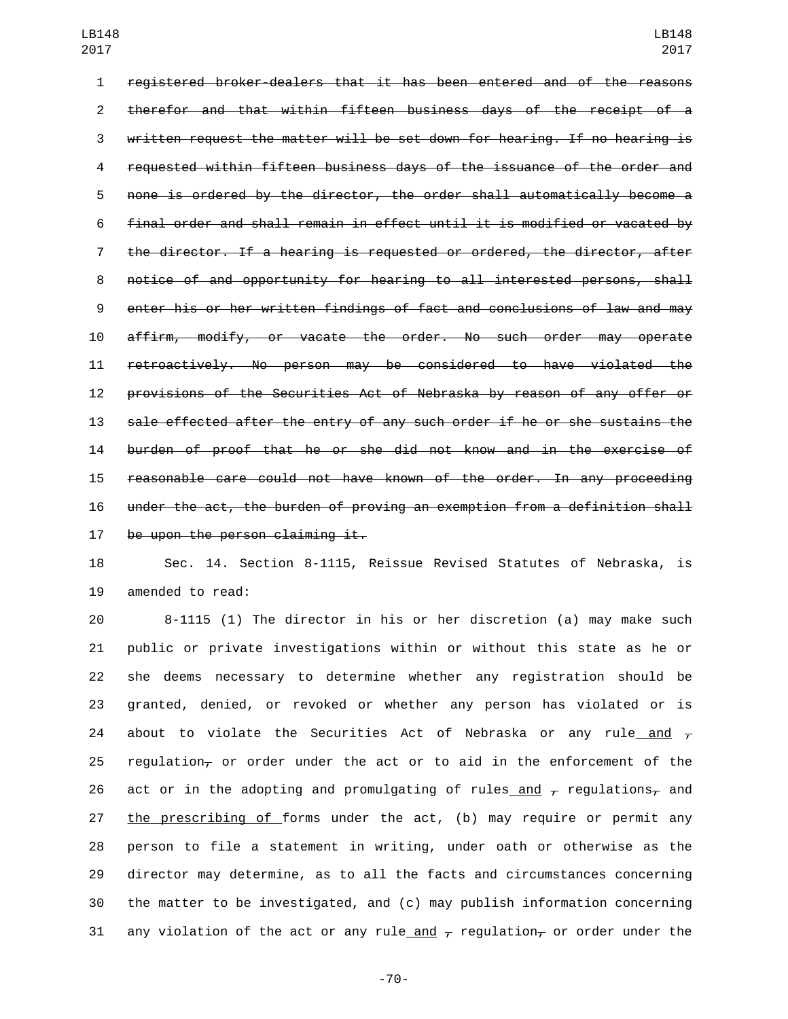registered broker-dealers that it has been entered and of the reasons therefor and that within fifteen business days of the receipt of a written request the matter will be set down for hearing. If no hearing is requested within fifteen business days of the issuance of the order and none is ordered by the director, the order shall automatically become a final order and shall remain in effect until it is modified or vacated by the director. If a hearing is requested or ordered, the director, after notice of and opportunity for hearing to all interested persons, shall enter his or her written findings of fact and conclusions of law and may affirm, modify, or vacate the order. No such order may operate retroactively. No person may be considered to have violated the provisions of the Securities Act of Nebraska by reason of any offer or sale effected after the entry of any such order if he or she sustains the burden of proof that he or she did not know and in the exercise of reasonable care could not have known of the order. In any proceeding under the act, the burden of proving an exemption from a definition shall 17 be upon the person claiming it.

 Sec. 14. Section 8-1115, Reissue Revised Statutes of Nebraska, is 19 amended to read:

 8-1115 (1) The director in his or her discretion (a) may make such public or private investigations within or without this state as he or she deems necessary to determine whether any registration should be granted, denied, or revoked or whether any person has violated or is 24 about to violate the Securities Act of Nebraska or any rule and  $\tau$ 25 regulation<sub> $\tau$ </sub> or order under the act or to aid in the enforcement of the 26 act or in the adopting and promulgating of rules and  $\tau$  regulations $\tau$  and 27 the prescribing of forms under the act, (b) may require or permit any person to file a statement in writing, under oath or otherwise as the director may determine, as to all the facts and circumstances concerning the matter to be investigated, and (c) may publish information concerning 31 any violation of the act or any rule and  $\tau$  regulation $\tau$  or order under the

-70-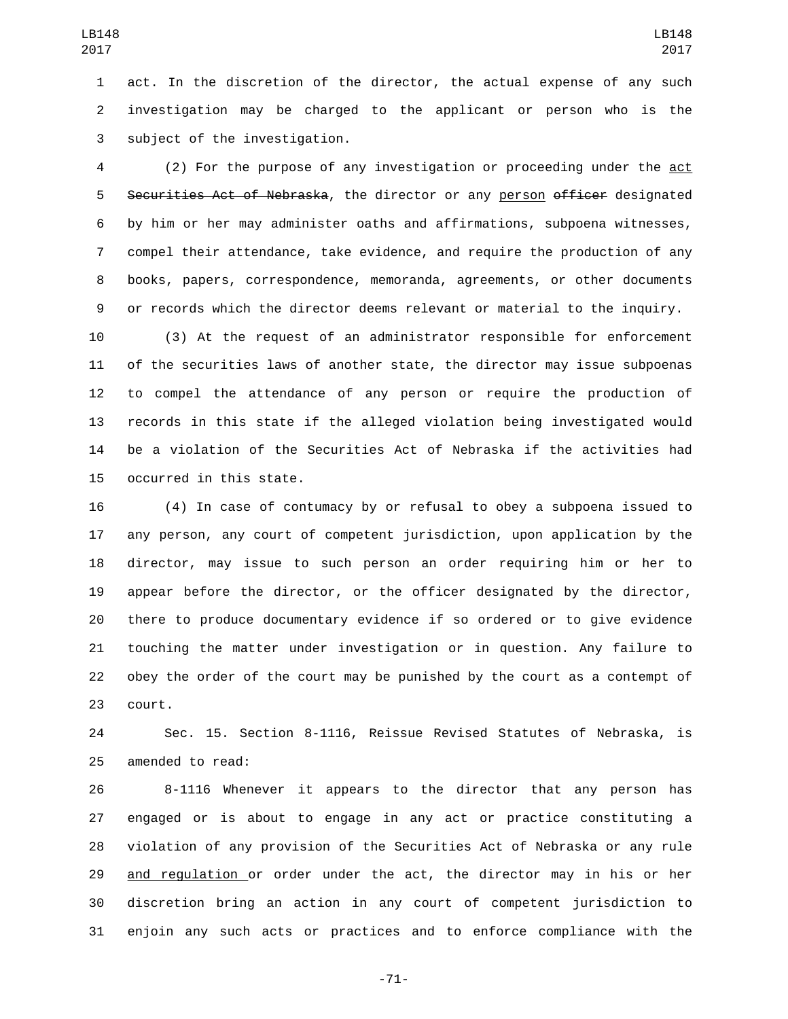act. In the discretion of the director, the actual expense of any such investigation may be charged to the applicant or person who is the 3 subject of the investigation.

 (2) For the purpose of any investigation or proceeding under the act 5 Securities Act of Nebraska, the director or any person officer designated by him or her may administer oaths and affirmations, subpoena witnesses, compel their attendance, take evidence, and require the production of any books, papers, correspondence, memoranda, agreements, or other documents or records which the director deems relevant or material to the inquiry.

 (3) At the request of an administrator responsible for enforcement of the securities laws of another state, the director may issue subpoenas to compel the attendance of any person or require the production of records in this state if the alleged violation being investigated would be a violation of the Securities Act of Nebraska if the activities had 15 occurred in this state.

 (4) In case of contumacy by or refusal to obey a subpoena issued to any person, any court of competent jurisdiction, upon application by the director, may issue to such person an order requiring him or her to appear before the director, or the officer designated by the director, there to produce documentary evidence if so ordered or to give evidence touching the matter under investigation or in question. Any failure to obey the order of the court may be punished by the court as a contempt of 23 court.

 Sec. 15. Section 8-1116, Reissue Revised Statutes of Nebraska, is 25 amended to read:

 8-1116 Whenever it appears to the director that any person has engaged or is about to engage in any act or practice constituting a violation of any provision of the Securities Act of Nebraska or any rule 29 and regulation or order under the act, the director may in his or her discretion bring an action in any court of competent jurisdiction to enjoin any such acts or practices and to enforce compliance with the

-71-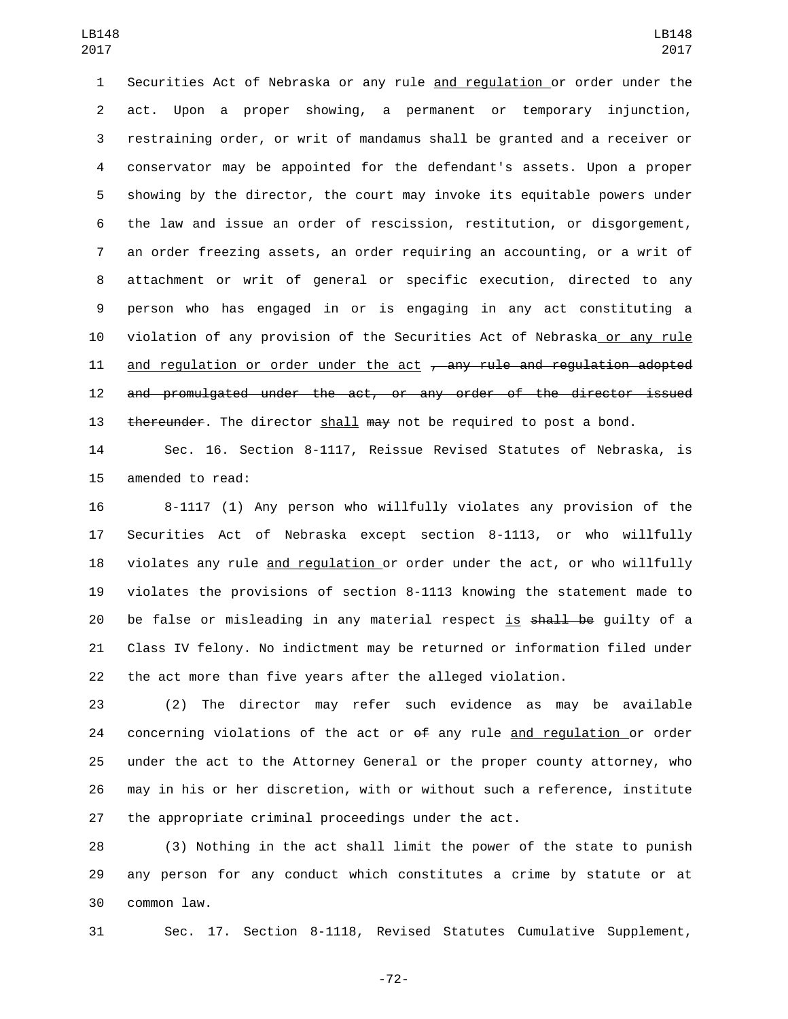Securities Act of Nebraska or any rule and regulation or order under the act. Upon a proper showing, a permanent or temporary injunction, restraining order, or writ of mandamus shall be granted and a receiver or conservator may be appointed for the defendant's assets. Upon a proper showing by the director, the court may invoke its equitable powers under the law and issue an order of rescission, restitution, or disgorgement, an order freezing assets, an order requiring an accounting, or a writ of attachment or writ of general or specific execution, directed to any person who has engaged in or is engaging in any act constituting a violation of any provision of the Securities Act of Nebraska or any rule 11 and regulation or order under the act , any rule and regulation adopted and promulgated under the act, or any order of the director issued 13 thereunder. The director shall may not be required to post a bond.

 Sec. 16. Section 8-1117, Reissue Revised Statutes of Nebraska, is 15 amended to read:

 8-1117 (1) Any person who willfully violates any provision of the Securities Act of Nebraska except section 8-1113, or who willfully violates any rule and regulation or order under the act, or who willfully violates the provisions of section 8-1113 knowing the statement made to 20 be false or misleading in any material respect is shall be quilty of a Class IV felony. No indictment may be returned or information filed under the act more than five years after the alleged violation.

 (2) The director may refer such evidence as may be available 24 concerning violations of the act or  $\theta$  any rule and regulation or order under the act to the Attorney General or the proper county attorney, who may in his or her discretion, with or without such a reference, institute the appropriate criminal proceedings under the act.

 (3) Nothing in the act shall limit the power of the state to punish any person for any conduct which constitutes a crime by statute or at 30 common law.

Sec. 17. Section 8-1118, Revised Statutes Cumulative Supplement,

-72-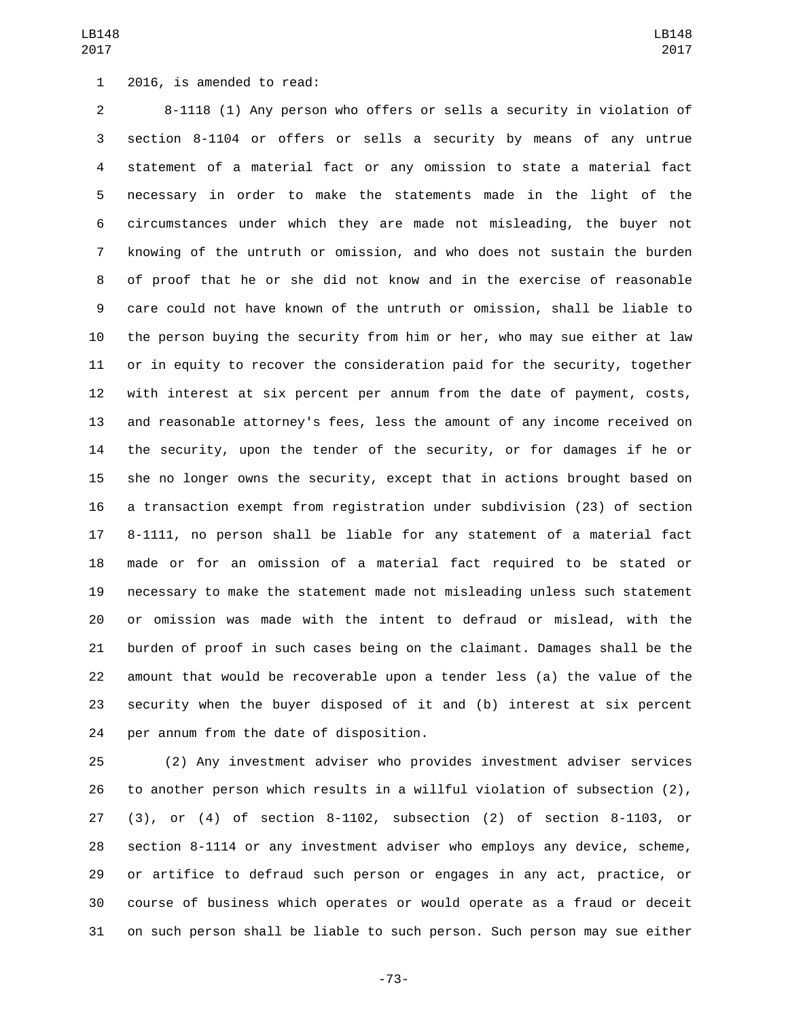1 2016, is amended to read:

 8-1118 (1) Any person who offers or sells a security in violation of section 8-1104 or offers or sells a security by means of any untrue statement of a material fact or any omission to state a material fact necessary in order to make the statements made in the light of the circumstances under which they are made not misleading, the buyer not knowing of the untruth or omission, and who does not sustain the burden of proof that he or she did not know and in the exercise of reasonable care could not have known of the untruth or omission, shall be liable to the person buying the security from him or her, who may sue either at law or in equity to recover the consideration paid for the security, together with interest at six percent per annum from the date of payment, costs, and reasonable attorney's fees, less the amount of any income received on the security, upon the tender of the security, or for damages if he or she no longer owns the security, except that in actions brought based on a transaction exempt from registration under subdivision (23) of section 8-1111, no person shall be liable for any statement of a material fact made or for an omission of a material fact required to be stated or necessary to make the statement made not misleading unless such statement or omission was made with the intent to defraud or mislead, with the burden of proof in such cases being on the claimant. Damages shall be the amount that would be recoverable upon a tender less (a) the value of the security when the buyer disposed of it and (b) interest at six percent 24 per annum from the date of disposition.

 (2) Any investment adviser who provides investment adviser services to another person which results in a willful violation of subsection (2), (3), or (4) of section 8-1102, subsection (2) of section 8-1103, or section 8-1114 or any investment adviser who employs any device, scheme, or artifice to defraud such person or engages in any act, practice, or course of business which operates or would operate as a fraud or deceit on such person shall be liable to such person. Such person may sue either

-73-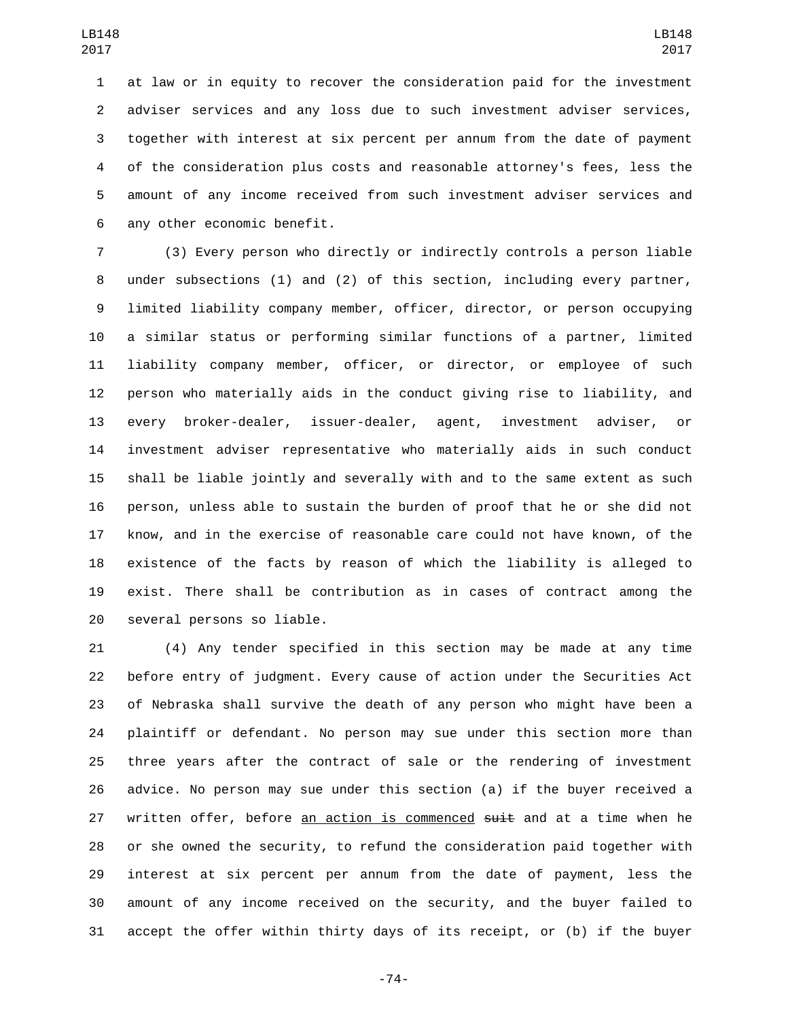at law or in equity to recover the consideration paid for the investment adviser services and any loss due to such investment adviser services, together with interest at six percent per annum from the date of payment of the consideration plus costs and reasonable attorney's fees, less the amount of any income received from such investment adviser services and 6 any other economic benefit.

 (3) Every person who directly or indirectly controls a person liable under subsections (1) and (2) of this section, including every partner, limited liability company member, officer, director, or person occupying a similar status or performing similar functions of a partner, limited liability company member, officer, or director, or employee of such person who materially aids in the conduct giving rise to liability, and every broker-dealer, issuer-dealer, agent, investment adviser, or investment adviser representative who materially aids in such conduct shall be liable jointly and severally with and to the same extent as such person, unless able to sustain the burden of proof that he or she did not know, and in the exercise of reasonable care could not have known, of the existence of the facts by reason of which the liability is alleged to exist. There shall be contribution as in cases of contract among the 20 several persons so liable.

 (4) Any tender specified in this section may be made at any time before entry of judgment. Every cause of action under the Securities Act of Nebraska shall survive the death of any person who might have been a plaintiff or defendant. No person may sue under this section more than three years after the contract of sale or the rendering of investment advice. No person may sue under this section (a) if the buyer received a 27 written offer, before an action is commenced suit and at a time when he or she owned the security, to refund the consideration paid together with interest at six percent per annum from the date of payment, less the amount of any income received on the security, and the buyer failed to accept the offer within thirty days of its receipt, or (b) if the buyer

-74-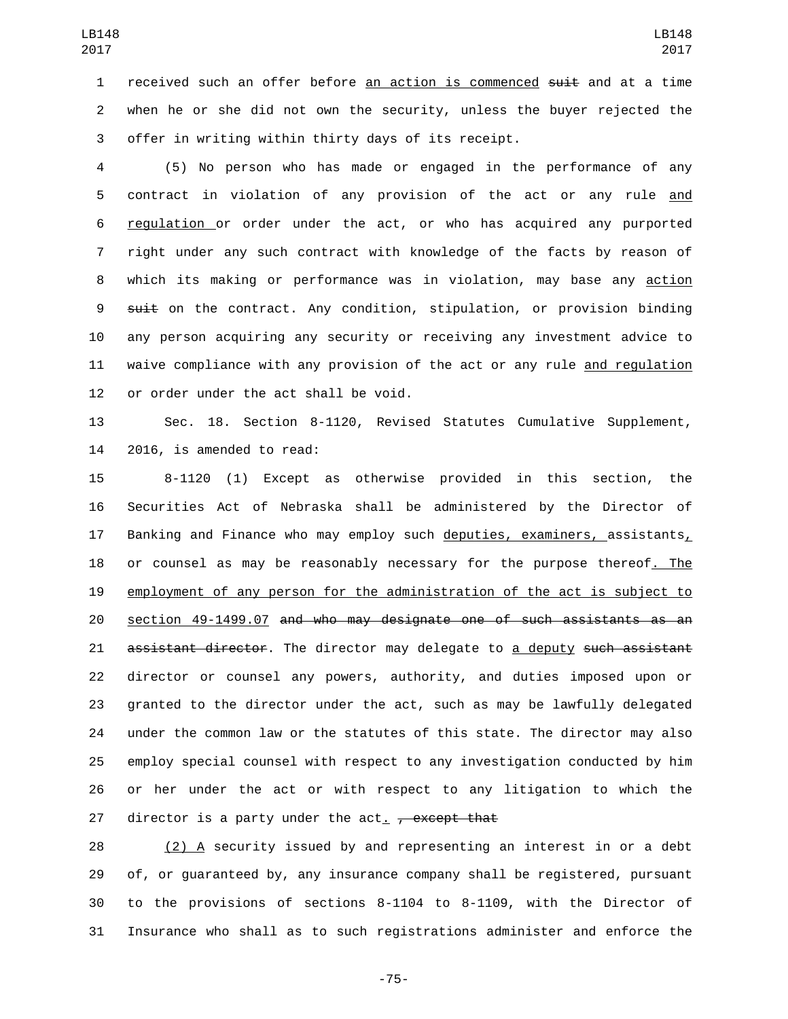1 received such an offer before an action is commenced suit and at a time when he or she did not own the security, unless the buyer rejected the offer in writing within thirty days of its receipt.

 (5) No person who has made or engaged in the performance of any contract in violation of any provision of the act or any rule and regulation or order under the act, or who has acquired any purported right under any such contract with knowledge of the facts by reason of which its making or performance was in violation, may base any action 9 suit on the contract. Any condition, stipulation, or provision binding any person acquiring any security or receiving any investment advice to waive compliance with any provision of the act or any rule and regulation 12 or order under the act shall be void.

 Sec. 18. Section 8-1120, Revised Statutes Cumulative Supplement, 14 2016, is amended to read:

 8-1120 (1) Except as otherwise provided in this section, the Securities Act of Nebraska shall be administered by the Director of 17 Banking and Finance who may employ such deputies, examiners, assistants, or counsel as may be reasonably necessary for the purpose thereof. The employment of any person for the administration of the act is subject to section 49-1499.07 and who may designate one of such assistants as an 21 assistant director. The director may delegate to a deputy such assistant director or counsel any powers, authority, and duties imposed upon or granted to the director under the act, such as may be lawfully delegated under the common law or the statutes of this state. The director may also employ special counsel with respect to any investigation conducted by him or her under the act or with respect to any litigation to which the 27 director is a party under the act.  $\frac{1}{\sqrt{7}}$  except that

 (2) A security issued by and representing an interest in or a debt of, or guaranteed by, any insurance company shall be registered, pursuant to the provisions of sections 8-1104 to 8-1109, with the Director of Insurance who shall as to such registrations administer and enforce the

-75-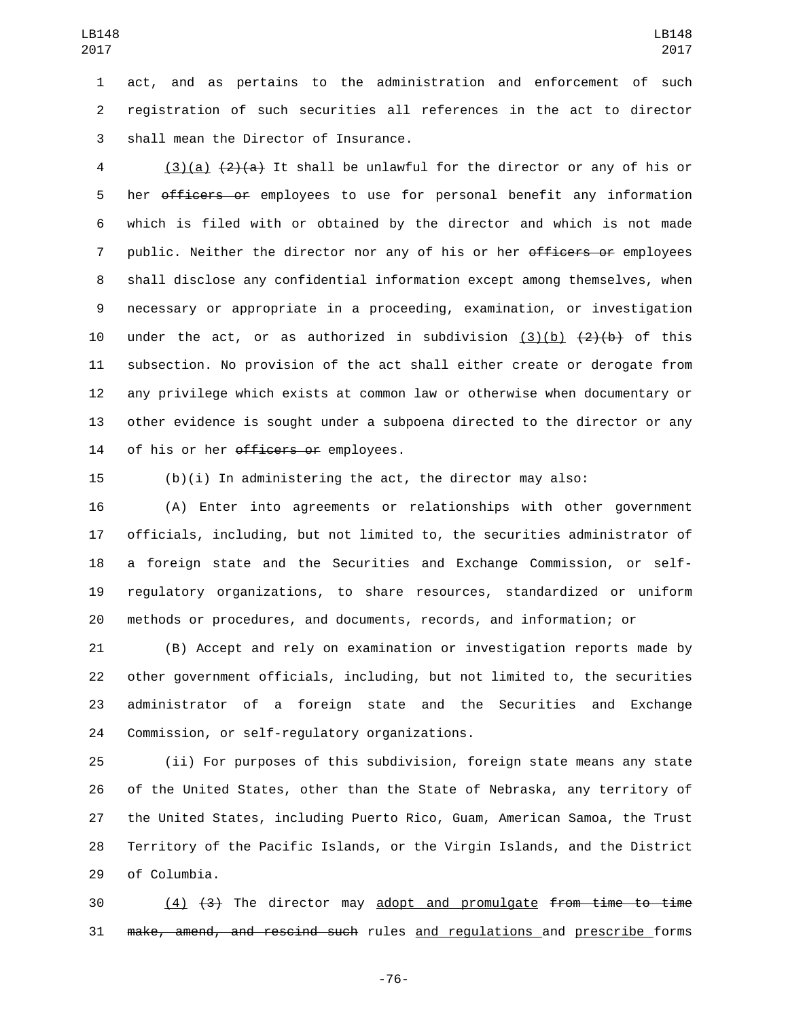act, and as pertains to the administration and enforcement of such registration of such securities all references in the act to director 3 shall mean the Director of Insurance.

4 (3)(a)  $\{2\}$ (a) It shall be unlawful for the director or any of his or her officers or employees to use for personal benefit any information which is filed with or obtained by the director and which is not made 7 public. Neither the director nor any of his or her officers or employees shall disclose any confidential information except among themselves, when necessary or appropriate in a proceeding, examination, or investigation 10 under the act, or as authorized in subdivision  $(3)(b)$   $(2)(b)$  of this subsection. No provision of the act shall either create or derogate from any privilege which exists at common law or otherwise when documentary or other evidence is sought under a subpoena directed to the director or any 14 of his or her officers or employees.

(b)(i) In administering the act, the director may also:

 (A) Enter into agreements or relationships with other government officials, including, but not limited to, the securities administrator of a foreign state and the Securities and Exchange Commission, or self- regulatory organizations, to share resources, standardized or uniform methods or procedures, and documents, records, and information; or

 (B) Accept and rely on examination or investigation reports made by other government officials, including, but not limited to, the securities administrator of a foreign state and the Securities and Exchange 24 Commission, or self-regulatory organizations.

 (ii) For purposes of this subdivision, foreign state means any state of the United States, other than the State of Nebraska, any territory of the United States, including Puerto Rico, Guam, American Samoa, the Trust Territory of the Pacific Islands, or the Virgin Islands, and the District 29 of Columbia.

 (4)  $(3)$  The director may adopt and promulgate from time to time make, amend, and rescind such rules and regulations and prescribe forms

-76-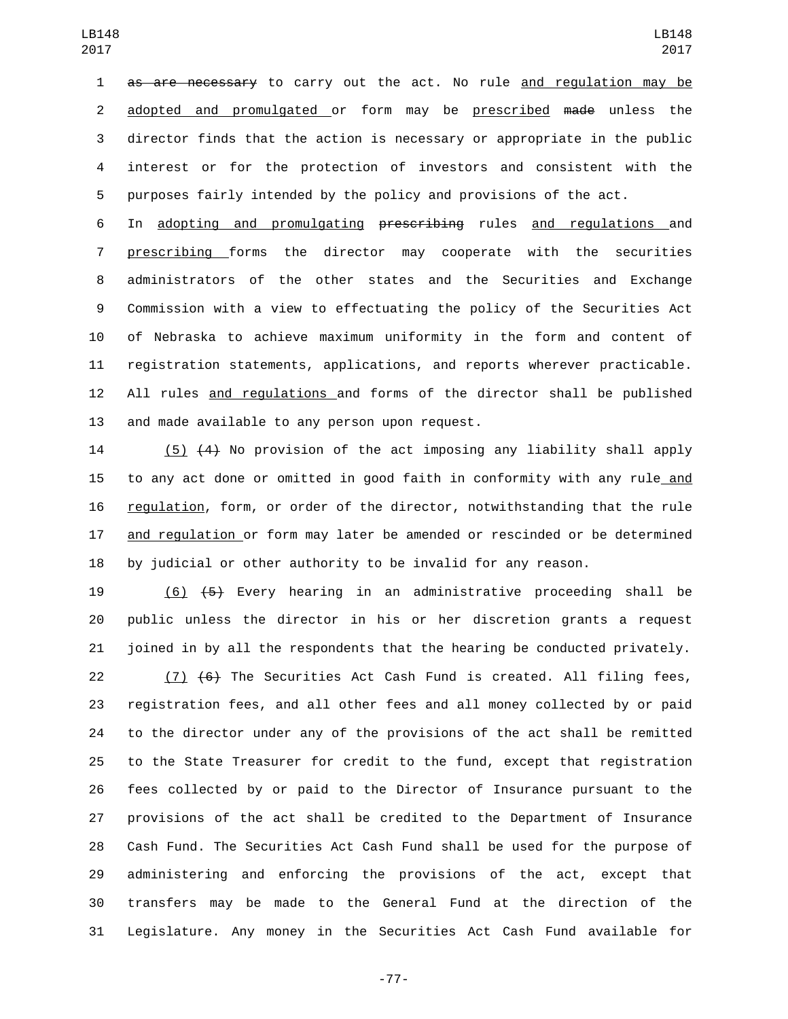1 as are necessary to carry out the act. No rule and regulation may be 2 adopted and promulgated or form may be prescribed made unless the director finds that the action is necessary or appropriate in the public interest or for the protection of investors and consistent with the purposes fairly intended by the policy and provisions of the act.

6 In adopting and promulgating prescribing rules and regulations and prescribing forms the director may cooperate with the securities administrators of the other states and the Securities and Exchange Commission with a view to effectuating the policy of the Securities Act of Nebraska to achieve maximum uniformity in the form and content of registration statements, applications, and reports wherever practicable. All rules and regulations and forms of the director shall be published 13 and made available to any person upon request.

 (5) (4) No provision of the act imposing any liability shall apply to any act done or omitted in good faith in conformity with any rule and regulation, form, or order of the director, notwithstanding that the rule and regulation or form may later be amended or rescinded or be determined by judicial or other authority to be invalid for any reason.

 (6) (5) Every hearing in an administrative proceeding shall be public unless the director in his or her discretion grants a request joined in by all the respondents that the hearing be conducted privately.

 $(7)$   $(6)$  The Securities Act Cash Fund is created. All filing fees, registration fees, and all other fees and all money collected by or paid to the director under any of the provisions of the act shall be remitted to the State Treasurer for credit to the fund, except that registration fees collected by or paid to the Director of Insurance pursuant to the provisions of the act shall be credited to the Department of Insurance Cash Fund. The Securities Act Cash Fund shall be used for the purpose of administering and enforcing the provisions of the act, except that transfers may be made to the General Fund at the direction of the Legislature. Any money in the Securities Act Cash Fund available for

-77-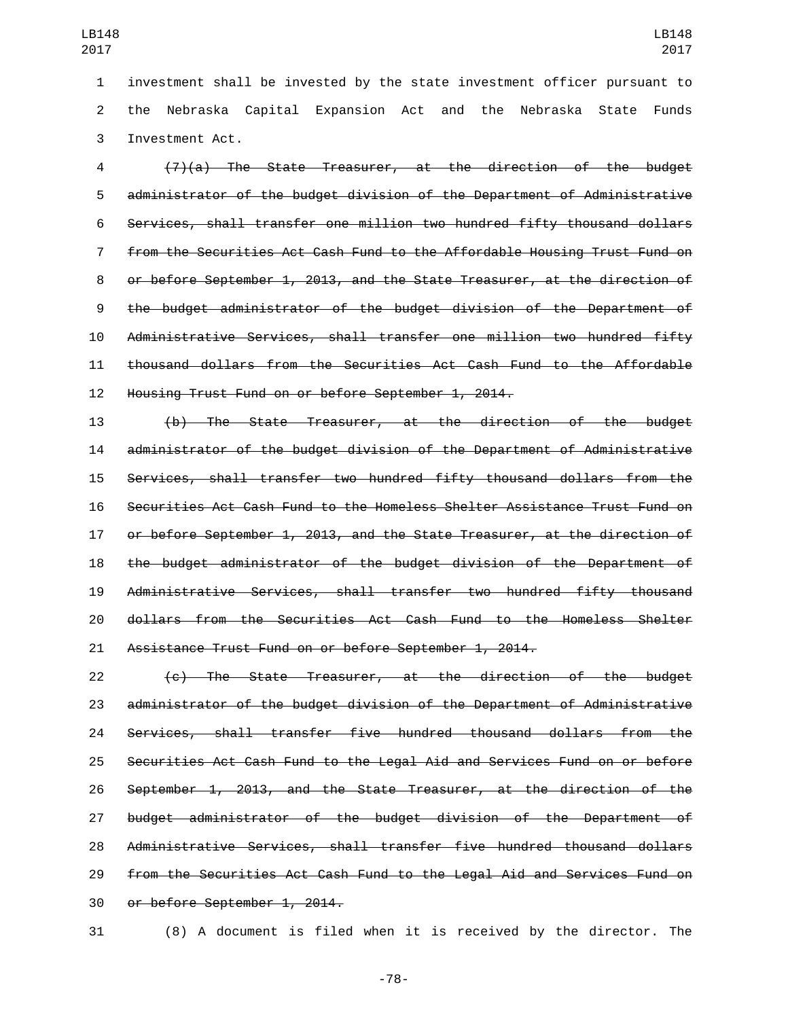investment shall be invested by the state investment officer pursuant to the Nebraska Capital Expansion Act and the Nebraska State Funds 3 Investment Act.

 (7)(a) The State Treasurer, at the direction of the budget administrator of the budget division of the Department of Administrative Services, shall transfer one million two hundred fifty thousand dollars from the Securities Act Cash Fund to the Affordable Housing Trust Fund on or before September 1, 2013, and the State Treasurer, at the direction of the budget administrator of the budget division of the Department of Administrative Services, shall transfer one million two hundred fifty thousand dollars from the Securities Act Cash Fund to the Affordable Housing Trust Fund on or before September 1, 2014.

 (b) The State Treasurer, at the direction of the budget administrator of the budget division of the Department of Administrative Services, shall transfer two hundred fifty thousand dollars from the Securities Act Cash Fund to the Homeless Shelter Assistance Trust Fund on or before September 1, 2013, and the State Treasurer, at the direction of the budget administrator of the budget division of the Department of Administrative Services, shall transfer two hundred fifty thousand dollars from the Securities Act Cash Fund to the Homeless Shelter Assistance Trust Fund on or before September 1, 2014.

 (c) The State Treasurer, at the direction of the budget administrator of the budget division of the Department of Administrative Services, shall transfer five hundred thousand dollars from the Securities Act Cash Fund to the Legal Aid and Services Fund on or before September 1, 2013, and the State Treasurer, at the direction of the budget administrator of the budget division of the Department of Administrative Services, shall transfer five hundred thousand dollars from the Securities Act Cash Fund to the Legal Aid and Services Fund on 30 or before September 1, 2014.

(8) A document is filed when it is received by the director. The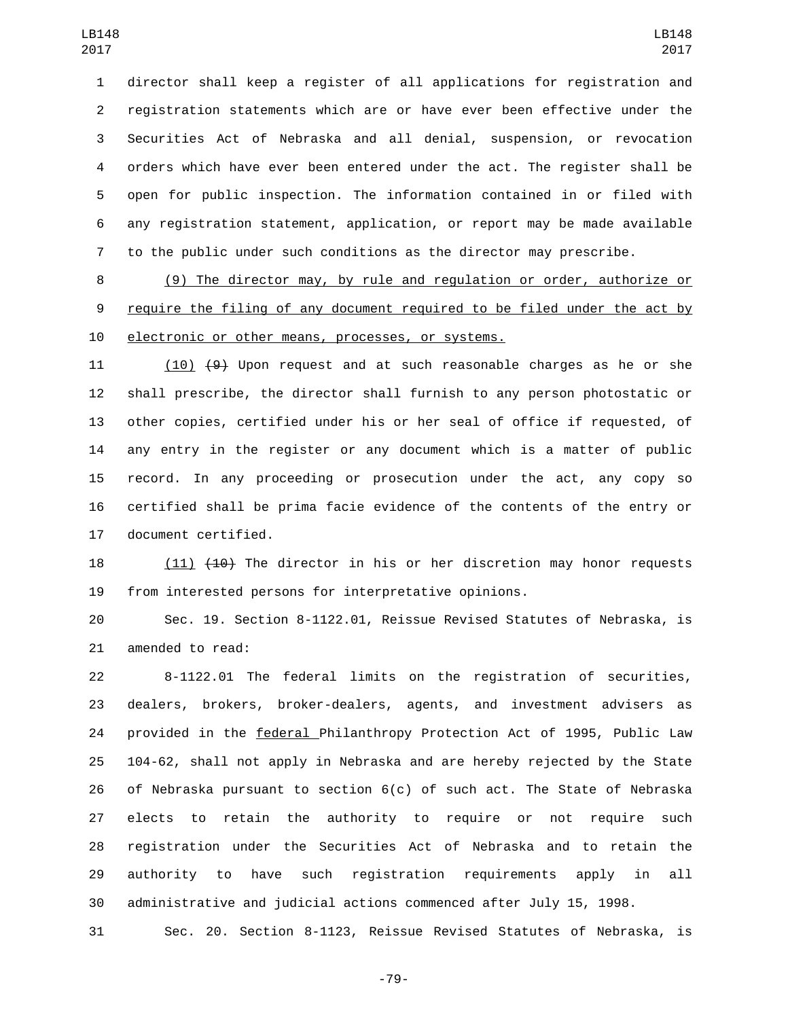director shall keep a register of all applications for registration and registration statements which are or have ever been effective under the Securities Act of Nebraska and all denial, suspension, or revocation orders which have ever been entered under the act. The register shall be open for public inspection. The information contained in or filed with any registration statement, application, or report may be made available to the public under such conditions as the director may prescribe.

 (9) The director may, by rule and regulation or order, authorize or require the filing of any document required to be filed under the act by 10 electronic or other means, processes, or systems.

11 (10)  $\left(49\right)$  Upon request and at such reasonable charges as he or she shall prescribe, the director shall furnish to any person photostatic or other copies, certified under his or her seal of office if requested, of any entry in the register or any document which is a matter of public record. In any proceeding or prosecution under the act, any copy so certified shall be prima facie evidence of the contents of the entry or 17 document certified.

18 (11) (10) The director in his or her discretion may honor requests from interested persons for interpretative opinions.

 Sec. 19. Section 8-1122.01, Reissue Revised Statutes of Nebraska, is 21 amended to read:

 8-1122.01 The federal limits on the registration of securities, dealers, brokers, broker-dealers, agents, and investment advisers as provided in the federal Philanthropy Protection Act of 1995, Public Law 104-62, shall not apply in Nebraska and are hereby rejected by the State of Nebraska pursuant to section 6(c) of such act. The State of Nebraska elects to retain the authority to require or not require such registration under the Securities Act of Nebraska and to retain the authority to have such registration requirements apply in all administrative and judicial actions commenced after July 15, 1998.

Sec. 20. Section 8-1123, Reissue Revised Statutes of Nebraska, is

-79-